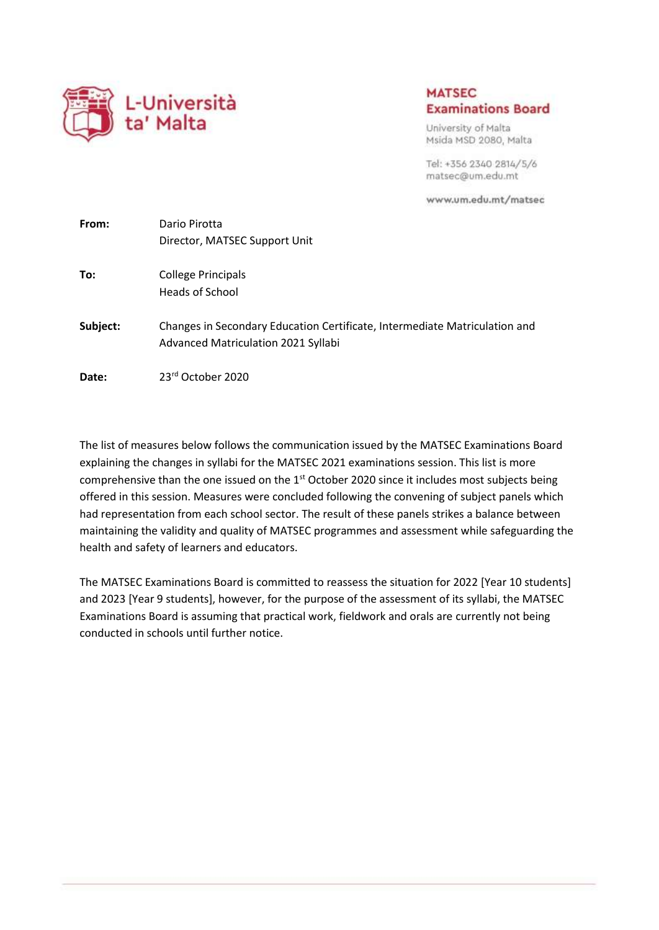

## **MATSEC Examinations Board**

University of Malta Msida MSD 2080, Malta

Tel: +356 2340 2814/5/6 matsec@um.edu.mt

www.um.edu.mt/matsec

| From:    | Dario Pirotta                                                                                                     |  |  |  |
|----------|-------------------------------------------------------------------------------------------------------------------|--|--|--|
|          | Director, MATSEC Support Unit                                                                                     |  |  |  |
| To:      | <b>College Principals</b><br>Heads of School                                                                      |  |  |  |
|          |                                                                                                                   |  |  |  |
| Subject: | Changes in Secondary Education Certificate, Intermediate Matriculation and<br>Advanced Matriculation 2021 Syllabi |  |  |  |
| Date:    | 23rd October 2020                                                                                                 |  |  |  |

The list of measures below follows the communication issued by the MATSEC Examinations Board explaining the changes in syllabi for the MATSEC 2021 examinations session. This list is more comprehensive than the one issued on the 1<sup>st</sup> October 2020 since it includes most subjects being offered in this session. Measures were concluded following the convening of subject panels which had representation from each school sector. The result of these panels strikes a balance between maintaining the validity and quality of MATSEC programmes and assessment while safeguarding the health and safety of learners and educators.

The MATSEC Examinations Board is committed to reassess the situation for 2022 [Year 10 students] and 2023 [Year 9 students], however, for the purpose of the assessment of its syllabi, the MATSEC Examinations Board is assuming that practical work, fieldwork and orals are currently not being conducted in schools until further notice.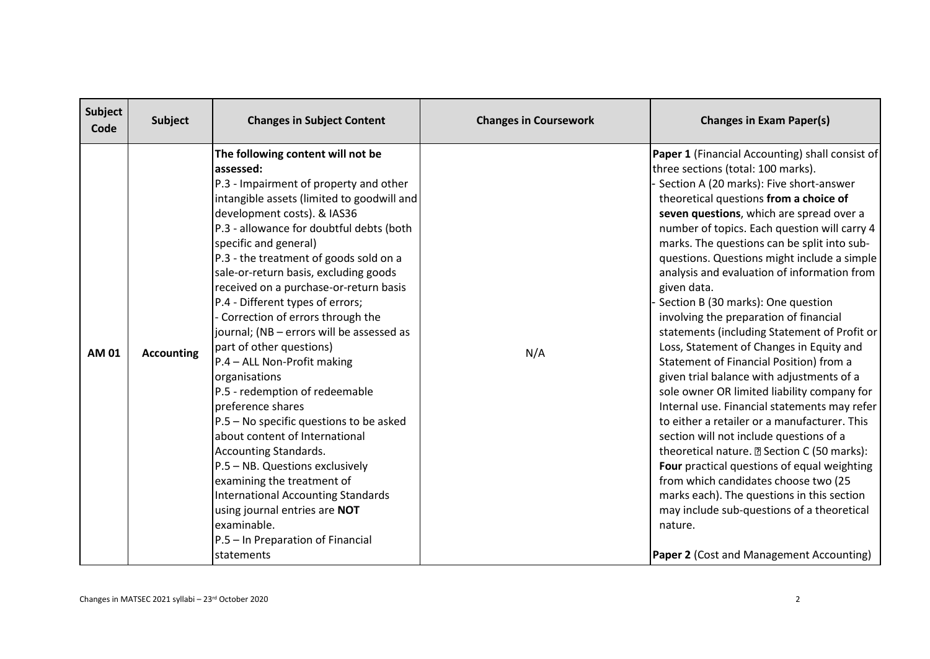| Subject<br>Code | Subject           | <b>Changes in Subject Content</b>                                                                                                                                                                                                                                                                                                                                                                                                                                                                                                                                                                                                                                                                                                                                                                                                                                                                                                                        | <b>Changes in Coursework</b> | <b>Changes in Exam Paper(s)</b>                                                                                                                                                                                                                                                                                                                                                                                                                                                                                                                                                                                                                                                                                                                                                                                                                                                                                                                                                                                                                                                                                                                                                           |
|-----------------|-------------------|----------------------------------------------------------------------------------------------------------------------------------------------------------------------------------------------------------------------------------------------------------------------------------------------------------------------------------------------------------------------------------------------------------------------------------------------------------------------------------------------------------------------------------------------------------------------------------------------------------------------------------------------------------------------------------------------------------------------------------------------------------------------------------------------------------------------------------------------------------------------------------------------------------------------------------------------------------|------------------------------|-------------------------------------------------------------------------------------------------------------------------------------------------------------------------------------------------------------------------------------------------------------------------------------------------------------------------------------------------------------------------------------------------------------------------------------------------------------------------------------------------------------------------------------------------------------------------------------------------------------------------------------------------------------------------------------------------------------------------------------------------------------------------------------------------------------------------------------------------------------------------------------------------------------------------------------------------------------------------------------------------------------------------------------------------------------------------------------------------------------------------------------------------------------------------------------------|
| <b>AM 01</b>    | <b>Accounting</b> | The following content will not be<br>assessed:<br>P.3 - Impairment of property and other<br>intangible assets (limited to goodwill and<br>development costs). & IAS36<br>P.3 - allowance for doubtful debts (both<br>specific and general)<br>P.3 - the treatment of goods sold on a<br>sale-or-return basis, excluding goods<br>received on a purchase-or-return basis<br>P.4 - Different types of errors;<br>- Correction of errors through the<br>journal; (NB - errors will be assessed as<br>part of other questions)<br>P.4 - ALL Non-Profit making<br>organisations<br>P.5 - redemption of redeemable<br>preference shares<br>P.5 - No specific questions to be asked<br>about content of International<br>Accounting Standards.<br>P.5 - NB. Questions exclusively<br>examining the treatment of<br><b>International Accounting Standards</b><br>using journal entries are NOT<br>examinable.<br>P.5 - In Preparation of Financial<br>statements | N/A                          | Paper 1 (Financial Accounting) shall consist of<br>three sections (total: 100 marks).<br>Section A (20 marks): Five short-answer<br>theoretical questions from a choice of<br>seven questions, which are spread over a<br>number of topics. Each question will carry 4<br>marks. The questions can be split into sub-<br>questions. Questions might include a simple<br>analysis and evaluation of information from<br>given data.<br>Section B (30 marks): One question<br>involving the preparation of financial<br>statements (including Statement of Profit or<br>Loss, Statement of Changes in Equity and<br>Statement of Financial Position) from a<br>given trial balance with adjustments of a<br>sole owner OR limited liability company for<br>Internal use. Financial statements may refer<br>to either a retailer or a manufacturer. This<br>section will not include questions of a<br>theoretical nature. 2 Section C (50 marks):<br>Four practical questions of equal weighting<br>from which candidates choose two (25<br>marks each). The questions in this section<br>may include sub-questions of a theoretical<br>nature.<br>Paper 2 (Cost and Management Accounting) |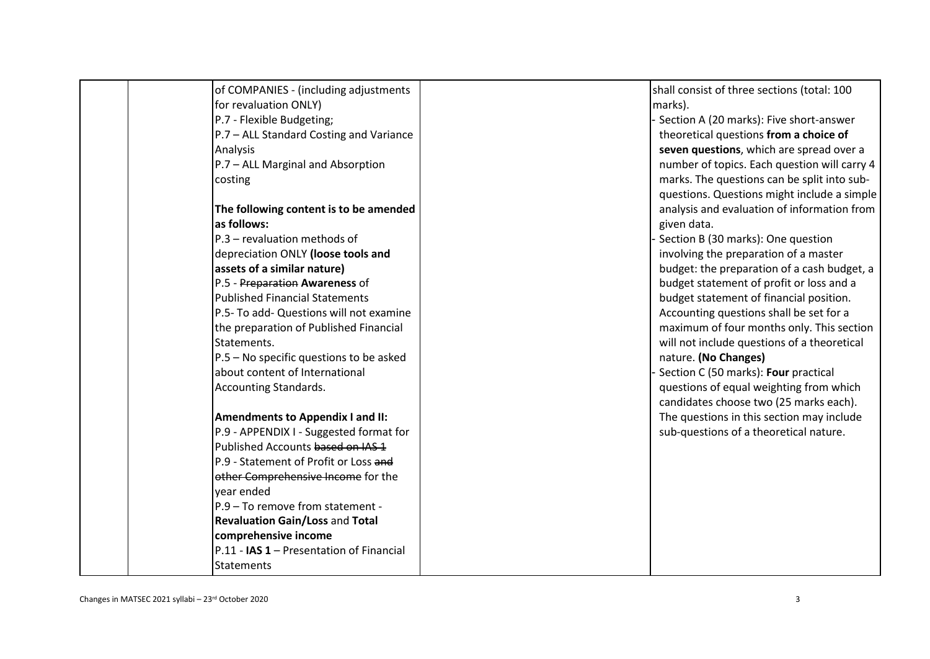| of COMPANIES - (including adjustments    | shall consist of three sections (total: 100  |
|------------------------------------------|----------------------------------------------|
| for revaluation ONLY)                    | marks).                                      |
| P.7 - Flexible Budgeting;                | Section A (20 marks): Five short-answer      |
| P.7 - ALL Standard Costing and Variance  | theoretical questions from a choice of       |
| Analysis                                 | seven questions, which are spread over a     |
| P.7 - ALL Marginal and Absorption        | number of topics. Each question will carry 4 |
| costing                                  | marks. The questions can be split into sub-  |
|                                          | questions. Questions might include a simple  |
| The following content is to be amended   | analysis and evaluation of information from  |
| as follows:                              | given data.                                  |
| P.3 - revaluation methods of             | Section B (30 marks): One question           |
| depreciation ONLY (loose tools and       | involving the preparation of a master        |
| assets of a similar nature)              | budget: the preparation of a cash budget, a  |
| P.5 - Preparation Awareness of           | budget statement of profit or loss and a     |
| <b>Published Financial Statements</b>    | budget statement of financial position.      |
| P.5- To add- Questions will not examine  | Accounting questions shall be set for a      |
| the preparation of Published Financial   | maximum of four months only. This section    |
| Statements.                              | will not include questions of a theoretical  |
| P.5 - No specific questions to be asked  | nature. (No Changes)                         |
| about content of International           | Section C (50 marks): Four practical         |
| Accounting Standards.                    | questions of equal weighting from which      |
|                                          | candidates choose two (25 marks each).       |
| <b>Amendments to Appendix I and II:</b>  | The questions in this section may include    |
| P.9 - APPENDIX I - Suggested format for  | sub-questions of a theoretical nature.       |
| Published Accounts based on IAS 1        |                                              |
| P.9 - Statement of Profit or Loss and    |                                              |
| other Comprehensive Income for the       |                                              |
| vear ended                               |                                              |
| P.9 - To remove from statement -         |                                              |
| <b>Revaluation Gain/Loss and Total</b>   |                                              |
| comprehensive income                     |                                              |
| P.11 - IAS 1 - Presentation of Financial |                                              |
| Statements                               |                                              |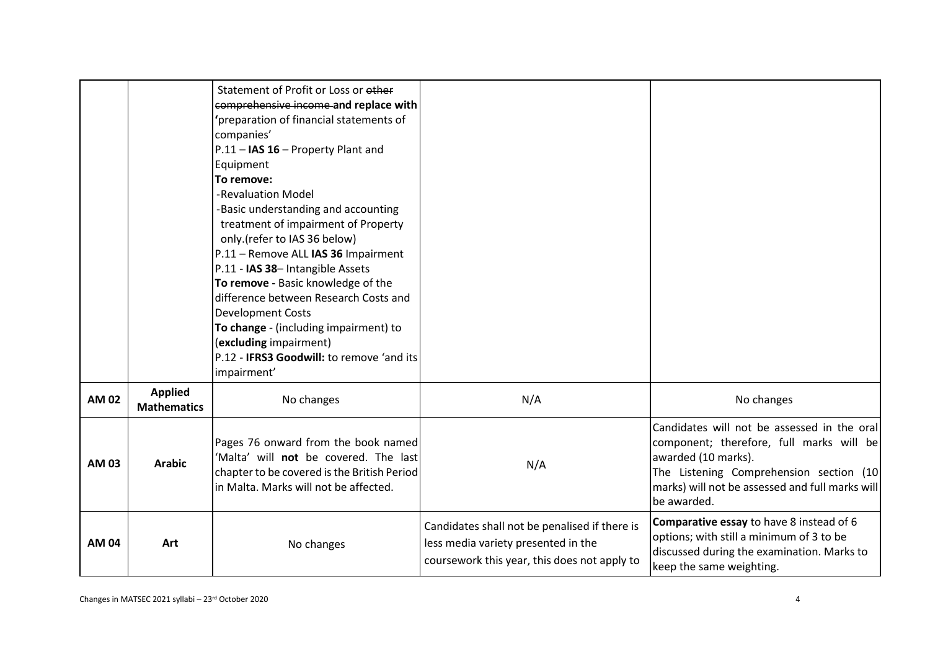|              |                                      | Statement of Profit or Loss or other<br>comprehensive income and replace with<br>'preparation of financial statements of<br>companies'<br>P.11 - IAS 16 - Property Plant and<br>Equipment<br>To remove:<br>-Revaluation Model<br>-Basic understanding and accounting<br>treatment of impairment of Property<br>only.(refer to IAS 36 below)<br>P.11 - Remove ALL IAS 36 Impairment<br>P.11 - IAS 38- Intangible Assets<br>To remove - Basic knowledge of the<br>difference between Research Costs and<br><b>Development Costs</b><br>To change - (including impairment) to<br>(excluding impairment)<br>P.12 - <b>IFRS3 Goodwill:</b> to remove 'and its<br>impairment' |                                                                                                                                      |                                                                                                                                                                                                                             |
|--------------|--------------------------------------|-------------------------------------------------------------------------------------------------------------------------------------------------------------------------------------------------------------------------------------------------------------------------------------------------------------------------------------------------------------------------------------------------------------------------------------------------------------------------------------------------------------------------------------------------------------------------------------------------------------------------------------------------------------------------|--------------------------------------------------------------------------------------------------------------------------------------|-----------------------------------------------------------------------------------------------------------------------------------------------------------------------------------------------------------------------------|
| <b>AM 02</b> | <b>Applied</b><br><b>Mathematics</b> | No changes                                                                                                                                                                                                                                                                                                                                                                                                                                                                                                                                                                                                                                                              | N/A                                                                                                                                  | No changes                                                                                                                                                                                                                  |
| AM 03        | <b>Arabic</b>                        | Pages 76 onward from the book named<br>'Malta' will not be covered. The last<br>chapter to be covered is the British Period<br>in Malta. Marks will not be affected.                                                                                                                                                                                                                                                                                                                                                                                                                                                                                                    | N/A                                                                                                                                  | Candidates will not be assessed in the oral<br>component; therefore, full marks will be<br>awarded (10 marks).<br>The Listening Comprehension section (10<br>marks) will not be assessed and full marks will<br>be awarded. |
| <b>AM 04</b> | Art                                  | No changes                                                                                                                                                                                                                                                                                                                                                                                                                                                                                                                                                                                                                                                              | Candidates shall not be penalised if there is<br>less media variety presented in the<br>coursework this year, this does not apply to | Comparative essay to have 8 instead of 6<br>options; with still a minimum of 3 to be<br>discussed during the examination. Marks to<br>keep the same weighting.                                                              |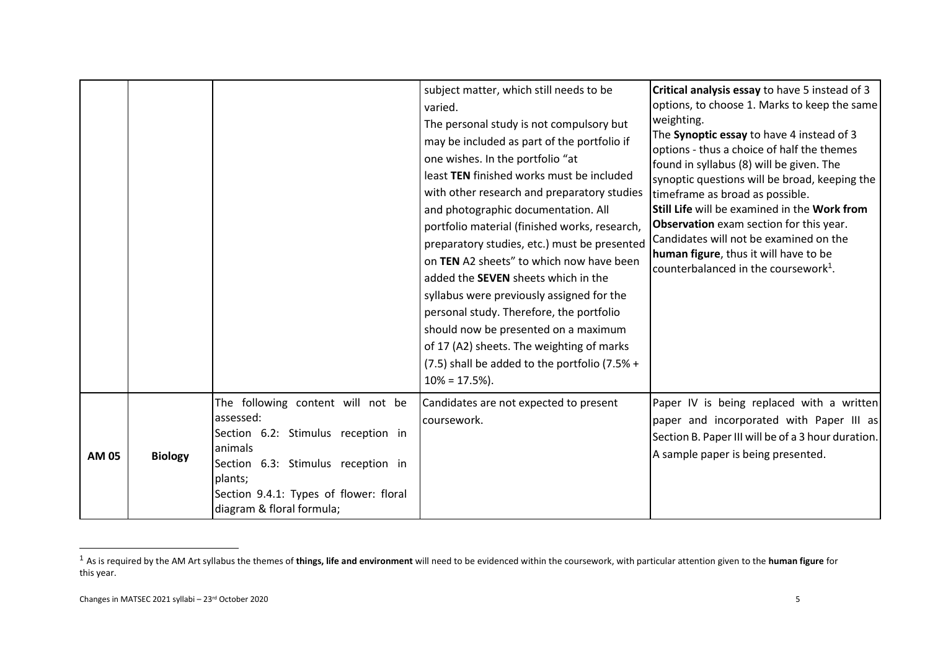|              |                |                                                                                                                                                                                                                         | subject matter, which still needs to be<br>varied.<br>The personal study is not compulsory but<br>may be included as part of the portfolio if<br>one wishes. In the portfolio "at<br>least TEN finished works must be included<br>with other research and preparatory studies<br>and photographic documentation. All<br>portfolio material (finished works, research,<br>preparatory studies, etc.) must be presented<br>on TEN A2 sheets" to which now have been<br>added the SEVEN sheets which in the<br>syllabus were previously assigned for the<br>personal study. Therefore, the portfolio<br>should now be presented on a maximum<br>of 17 (A2) sheets. The weighting of marks<br>(7.5) shall be added to the portfolio (7.5% +<br>$10\% = 17.5\%$ ). | Critical analysis essay to have 5 instead of 3<br>options, to choose 1. Marks to keep the same<br>weighting.<br>The Synoptic essay to have 4 instead of 3<br>options - thus a choice of half the themes<br>found in syllabus (8) will be given. The<br>synoptic questions will be broad, keeping the<br>timeframe as broad as possible.<br>Still Life will be examined in the Work from<br>Observation exam section for this year.<br>Candidates will not be examined on the<br>human figure, thus it will have to be<br>counterbalanced in the coursework <sup>1</sup> . |
|--------------|----------------|-------------------------------------------------------------------------------------------------------------------------------------------------------------------------------------------------------------------------|---------------------------------------------------------------------------------------------------------------------------------------------------------------------------------------------------------------------------------------------------------------------------------------------------------------------------------------------------------------------------------------------------------------------------------------------------------------------------------------------------------------------------------------------------------------------------------------------------------------------------------------------------------------------------------------------------------------------------------------------------------------|---------------------------------------------------------------------------------------------------------------------------------------------------------------------------------------------------------------------------------------------------------------------------------------------------------------------------------------------------------------------------------------------------------------------------------------------------------------------------------------------------------------------------------------------------------------------------|
| <b>AM 05</b> | <b>Biology</b> | The following content will not be<br>assessed:<br>Section 6.2: Stimulus reception in<br>animals<br>Section 6.3: Stimulus reception in<br>plants;<br>Section 9.4.1: Types of flower: floral<br>diagram & floral formula; | Candidates are not expected to present<br>coursework.                                                                                                                                                                                                                                                                                                                                                                                                                                                                                                                                                                                                                                                                                                         | Paper IV is being replaced with a written<br>paper and incorporated with Paper III as<br>Section B. Paper III will be of a 3 hour duration.<br>A sample paper is being presented.                                                                                                                                                                                                                                                                                                                                                                                         |

-

<sup>1</sup> As is required by the AM Art syllabus the themes of **things, life and environment** will need to be evidenced within the coursework, with particular attention given to the **human figure** for this year.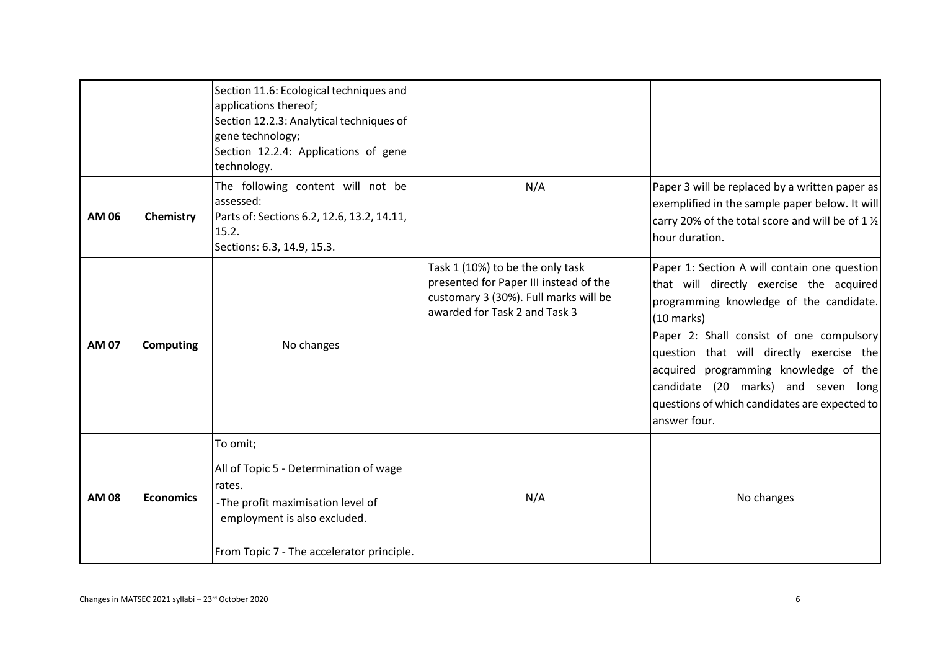|              |                  | Section 11.6: Ecological techniques and<br>applications thereof;<br>Section 12.2.3: Analytical techniques of<br>gene technology;<br>Section 12.2.4: Applications of gene<br>technology. |                                                                                                                                                      |                                                                                                                                                                                                                                                                                                                                                                                                      |
|--------------|------------------|-----------------------------------------------------------------------------------------------------------------------------------------------------------------------------------------|------------------------------------------------------------------------------------------------------------------------------------------------------|------------------------------------------------------------------------------------------------------------------------------------------------------------------------------------------------------------------------------------------------------------------------------------------------------------------------------------------------------------------------------------------------------|
| AM 06        | Chemistry        | The following content will not be<br>assessed:<br>Parts of: Sections 6.2, 12.6, 13.2, 14.11,<br>15.2.<br>Sections: 6.3, 14.9, 15.3.                                                     | N/A                                                                                                                                                  | Paper 3 will be replaced by a written paper as<br>exemplified in the sample paper below. It will<br>carry 20% of the total score and will be of 1 1/2<br>hour duration.                                                                                                                                                                                                                              |
| <b>AM 07</b> | <b>Computing</b> | No changes                                                                                                                                                                              | Task 1 (10%) to be the only task<br>presented for Paper III instead of the<br>customary 3 (30%). Full marks will be<br>awarded for Task 2 and Task 3 | Paper 1: Section A will contain one question<br>that will directly exercise the acquired<br>programming knowledge of the candidate.<br>$(10 \text{ marks})$<br>Paper 2: Shall consist of one compulsory<br>question that will directly exercise the<br>acquired programming knowledge of the<br>candidate (20 marks) and seven long<br>questions of which candidates are expected to<br>answer four. |
| <b>AM 08</b> | <b>Economics</b> | To omit;<br>All of Topic 5 - Determination of wage<br>rates.<br>-The profit maximisation level of<br>employment is also excluded.<br>From Topic 7 - The accelerator principle.          | N/A                                                                                                                                                  | No changes                                                                                                                                                                                                                                                                                                                                                                                           |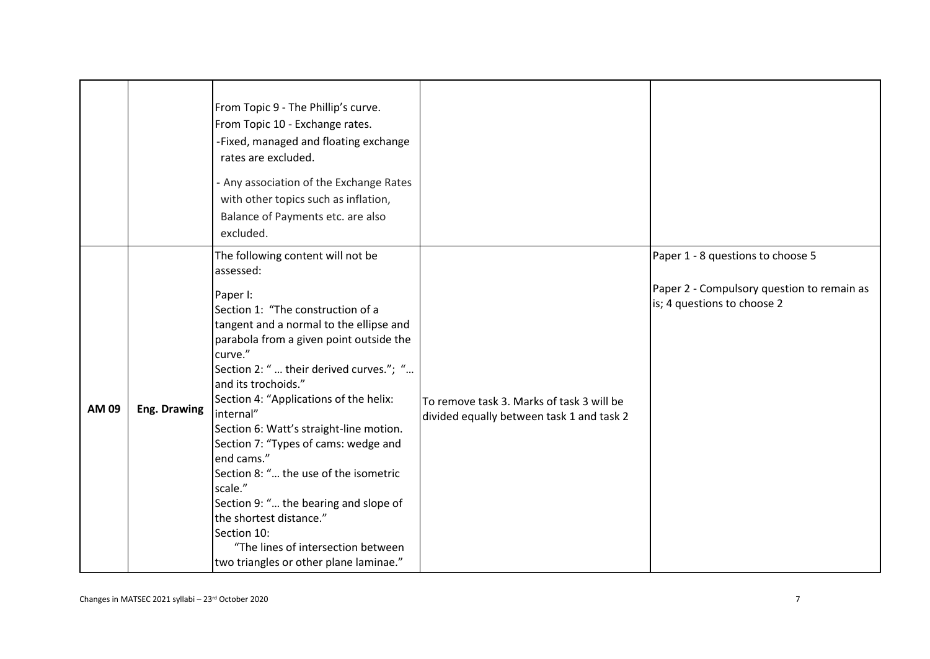|       |              | From Topic 9 - The Phillip's curve.<br>From Topic 10 - Exchange rates.<br>-Fixed, managed and floating exchange<br>rates are excluded.<br>- Any association of the Exchange Rates<br>with other topics such as inflation,<br>Balance of Payments etc. are also<br>excluded.                                                                                                                                                                                                                                                                                                                                                                       |                                                                                        |                                                                                                                |
|-------|--------------|---------------------------------------------------------------------------------------------------------------------------------------------------------------------------------------------------------------------------------------------------------------------------------------------------------------------------------------------------------------------------------------------------------------------------------------------------------------------------------------------------------------------------------------------------------------------------------------------------------------------------------------------------|----------------------------------------------------------------------------------------|----------------------------------------------------------------------------------------------------------------|
| AM 09 | Eng. Drawing | The following content will not be<br>assessed:<br>Paper I:<br>Section 1: "The construction of a<br>tangent and a normal to the ellipse and<br>parabola from a given point outside the<br>curve."<br>Section 2: "  their derived curves."; "<br>and its trochoids."<br>Section 4: "Applications of the helix:<br>internal"<br>Section 6: Watt's straight-line motion.<br>Section 7: "Types of cams: wedge and<br>end cams."<br>Section 8: " the use of the isometric<br>scale."<br>Section 9: " the bearing and slope of<br>the shortest distance."<br>Section 10:<br>"The lines of intersection between<br>two triangles or other plane laminae." | To remove task 3. Marks of task 3 will be<br>divided equally between task 1 and task 2 | Paper 1 - 8 questions to choose 5<br>Paper 2 - Compulsory question to remain as<br>is; 4 questions to choose 2 |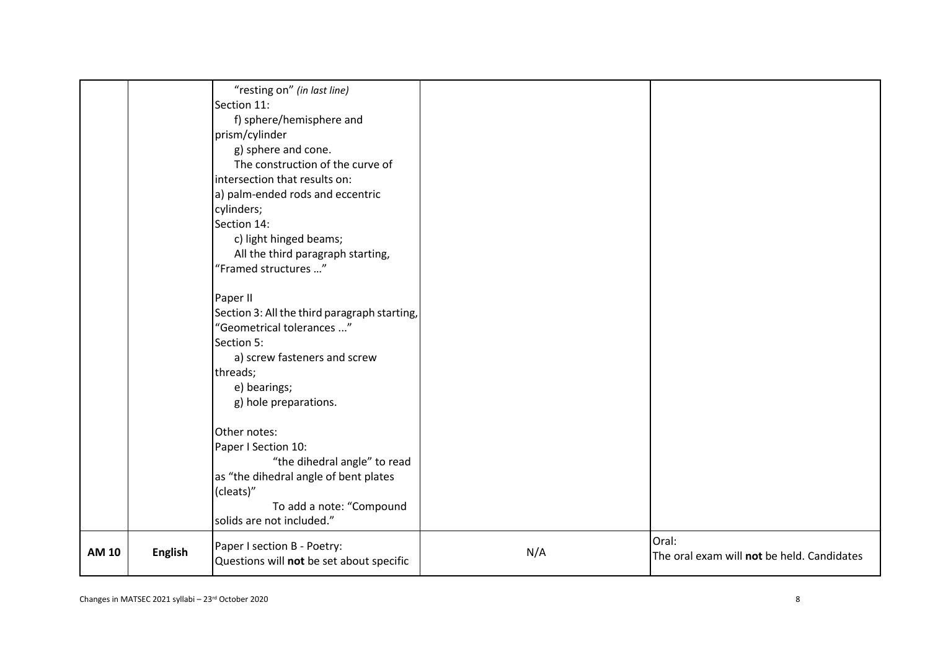| N/A | Oral:<br>The oral exam will not be held. Candidates |
|-----|-----------------------------------------------------|
|     |                                                     |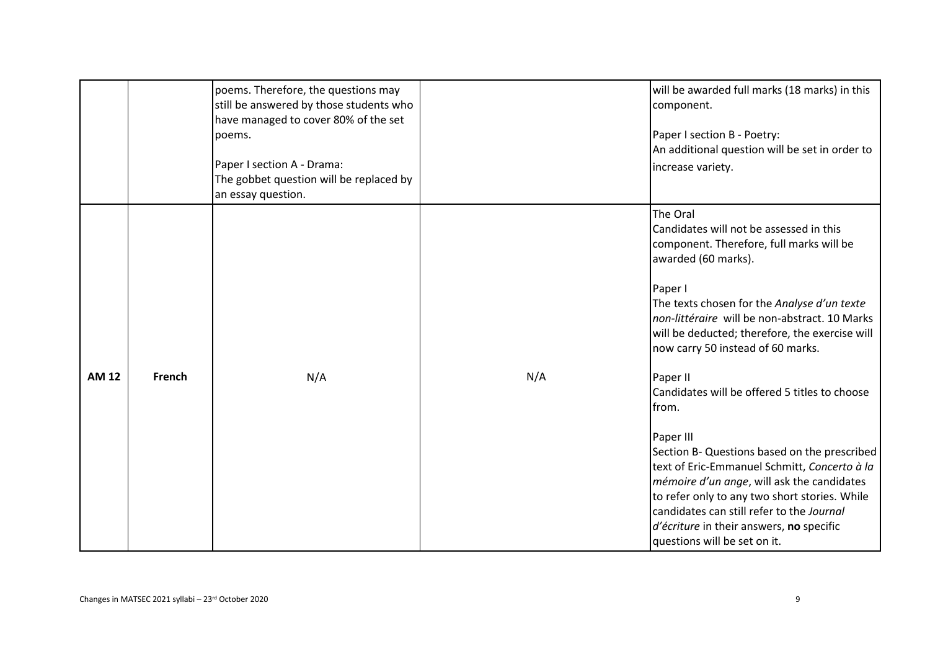|              |               | poems. Therefore, the questions may<br>still be answered by those students who<br>have managed to cover 80% of the set<br>poems.<br>Paper I section A - Drama:<br>The gobbet question will be replaced by<br>an essay question. |     | will be awarded full marks (18 marks) in this<br>component.<br>Paper I section B - Poetry:<br>An additional question will be set in order to<br>increase variety.                                                                                                                                                                                                                                               |
|--------------|---------------|---------------------------------------------------------------------------------------------------------------------------------------------------------------------------------------------------------------------------------|-----|-----------------------------------------------------------------------------------------------------------------------------------------------------------------------------------------------------------------------------------------------------------------------------------------------------------------------------------------------------------------------------------------------------------------|
|              |               |                                                                                                                                                                                                                                 |     | The Oral<br>Candidates will not be assessed in this<br>component. Therefore, full marks will be<br>awarded (60 marks).<br>Paper I<br>The texts chosen for the Analyse d'un texte<br>non-littéraire will be non-abstract. 10 Marks<br>will be deducted; therefore, the exercise will<br>now carry 50 instead of 60 marks.                                                                                        |
| <b>AM 12</b> | <b>French</b> | N/A                                                                                                                                                                                                                             | N/A | Paper II<br>Candidates will be offered 5 titles to choose<br>from.<br>Paper III<br>Section B- Questions based on the prescribed<br>text of Eric-Emmanuel Schmitt, Concerto à la<br><i>mémoire d'un ange</i> , will ask the candidates<br>to refer only to any two short stories. While<br>candidates can still refer to the Journal<br>d'écriture in their answers, no specific<br>questions will be set on it. |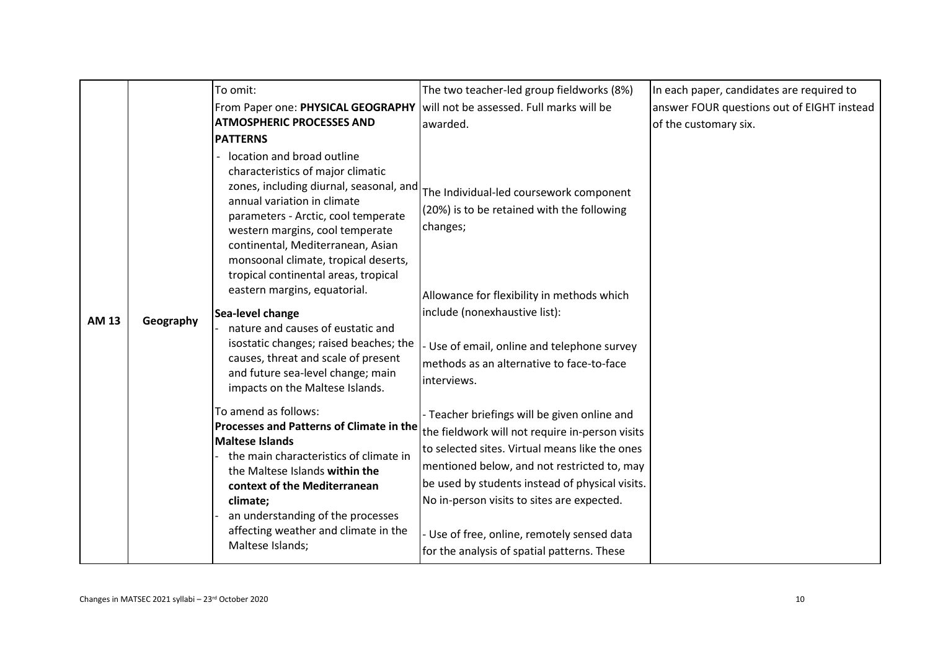|              |           | To omit:                                                                                                                                                                                                                                                                                                                                 | The two teacher-led group fieldworks (8%)                                                                                                                                                                                                                                                                                                                                                     | In each paper, candidates are required to  |
|--------------|-----------|------------------------------------------------------------------------------------------------------------------------------------------------------------------------------------------------------------------------------------------------------------------------------------------------------------------------------------------|-----------------------------------------------------------------------------------------------------------------------------------------------------------------------------------------------------------------------------------------------------------------------------------------------------------------------------------------------------------------------------------------------|--------------------------------------------|
|              |           | From Paper one: PHYSICAL GEOGRAPHY                                                                                                                                                                                                                                                                                                       | will not be assessed. Full marks will be                                                                                                                                                                                                                                                                                                                                                      | answer FOUR questions out of EIGHT instead |
|              |           | <b>ATMOSPHERIC PROCESSES AND</b>                                                                                                                                                                                                                                                                                                         | awarded.                                                                                                                                                                                                                                                                                                                                                                                      | of the customary six.                      |
|              |           | <b>PATTERNS</b>                                                                                                                                                                                                                                                                                                                          |                                                                                                                                                                                                                                                                                                                                                                                               |                                            |
|              |           | location and broad outline<br>characteristics of major climatic<br>zones, including diurnal, seasonal, and<br>annual variation in climate<br>parameters - Arctic, cool temperate<br>western margins, cool temperate<br>continental, Mediterranean, Asian<br>monsoonal climate, tropical deserts,<br>tropical continental areas, tropical | The Individual-led coursework component<br>(20%) is to be retained with the following<br>changes;                                                                                                                                                                                                                                                                                             |                                            |
|              |           | eastern margins, equatorial.                                                                                                                                                                                                                                                                                                             | Allowance for flexibility in methods which                                                                                                                                                                                                                                                                                                                                                    |                                            |
| <b>AM 13</b> | Geography | Sea-level change<br>nature and causes of eustatic and<br>isostatic changes; raised beaches; the<br>causes, threat and scale of present<br>and future sea-level change; main<br>impacts on the Maltese Islands.                                                                                                                           | include (nonexhaustive list):<br>Use of email, online and telephone survey<br>methods as an alternative to face-to-face<br>interviews.                                                                                                                                                                                                                                                        |                                            |
|              |           | To amend as follows:<br>Processes and Patterns of Climate in the<br><b>Maltese Islands</b><br>the main characteristics of climate in<br>the Maltese Islands within the<br>context of the Mediterranean<br>climate;<br>an understanding of the processes<br>affecting weather and climate in the<br>Maltese Islands;                      | - Teacher briefings will be given online and<br>the fieldwork will not require in-person visits<br>to selected sites. Virtual means like the ones<br>mentioned below, and not restricted to, may<br>be used by students instead of physical visits.<br>No in-person visits to sites are expected.<br>Use of free, online, remotely sensed data<br>for the analysis of spatial patterns. These |                                            |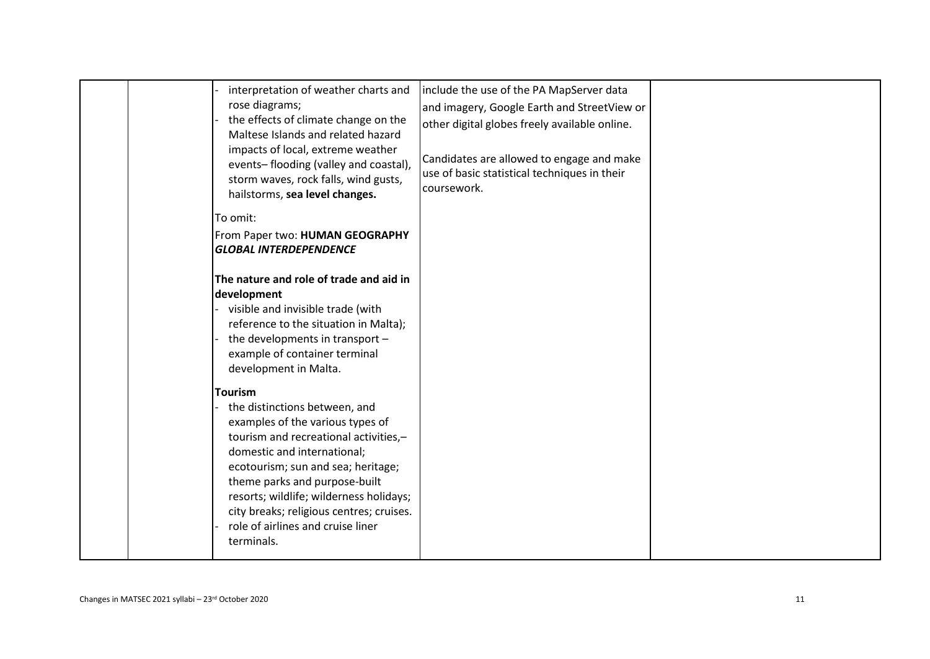|  | interpretation of weather charts and<br>rose diagrams;<br>the effects of climate change on the<br>Maltese Islands and related hazard<br>impacts of local, extreme weather<br>events-flooding (valley and coastal),<br>storm waves, rock falls, wind gusts,<br>hailstorms, sea level changes.                                                                                 | include the use of the PA MapServer data<br>and imagery, Google Earth and StreetView or<br>other digital globes freely available online.<br>Candidates are allowed to engage and make<br>use of basic statistical techniques in their<br>coursework. |  |
|--|------------------------------------------------------------------------------------------------------------------------------------------------------------------------------------------------------------------------------------------------------------------------------------------------------------------------------------------------------------------------------|------------------------------------------------------------------------------------------------------------------------------------------------------------------------------------------------------------------------------------------------------|--|
|  | To omit:<br>From Paper two: HUMAN GEOGRAPHY<br><b>GLOBAL INTERDEPENDENCE</b>                                                                                                                                                                                                                                                                                                 |                                                                                                                                                                                                                                                      |  |
|  | The nature and role of trade and aid in<br>development<br>visible and invisible trade (with<br>reference to the situation in Malta);<br>the developments in transport -<br>example of container terminal<br>development in Malta.                                                                                                                                            |                                                                                                                                                                                                                                                      |  |
|  | <b>Tourism</b><br>the distinctions between, and<br>examples of the various types of<br>tourism and recreational activities,-<br>domestic and international;<br>ecotourism; sun and sea; heritage;<br>theme parks and purpose-built<br>resorts; wildlife; wilderness holidays;<br>city breaks; religious centres; cruises.<br>role of airlines and cruise liner<br>terminals. |                                                                                                                                                                                                                                                      |  |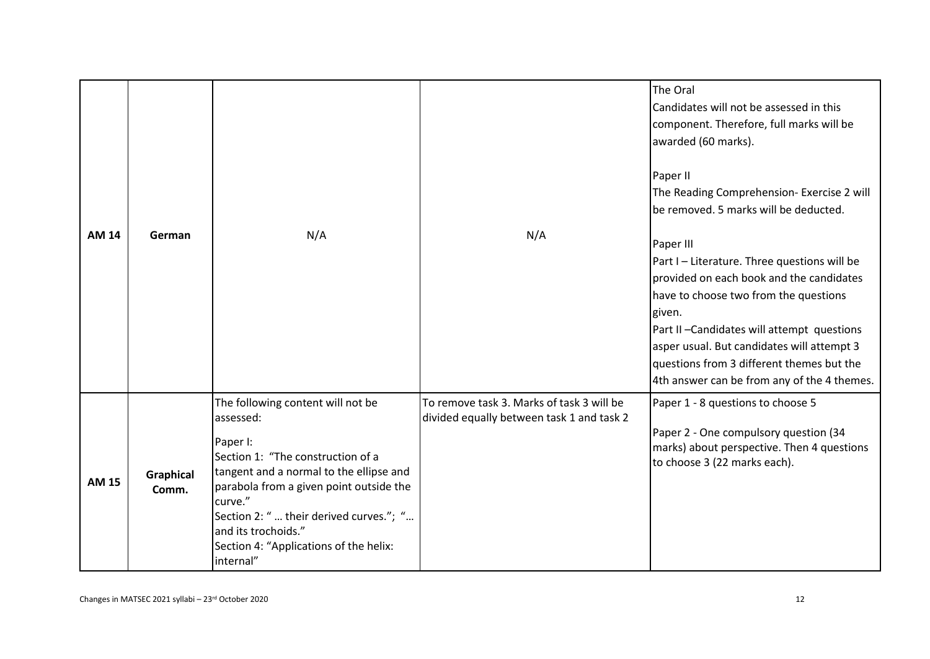| <b>AM 14</b> | German                    | N/A                                                                                                                                                                                                                                                                                                                       | N/A                                                                                    | The Oral<br>Candidates will not be assessed in this<br>component. Therefore, full marks will be<br>awarded (60 marks).<br>Paper II<br>The Reading Comprehension- Exercise 2 will<br>be removed. 5 marks will be deducted.<br>Paper III<br>Part I - Literature. Three questions will be<br>provided on each book and the candidates<br>have to choose two from the questions<br>given.<br>Part II-Candidates will attempt questions<br>asper usual. But candidates will attempt 3<br>questions from 3 different themes but the<br>4th answer can be from any of the 4 themes. |
|--------------|---------------------------|---------------------------------------------------------------------------------------------------------------------------------------------------------------------------------------------------------------------------------------------------------------------------------------------------------------------------|----------------------------------------------------------------------------------------|------------------------------------------------------------------------------------------------------------------------------------------------------------------------------------------------------------------------------------------------------------------------------------------------------------------------------------------------------------------------------------------------------------------------------------------------------------------------------------------------------------------------------------------------------------------------------|
| <b>AM 15</b> | <b>Graphical</b><br>Comm. | The following content will not be<br>assessed:<br>Paper I:<br>Section 1: "The construction of a<br>tangent and a normal to the ellipse and<br>parabola from a given point outside the<br>curve."<br>Section 2: "  their derived curves."; "<br>and its trochoids."<br>Section 4: "Applications of the helix:<br>internal" | To remove task 3. Marks of task 3 will be<br>divided equally between task 1 and task 2 | Paper 1 - 8 questions to choose 5<br>Paper 2 - One compulsory question (34<br>marks) about perspective. Then 4 questions<br>to choose 3 (22 marks each).                                                                                                                                                                                                                                                                                                                                                                                                                     |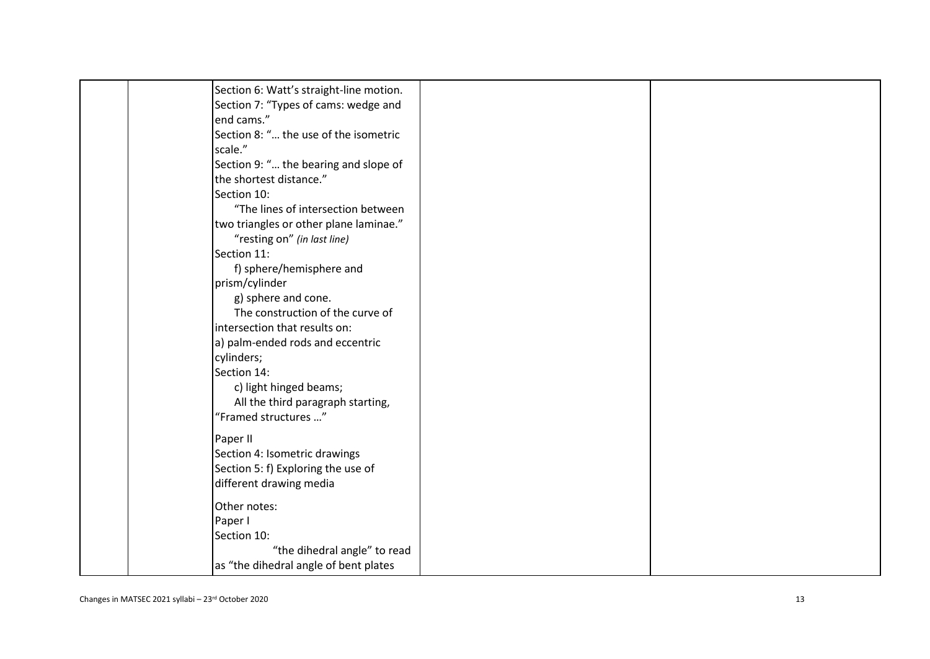| Section 6: Watt's straight-line motion. |  |
|-----------------------------------------|--|
| Section 7: "Types of cams: wedge and    |  |
| end cams."                              |  |
| Section 8: " the use of the isometric   |  |
| scale."                                 |  |
| Section 9: " the bearing and slope of   |  |
| the shortest distance."                 |  |
| Section 10:                             |  |
| "The lines of intersection between      |  |
| two triangles or other plane laminae."  |  |
| "resting on" (in last line)             |  |
| Section 11:                             |  |
| f) sphere/hemisphere and                |  |
| prism/cylinder                          |  |
| g) sphere and cone.                     |  |
| The construction of the curve of        |  |
| intersection that results on:           |  |
| a) palm-ended rods and eccentric        |  |
| cylinders;                              |  |
| Section 14:                             |  |
| c) light hinged beams;                  |  |
| All the third paragraph starting,       |  |
| "Framed structures "                    |  |
| Paper II                                |  |
| Section 4: Isometric drawings           |  |
| Section 5: f) Exploring the use of      |  |
| different drawing media                 |  |
| Other notes:                            |  |
| Paper I                                 |  |
| Section 10:                             |  |
| "the dihedral angle" to read            |  |
| as "the dihedral angle of bent plates   |  |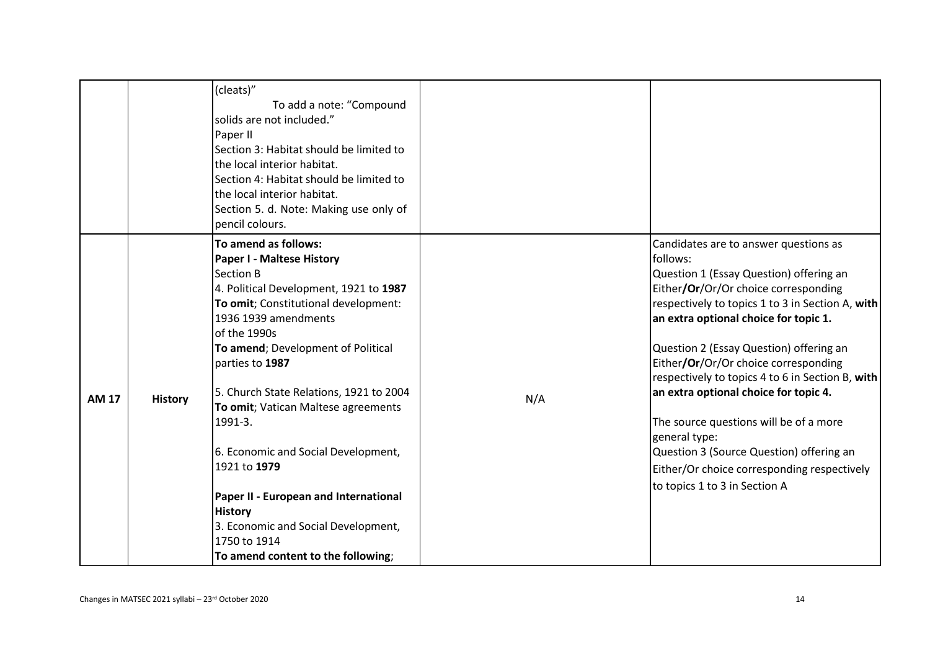|              |                | (cleats)"<br>To add a note: "Compound<br>solids are not included."<br>Paper II<br>Section 3: Habitat should be limited to<br>the local interior habitat.<br>Section 4: Habitat should be limited to<br>the local interior habitat.<br>Section 5. d. Note: Making use only of<br>pencil colours.                                                                                                                                                                                                                                                                      |     |                                                                                                                                                                                                                                                                                                                                                                                                                                                                                                                                                                                                          |
|--------------|----------------|----------------------------------------------------------------------------------------------------------------------------------------------------------------------------------------------------------------------------------------------------------------------------------------------------------------------------------------------------------------------------------------------------------------------------------------------------------------------------------------------------------------------------------------------------------------------|-----|----------------------------------------------------------------------------------------------------------------------------------------------------------------------------------------------------------------------------------------------------------------------------------------------------------------------------------------------------------------------------------------------------------------------------------------------------------------------------------------------------------------------------------------------------------------------------------------------------------|
| <b>AM 17</b> | <b>History</b> | To amend as follows:<br><b>Paper I - Maltese History</b><br>Section B<br>4. Political Development, 1921 to 1987<br>To omit; Constitutional development:<br>1936 1939 amendments<br>of the 1990s<br>To amend; Development of Political<br>parties to 1987<br>5. Church State Relations, 1921 to 2004<br>To omit; Vatican Maltese agreements<br>1991-3.<br>6. Economic and Social Development,<br>1921 to 1979<br>Paper II - European and International<br><b>History</b><br>3. Economic and Social Development,<br>1750 to 1914<br>To amend content to the following; | N/A | Candidates are to answer questions as<br>follows:<br>Question 1 (Essay Question) offering an<br>Either/Or/Or/Or choice corresponding<br>respectively to topics 1 to 3 in Section A, with<br>an extra optional choice for topic 1.<br>Question 2 (Essay Question) offering an<br>Either/Or/Or/Or choice corresponding<br>respectively to topics 4 to 6 in Section B, with<br>an extra optional choice for topic 4.<br>The source questions will be of a more<br>general type:<br>Question 3 (Source Question) offering an<br>Either/Or choice corresponding respectively<br>to topics 1 to 3 in Section A |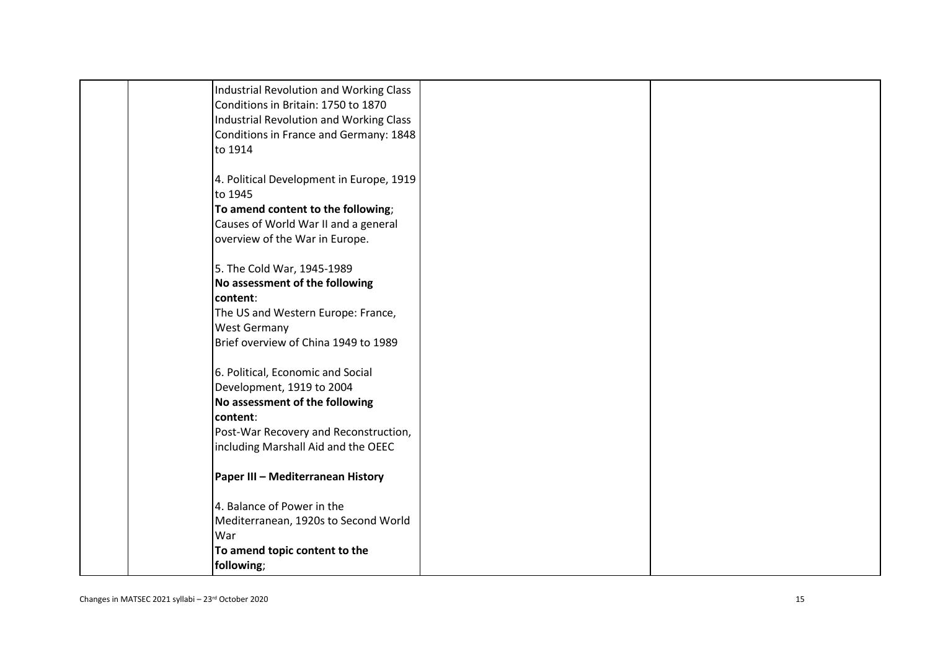| Industrial Revolution and Working Class     |  |
|---------------------------------------------|--|
| Conditions in Britain: 1750 to 1870         |  |
| Industrial Revolution and Working Class     |  |
| Conditions in France and Germany: 1848      |  |
| to 1914                                     |  |
|                                             |  |
| 4. Political Development in Europe, 1919    |  |
| to 1945                                     |  |
| To amend content to the following;          |  |
| Causes of World War II and a general        |  |
| overview of the War in Europe.              |  |
| 5. The Cold War, 1945-1989                  |  |
| No assessment of the following              |  |
| content:                                    |  |
| The US and Western Europe: France,          |  |
| <b>West Germany</b>                         |  |
| Brief overview of China 1949 to 1989        |  |
|                                             |  |
| 6. Political, Economic and Social           |  |
| Development, 1919 to 2004                   |  |
| No assessment of the following              |  |
| content:                                    |  |
| Post-War Recovery and Reconstruction,       |  |
| including Marshall Aid and the OEEC         |  |
|                                             |  |
| Paper III - Mediterranean History           |  |
|                                             |  |
| 4. Balance of Power in the                  |  |
| Mediterranean, 1920s to Second World<br>War |  |
| To amend topic content to the               |  |
| following;                                  |  |
|                                             |  |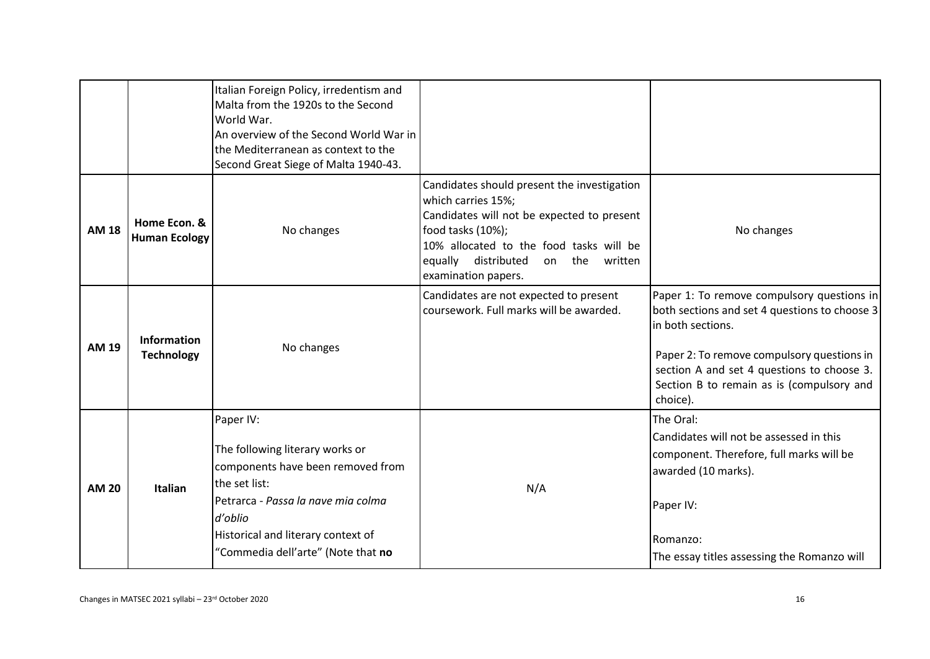|              |                                         | Italian Foreign Policy, irredentism and<br>Malta from the 1920s to the Second<br>World War.<br>An overview of the Second World War in<br>the Mediterranean as context to the<br>Second Great Siege of Malta 1940-43.            |                                                                                                                                                                                                                                                 |                                                                                                                                                                                                                                                                       |
|--------------|-----------------------------------------|---------------------------------------------------------------------------------------------------------------------------------------------------------------------------------------------------------------------------------|-------------------------------------------------------------------------------------------------------------------------------------------------------------------------------------------------------------------------------------------------|-----------------------------------------------------------------------------------------------------------------------------------------------------------------------------------------------------------------------------------------------------------------------|
| <b>AM 18</b> | Home Econ. &<br><b>Human Ecology</b>    | No changes                                                                                                                                                                                                                      | Candidates should present the investigation<br>which carries 15%;<br>Candidates will not be expected to present<br>food tasks (10%);<br>10% allocated to the food tasks will be<br>equally distributed<br>on the written<br>examination papers. | No changes                                                                                                                                                                                                                                                            |
| <b>AM 19</b> | <b>Information</b><br><b>Technology</b> | No changes                                                                                                                                                                                                                      | Candidates are not expected to present<br>coursework. Full marks will be awarded.                                                                                                                                                               | Paper 1: To remove compulsory questions in<br>both sections and set 4 questions to choose 3<br>in both sections.<br>Paper 2: To remove compulsory questions in<br>section A and set 4 questions to choose 3.<br>Section B to remain as is (compulsory and<br>choice). |
| <b>AM 20</b> | Italian                                 | Paper IV:<br>The following literary works or<br>components have been removed from<br>the set list:<br>Petrarca - Passa la nave mia colma<br>d'oblio<br>Historical and literary context of<br>"Commedia dell'arte" (Note that no | N/A                                                                                                                                                                                                                                             | The Oral:<br>Candidates will not be assessed in this<br>component. Therefore, full marks will be<br>awarded (10 marks).<br>Paper IV:<br>Romanzo:<br>The essay titles assessing the Romanzo will                                                                       |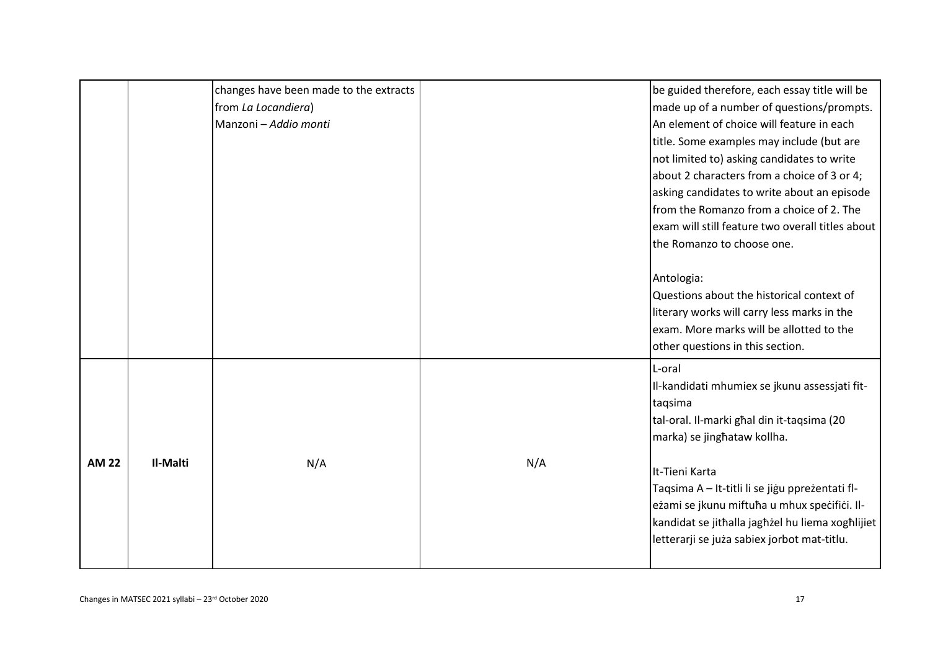|              |          | changes have been made to the extracts |     | be guided therefore, each essay title will be    |
|--------------|----------|----------------------------------------|-----|--------------------------------------------------|
|              |          | from La Locandiera)                    |     | made up of a number of questions/prompts.        |
|              |          | Manzoni - Addio monti                  |     | An element of choice will feature in each        |
|              |          |                                        |     | title. Some examples may include (but are        |
|              |          |                                        |     | not limited to) asking candidates to write       |
|              |          |                                        |     | about 2 characters from a choice of 3 or 4;      |
|              |          |                                        |     | asking candidates to write about an episode      |
|              |          |                                        |     | from the Romanzo from a choice of 2. The         |
|              |          |                                        |     | exam will still feature two overall titles about |
|              |          |                                        |     | the Romanzo to choose one.                       |
|              |          |                                        |     |                                                  |
|              |          |                                        |     | Antologia:                                       |
|              |          |                                        |     | Questions about the historical context of        |
|              |          |                                        |     | literary works will carry less marks in the      |
|              |          |                                        |     | exam. More marks will be allotted to the         |
|              |          |                                        |     | other questions in this section.                 |
|              |          |                                        |     | L-oral                                           |
|              |          |                                        |     | Il-kandidati mhumiex se jkunu assessjati fit-    |
|              |          |                                        |     | taqsima                                          |
|              |          |                                        |     | tal-oral. Il-marki ghal din it-taqsima (20       |
|              |          |                                        |     | marka) se jinghataw kollha.                      |
| <b>AM 22</b> | Il-Malti | N/A                                    | N/A |                                                  |
|              |          |                                        |     | It-Tieni Karta                                   |
|              |          |                                        |     | Taqsima A - It-titli li se jigu pprezentati fl-  |
|              |          |                                        |     | eżami se jkunu miftuħa u mhux specifici. Il-     |
|              |          |                                        |     | kandidat se jithalla jaghżel hu liema xoghlijiet |
|              |          |                                        |     | letterarji se juża sabiex jorbot mat-titlu.      |
|              |          |                                        |     |                                                  |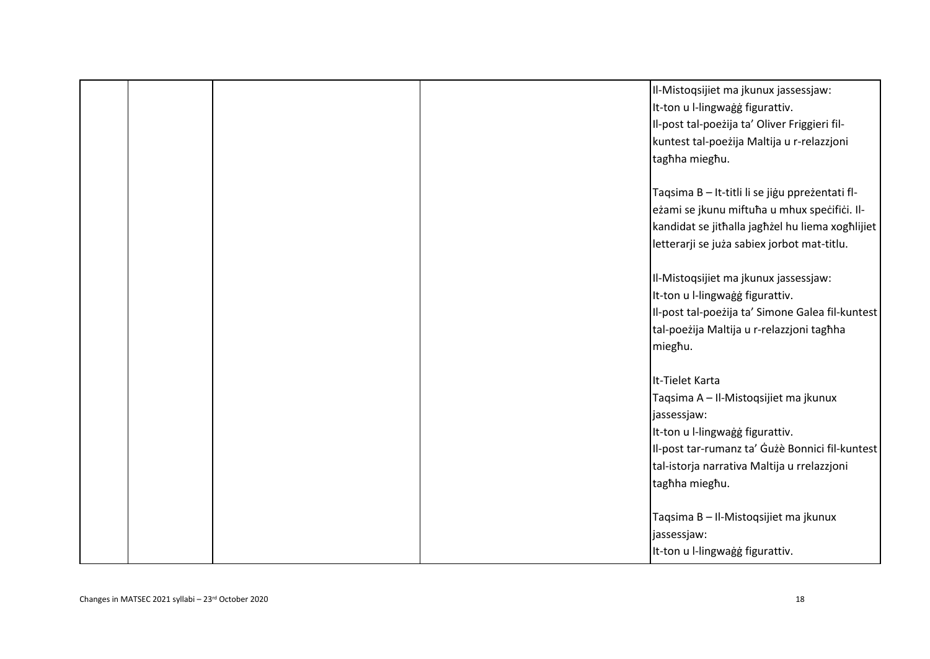|  | Il-Mistoqsijiet ma jkunux jassessjaw:            |
|--|--------------------------------------------------|
|  | It-ton u I-lingwaġġ figurattiv.                  |
|  | Il-post tal-poezija ta' Oliver Friggieri fil-    |
|  | kuntest tal-poeżija Maltija u r-relazzjoni       |
|  | tagħha miegħu.                                   |
|  |                                                  |
|  | Taqsima B - It-titli li se jigu ppreżentati fl-  |
|  | eżami se jkunu miftuħa u mhux specifici. Il-     |
|  | kandidat se jithalla jaghżel hu liema xoghlijiet |
|  | letterarji se juża sabiex jorbot mat-titlu.      |
|  | Il-Mistoqsijiet ma jkunux jassessjaw:            |
|  | It-ton u l-lingwaġġ figurattiv.                  |
|  | Il-post tal-poeżija ta' Simone Galea fil-kuntest |
|  | tal-poeżija Maltija u r-relazzjoni taghha        |
|  | miegħu.                                          |
|  |                                                  |
|  | It-Tielet Karta                                  |
|  | Taqsima A - Il-Mistoqsijiet ma jkunux            |
|  | jassessjaw:                                      |
|  | It-ton u l-lingwaġġ figurattiv.                  |
|  | Il-post tar-rumanz ta' Gużè Bonnici fil-kuntest  |
|  | tal-istorja narrativa Maltija u rrelazzjoni      |
|  | tagħha miegħu.                                   |
|  |                                                  |
|  | Taqsima B - Il-Mistoqsijiet ma jkunux            |
|  | jassessjaw:                                      |
|  | It-ton u l-lingwaġġ figurattiv.                  |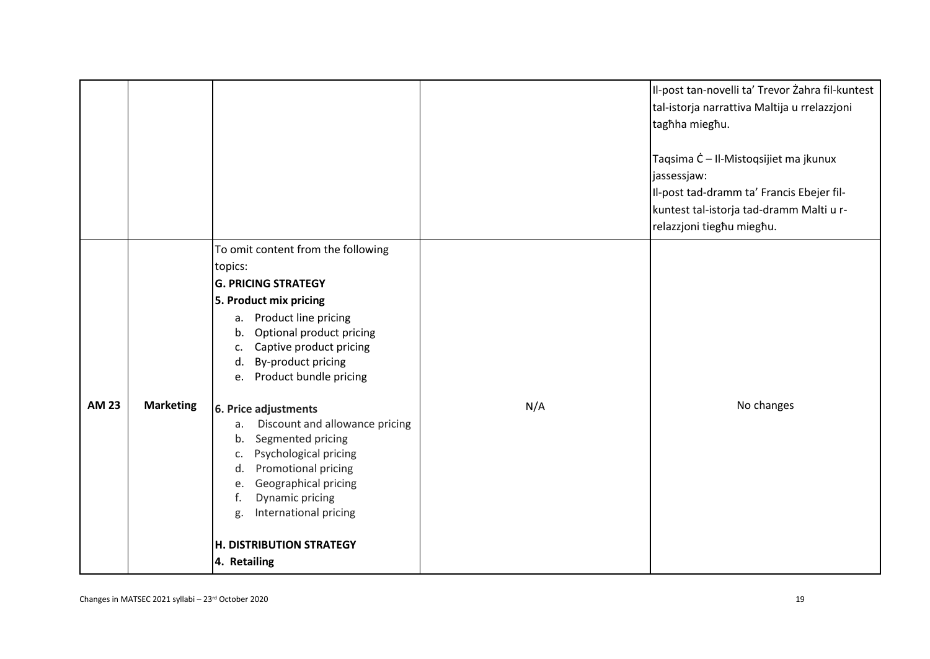|              |                  |                                                                                                                                                                                                                                                                                                     |     | Il-post tan-novelli ta' Trevor Żahra fil-kuntest<br>tal-istorja narrattiva Maltija u rrelazzjoni<br>tagħha miegħu.<br>Taqsima Ċ - Il-Mistoqsijiet ma jkunux<br>jassessjaw:<br>Il-post tad-dramm ta' Francis Ebejer fil-<br>kuntest tal-istorja tad-dramm Malti u r-<br>relazzjoni tieghu mieghu. |
|--------------|------------------|-----------------------------------------------------------------------------------------------------------------------------------------------------------------------------------------------------------------------------------------------------------------------------------------------------|-----|--------------------------------------------------------------------------------------------------------------------------------------------------------------------------------------------------------------------------------------------------------------------------------------------------|
|              |                  | To omit content from the following<br>topics:<br><b>G. PRICING STRATEGY</b><br>5. Product mix pricing<br>Product line pricing<br>a.<br>Optional product pricing<br>b.<br>Captive product pricing<br>c.<br>By-product pricing<br>d.<br>Product bundle pricing<br>e.                                  |     |                                                                                                                                                                                                                                                                                                  |
| <b>AM 23</b> | <b>Marketing</b> | 6. Price adjustments<br>Discount and allowance pricing<br>a.<br>Segmented pricing<br>b.<br>Psychological pricing<br>c.<br>Promotional pricing<br>d.<br>Geographical pricing<br>e.<br><b>Dynamic pricing</b><br>f.<br>International pricing<br>g.<br><b>H. DISTRIBUTION STRATEGY</b><br>4. Retailing | N/A | No changes                                                                                                                                                                                                                                                                                       |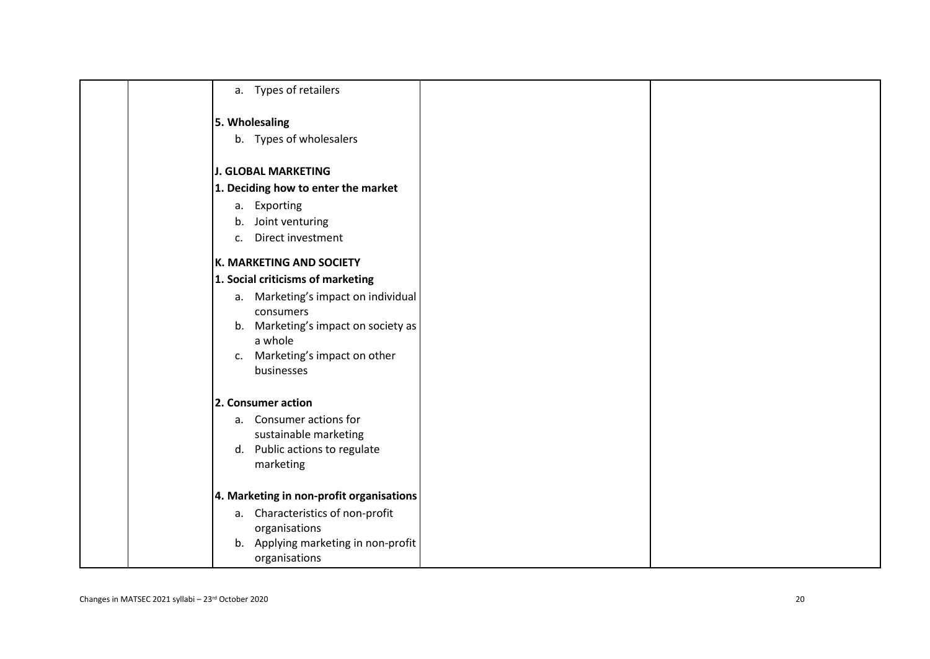| a. Types of retailers                             |
|---------------------------------------------------|
| 5. Wholesaling                                    |
| b. Types of wholesalers                           |
| <b>J. GLOBAL MARKETING</b>                        |
| 1. Deciding how to enter the market               |
| a. Exporting                                      |
| b. Joint venturing                                |
| Direct investment<br>C <sub>1</sub>               |
| <b>K. MARKETING AND SOCIETY</b>                   |
| 1. Social criticisms of marketing                 |
| a. Marketing's impact on individual               |
| consumers                                         |
| b. Marketing's impact on society as<br>a whole    |
| Marketing's impact on other<br>c.                 |
| businesses                                        |
|                                                   |
| 2. Consumer action                                |
| a. Consumer actions for<br>sustainable marketing  |
| d. Public actions to regulate                     |
| marketing                                         |
|                                                   |
| 4. Marketing in non-profit organisations          |
| a. Characteristics of non-profit<br>organisations |
| b. Applying marketing in non-profit               |
| organisations                                     |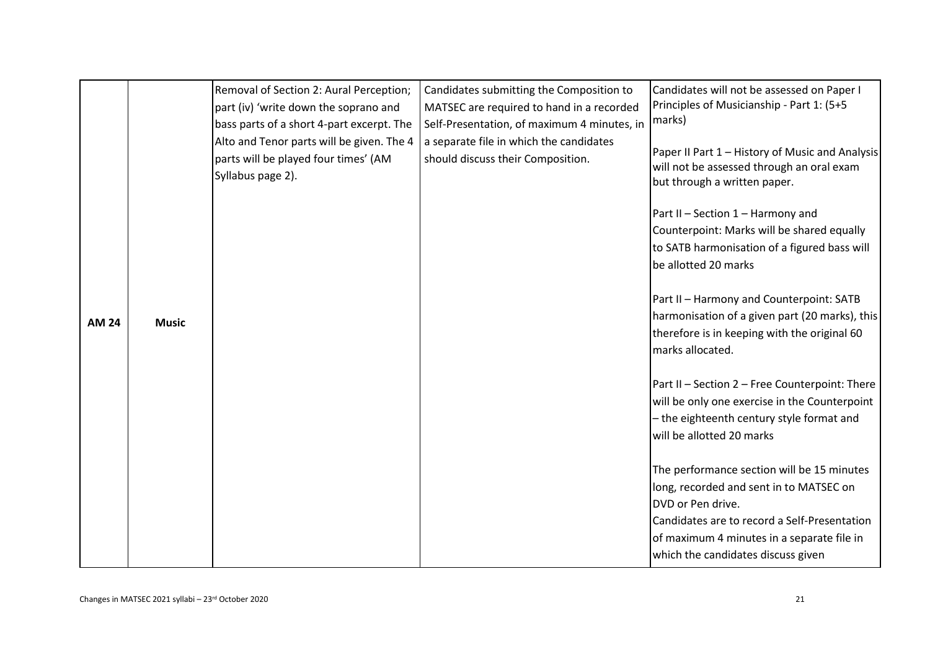| <b>AM 24</b> | <b>Music</b> | Removal of Section 2: Aural Perception;<br>part (iv) 'write down the soprano and<br>bass parts of a short 4-part excerpt. The<br>Alto and Tenor parts will be given. The 4<br>parts will be played four times' (AM<br>Syllabus page 2). | Candidates submitting the Composition to<br>MATSEC are required to hand in a recorded<br>Self-Presentation, of maximum 4 minutes, in<br>a separate file in which the candidates<br>should discuss their Composition. | Candidates will not be assessed on Paper I<br>Principles of Musicianship - Part 1: (5+5<br>marks)<br>Paper II Part 1 – History of Music and Analysis<br>will not be assessed through an oral exam<br>but through a written paper.<br>Part II - Section 1 - Harmony and<br>Counterpoint: Marks will be shared equally<br>to SATB harmonisation of a figured bass will<br>be allotted 20 marks<br>Part II - Harmony and Counterpoint: SATB<br>harmonisation of a given part (20 marks), this<br>therefore is in keeping with the original 60<br>marks allocated.<br>Part II - Section 2 - Free Counterpoint: There<br>will be only one exercise in the Counterpoint<br>- the eighteenth century style format and<br>will be allotted 20 marks |
|--------------|--------------|-----------------------------------------------------------------------------------------------------------------------------------------------------------------------------------------------------------------------------------------|----------------------------------------------------------------------------------------------------------------------------------------------------------------------------------------------------------------------|---------------------------------------------------------------------------------------------------------------------------------------------------------------------------------------------------------------------------------------------------------------------------------------------------------------------------------------------------------------------------------------------------------------------------------------------------------------------------------------------------------------------------------------------------------------------------------------------------------------------------------------------------------------------------------------------------------------------------------------------|
|              |              |                                                                                                                                                                                                                                         |                                                                                                                                                                                                                      | The performance section will be 15 minutes<br>long, recorded and sent in to MATSEC on<br>DVD or Pen drive.<br>Candidates are to record a Self-Presentation<br>of maximum 4 minutes in a separate file in<br>which the candidates discuss given                                                                                                                                                                                                                                                                                                                                                                                                                                                                                              |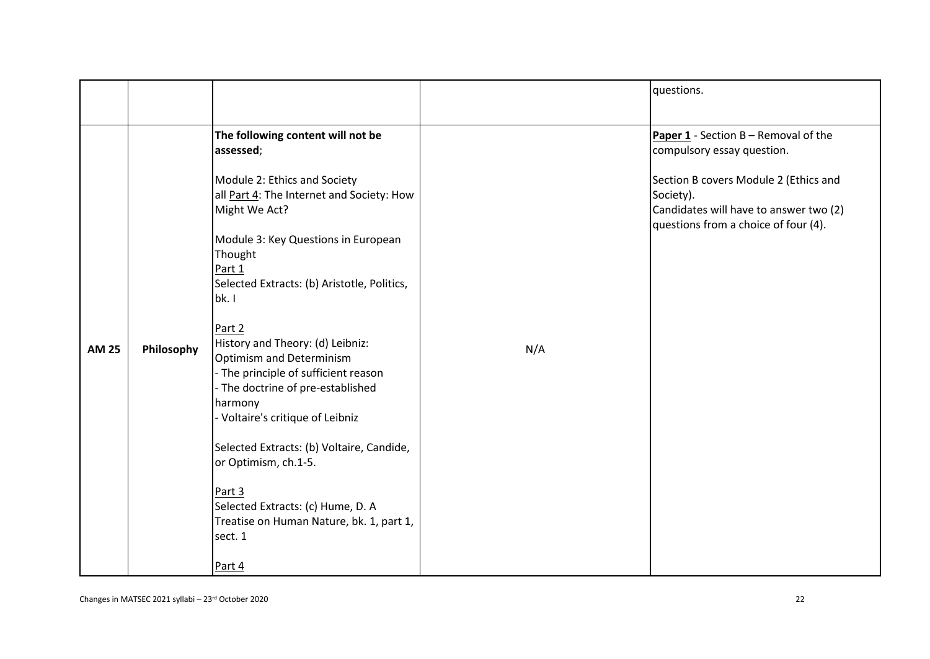|              |            |                                                                                                                                                                                                                                                                                                                                                                                      |     | questions.                                                                                                                                                                                                          |
|--------------|------------|--------------------------------------------------------------------------------------------------------------------------------------------------------------------------------------------------------------------------------------------------------------------------------------------------------------------------------------------------------------------------------------|-----|---------------------------------------------------------------------------------------------------------------------------------------------------------------------------------------------------------------------|
|              |            | The following content will not be<br>assessed;<br>Module 2: Ethics and Society<br>all Part 4: The Internet and Society: How<br>Might We Act?<br>Module 3: Key Questions in European<br>Thought<br>Part 1<br>Selected Extracts: (b) Aristotle, Politics,<br>bk. I<br>Part 2                                                                                                           |     | <b>Paper 1</b> - Section $B -$ Removal of the<br>compulsory essay question.<br>Section B covers Module 2 (Ethics and<br>Society).<br>Candidates will have to answer two (2)<br>questions from a choice of four (4). |
| <b>AM 25</b> | Philosophy | History and Theory: (d) Leibniz:<br><b>Optimism and Determinism</b><br>- The principle of sufficient reason<br>- The doctrine of pre-established<br>harmony<br>- Voltaire's critique of Leibniz<br>Selected Extracts: (b) Voltaire, Candide,<br>or Optimism, ch.1-5.<br>Part 3<br>Selected Extracts: (c) Hume, D. A<br>Treatise on Human Nature, bk. 1, part 1,<br>sect. 1<br>Part 4 | N/A |                                                                                                                                                                                                                     |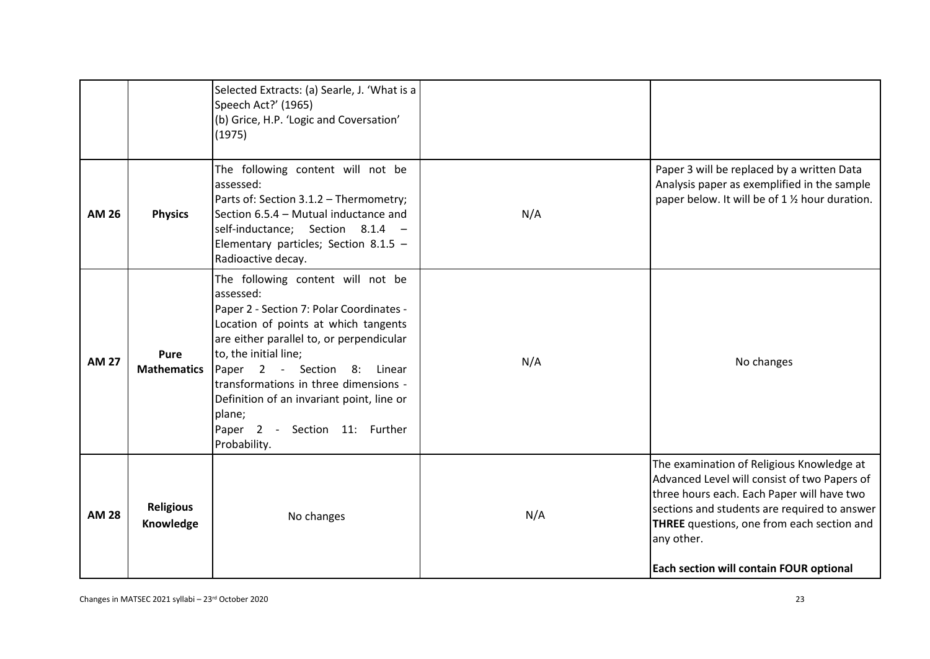|              |                               | Selected Extracts: (a) Searle, J. 'What is a<br>Speech Act?' (1965)<br>(b) Grice, H.P. 'Logic and Coversation'<br>(1975)                                                                                                                                                                                                                                                                   |     |                                                                                                                                                                                                                                                                                                |
|--------------|-------------------------------|--------------------------------------------------------------------------------------------------------------------------------------------------------------------------------------------------------------------------------------------------------------------------------------------------------------------------------------------------------------------------------------------|-----|------------------------------------------------------------------------------------------------------------------------------------------------------------------------------------------------------------------------------------------------------------------------------------------------|
| <b>AM 26</b> | <b>Physics</b>                | The following content will not be<br>assessed:<br>Parts of: Section 3.1.2 - Thermometry;<br>Section 6.5.4 - Mutual inductance and<br>self-inductance; Section 8.1.4 -<br>Elementary particles; Section 8.1.5 -<br>Radioactive decay.                                                                                                                                                       | N/A | Paper 3 will be replaced by a written Data<br>Analysis paper as exemplified in the sample<br>paper below. It will be of 1 % hour duration.                                                                                                                                                     |
| <b>AM 27</b> | Pure<br><b>Mathematics</b>    | The following content will not be<br>assessed:<br>Paper 2 - Section 7: Polar Coordinates -<br>Location of points at which tangents<br>are either parallel to, or perpendicular<br>to, the initial line;<br>Paper 2 - Section 8:<br>Linear<br>transformations in three dimensions -<br>Definition of an invariant point, line or<br>plane;<br>Paper 2 - Section 11: Further<br>Probability. | N/A | No changes                                                                                                                                                                                                                                                                                     |
| <b>AM 28</b> | <b>Religious</b><br>Knowledge | No changes                                                                                                                                                                                                                                                                                                                                                                                 | N/A | The examination of Religious Knowledge at<br>Advanced Level will consist of two Papers of<br>three hours each. Each Paper will have two<br>sections and students are required to answer<br>THREE questions, one from each section and<br>any other.<br>Each section will contain FOUR optional |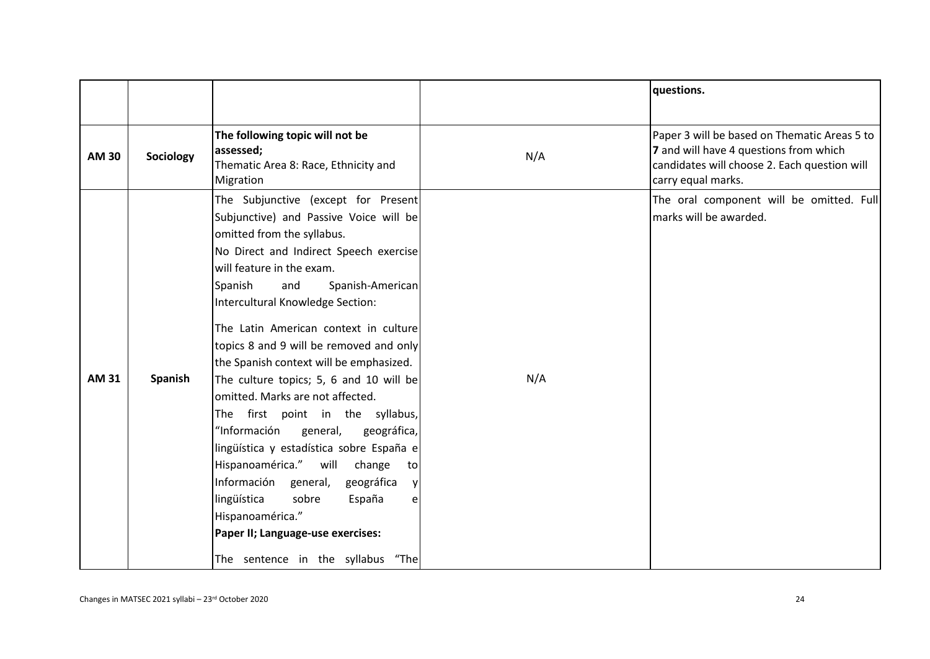|              |                |                                                                                                                                                                                                                                                                                                                                                                                                                                                                                                                                                                                                                                                                                                                                                                                                                          |     | questions.                                                                                                                                                   |
|--------------|----------------|--------------------------------------------------------------------------------------------------------------------------------------------------------------------------------------------------------------------------------------------------------------------------------------------------------------------------------------------------------------------------------------------------------------------------------------------------------------------------------------------------------------------------------------------------------------------------------------------------------------------------------------------------------------------------------------------------------------------------------------------------------------------------------------------------------------------------|-----|--------------------------------------------------------------------------------------------------------------------------------------------------------------|
|              |                |                                                                                                                                                                                                                                                                                                                                                                                                                                                                                                                                                                                                                                                                                                                                                                                                                          |     |                                                                                                                                                              |
| <b>AM 30</b> | Sociology      | The following topic will not be<br>assessed;<br>Thematic Area 8: Race, Ethnicity and<br>Migration                                                                                                                                                                                                                                                                                                                                                                                                                                                                                                                                                                                                                                                                                                                        | N/A | Paper 3 will be based on Thematic Areas 5 to<br>7 and will have 4 questions from which<br>candidates will choose 2. Each question will<br>carry equal marks. |
| <b>AM 31</b> | <b>Spanish</b> | The Subjunctive (except for Present<br>Subjunctive) and Passive Voice will be<br>omitted from the syllabus.<br>No Direct and Indirect Speech exercise<br>will feature in the exam.<br>Spanish<br>and<br>Spanish-American<br>Intercultural Knowledge Section:<br>The Latin American context in culture<br>topics 8 and 9 will be removed and only<br>the Spanish context will be emphasized.<br>The culture topics; 5, 6 and 10 will be<br>omitted. Marks are not affected.<br>The first point in the syllabus,<br>"Información<br>general,<br>geográfica,<br>lingüística y estadística sobre España e<br>Hispanoamérica." will<br>change<br>tol<br>Información<br>general,<br>geográfica<br>lingüística<br>sobre<br>España<br>Hispanoamérica."<br>Paper II; Language-use exercises:<br>The sentence in the syllabus "The | N/A | The oral component will be omitted. Full<br>marks will be awarded.                                                                                           |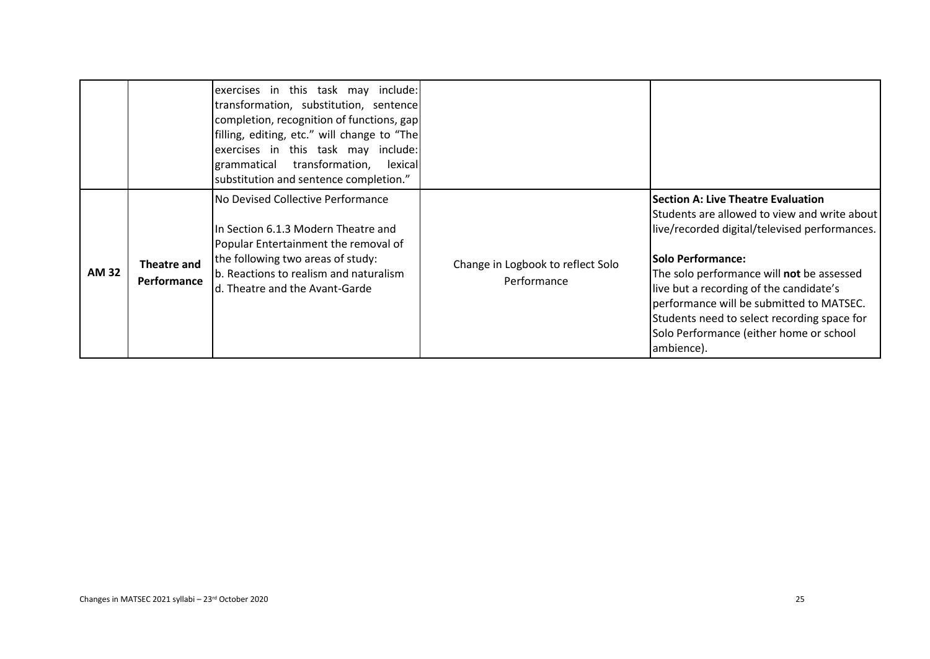|              |                                   | exercises in this task may include:<br>transformation, substitution, sentence<br>completion, recognition of functions, gap<br>filling, editing, etc." will change to "The<br>exercises in this task may include:<br>grammatical transformation,<br>lexical<br>substitution and sentence completion." |                                                  |                                                                                                                                                                                                                                                                                                                                                                                                                    |
|--------------|-----------------------------------|------------------------------------------------------------------------------------------------------------------------------------------------------------------------------------------------------------------------------------------------------------------------------------------------------|--------------------------------------------------|--------------------------------------------------------------------------------------------------------------------------------------------------------------------------------------------------------------------------------------------------------------------------------------------------------------------------------------------------------------------------------------------------------------------|
| <b>AM 32</b> | <b>Theatre and</b><br>Performance | No Devised Collective Performance<br>In Section 6.1.3 Modern Theatre and<br>Popular Entertainment the removal of<br>the following two areas of study:<br>b. Reactions to realism and naturalism<br>d. Theatre and the Avant-Garde                                                                    | Change in Logbook to reflect Solo<br>Performance | <b>Section A: Live Theatre Evaluation</b><br>Students are allowed to view and write about<br>live/recorded digital/televised performances.<br><b>Solo Performance:</b><br>The solo performance will not be assessed<br>live but a recording of the candidate's<br>performance will be submitted to MATSEC.<br>Students need to select recording space for<br>Solo Performance (either home or school<br>ambience). |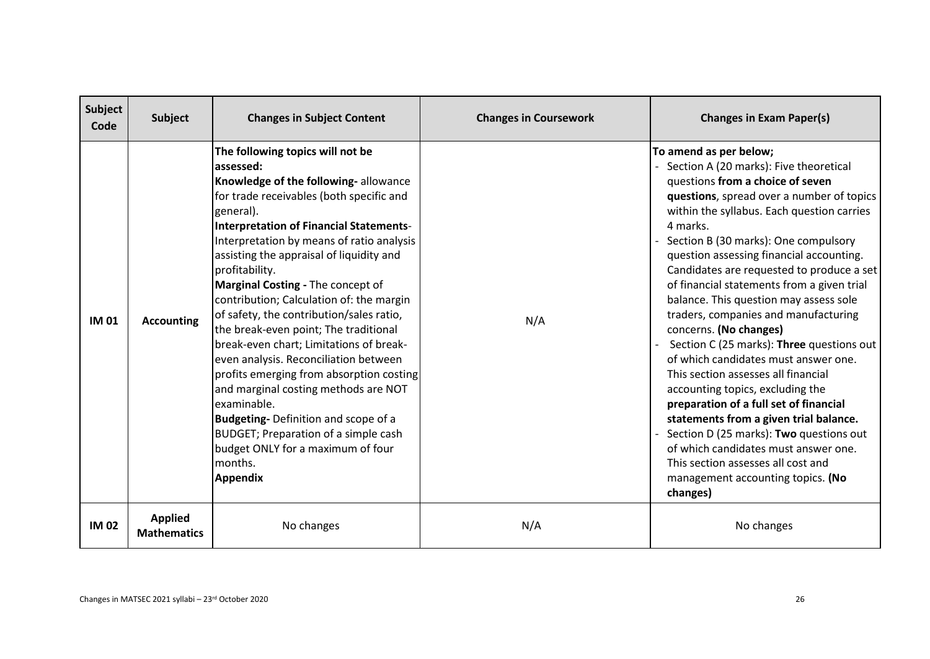| Subject<br>Code | <b>Subject</b>                       | <b>Changes in Subject Content</b>                                                                                                                                                                                                                                                                                                                                                                                                                                                                                                                                                                                                                                                                                                                                                                                          | <b>Changes in Coursework</b> | <b>Changes in Exam Paper(s)</b>                                                                                                                                                                                                                                                                                                                                                                                                                                                                                                                                                                                                                                                                                                                                                                                                                                                                                                      |
|-----------------|--------------------------------------|----------------------------------------------------------------------------------------------------------------------------------------------------------------------------------------------------------------------------------------------------------------------------------------------------------------------------------------------------------------------------------------------------------------------------------------------------------------------------------------------------------------------------------------------------------------------------------------------------------------------------------------------------------------------------------------------------------------------------------------------------------------------------------------------------------------------------|------------------------------|--------------------------------------------------------------------------------------------------------------------------------------------------------------------------------------------------------------------------------------------------------------------------------------------------------------------------------------------------------------------------------------------------------------------------------------------------------------------------------------------------------------------------------------------------------------------------------------------------------------------------------------------------------------------------------------------------------------------------------------------------------------------------------------------------------------------------------------------------------------------------------------------------------------------------------------|
| <b>IM 01</b>    | <b>Accounting</b>                    | The following topics will not be<br>assessed:<br>Knowledge of the following-allowance<br>for trade receivables (both specific and<br>general).<br><b>Interpretation of Financial Statements-</b><br>Interpretation by means of ratio analysis<br>assisting the appraisal of liquidity and<br>profitability.<br>Marginal Costing - The concept of<br>contribution; Calculation of: the margin<br>of safety, the contribution/sales ratio,<br>the break-even point; The traditional<br>break-even chart; Limitations of break-<br>even analysis. Reconciliation between<br>profits emerging from absorption costing<br>and marginal costing methods are NOT<br>examinable.<br>Budgeting-Definition and scope of a<br>BUDGET; Preparation of a simple cash<br>budget ONLY for a maximum of four<br>months.<br><b>Appendix</b> | N/A                          | To amend as per below;<br>Section A (20 marks): Five theoretical<br>questions from a choice of seven<br>questions, spread over a number of topics<br>within the syllabus. Each question carries<br>4 marks.<br>Section B (30 marks): One compulsory<br>question assessing financial accounting.<br>Candidates are requested to produce a set<br>of financial statements from a given trial<br>balance. This question may assess sole<br>traders, companies and manufacturing<br>concerns. (No changes)<br>Section C (25 marks): Three questions out<br>of which candidates must answer one.<br>This section assesses all financial<br>accounting topics, excluding the<br>preparation of a full set of financial<br>statements from a given trial balance.<br>Section D (25 marks): Two questions out<br>of which candidates must answer one.<br>This section assesses all cost and<br>management accounting topics. (No<br>changes) |
| <b>IM02</b>     | <b>Applied</b><br><b>Mathematics</b> | No changes                                                                                                                                                                                                                                                                                                                                                                                                                                                                                                                                                                                                                                                                                                                                                                                                                 | N/A                          | No changes                                                                                                                                                                                                                                                                                                                                                                                                                                                                                                                                                                                                                                                                                                                                                                                                                                                                                                                           |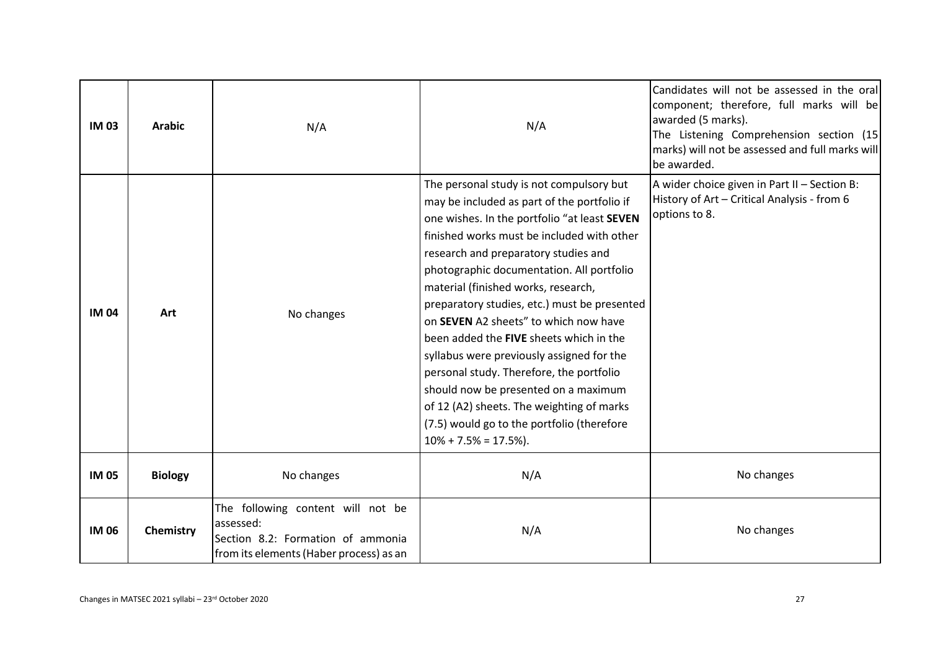| <b>IM03</b>  | <b>Arabic</b>  | N/A                                                                                                                            | N/A                                                                                                                                                                                                                                                                                                                                                                                                                                                                                                                                                                                                                                                                                                             | Candidates will not be assessed in the oral<br>component; therefore, full marks will be<br>awarded (5 marks).<br>The Listening Comprehension section (15<br>marks) will not be assessed and full marks will<br>be awarded. |
|--------------|----------------|--------------------------------------------------------------------------------------------------------------------------------|-----------------------------------------------------------------------------------------------------------------------------------------------------------------------------------------------------------------------------------------------------------------------------------------------------------------------------------------------------------------------------------------------------------------------------------------------------------------------------------------------------------------------------------------------------------------------------------------------------------------------------------------------------------------------------------------------------------------|----------------------------------------------------------------------------------------------------------------------------------------------------------------------------------------------------------------------------|
| <b>IM04</b>  | Art            | No changes                                                                                                                     | The personal study is not compulsory but<br>may be included as part of the portfolio if<br>one wishes. In the portfolio "at least SEVEN<br>finished works must be included with other<br>research and preparatory studies and<br>photographic documentation. All portfolio<br>material (finished works, research,<br>preparatory studies, etc.) must be presented<br>on SEVEN A2 sheets" to which now have<br>been added the FIVE sheets which in the<br>syllabus were previously assigned for the<br>personal study. Therefore, the portfolio<br>should now be presented on a maximum<br>of 12 (A2) sheets. The weighting of marks<br>(7.5) would go to the portfolio (therefore<br>$10\% + 7.5\% = 17.5\%$ ). | A wider choice given in Part II - Section B:<br>History of Art - Critical Analysis - from 6<br>options to 8.                                                                                                               |
| <b>IM 05</b> | <b>Biology</b> | No changes                                                                                                                     | N/A                                                                                                                                                                                                                                                                                                                                                                                                                                                                                                                                                                                                                                                                                                             | No changes                                                                                                                                                                                                                 |
| <b>IM 06</b> | Chemistry      | The following content will not be<br>assessed:<br>Section 8.2: Formation of ammonia<br>from its elements (Haber process) as an | N/A                                                                                                                                                                                                                                                                                                                                                                                                                                                                                                                                                                                                                                                                                                             | No changes                                                                                                                                                                                                                 |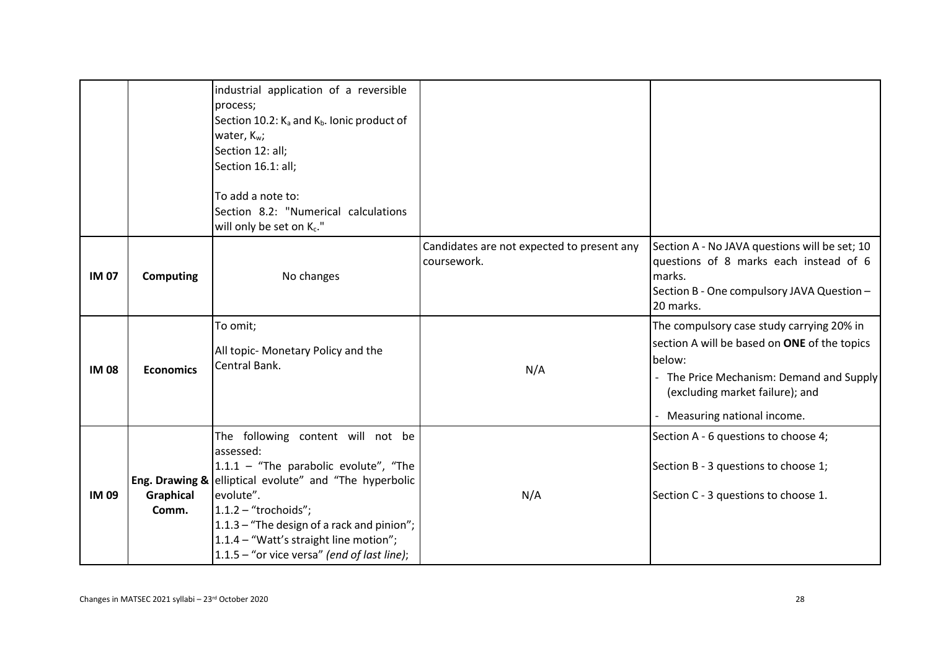|              |                                             | industrial application of a reversible<br>process;<br>Section 10.2: K <sub>a</sub> and K <sub>b</sub> . Ionic product of<br>water, K <sub>w</sub> ;<br>Section 12: all;<br>Section 16.1: all;<br>To add a note to:<br>Section 8.2: "Numerical calculations<br>will only be set on Kc."                             |                                                           |                                                                                                                                                                                                                    |
|--------------|---------------------------------------------|--------------------------------------------------------------------------------------------------------------------------------------------------------------------------------------------------------------------------------------------------------------------------------------------------------------------|-----------------------------------------------------------|--------------------------------------------------------------------------------------------------------------------------------------------------------------------------------------------------------------------|
| <b>IM 07</b> | <b>Computing</b>                            | No changes                                                                                                                                                                                                                                                                                                         | Candidates are not expected to present any<br>coursework. | Section A - No JAVA questions will be set; 10<br>questions of 8 marks each instead of 6<br>marks.<br>Section B - One compulsory JAVA Question -<br>20 marks.                                                       |
| <b>IM08</b>  | <b>Economics</b>                            | To omit;<br>All topic- Monetary Policy and the<br>Central Bank.                                                                                                                                                                                                                                                    | N/A                                                       | The compulsory case study carrying 20% in<br>section A will be based on ONE of the topics<br>below:<br>- The Price Mechanism: Demand and Supply<br>(excluding market failure); and<br>- Measuring national income. |
| <b>IM09</b>  | Eng. Drawing &<br><b>Graphical</b><br>Comm. | The following content will not be<br>assessed:<br>$1.1.1 -$ "The parabolic evolute", "The<br>elliptical evolute" and "The hyperbolic<br>evolute".<br>$1.1.2 -$ "trochoids";<br>1.1.3 - "The design of a rack and pinion";<br>1.1.4 - "Watt's straight line motion";<br>1.1.5 - "or vice versa" (end of last line); | N/A                                                       | Section A - 6 questions to choose 4;<br>Section B - 3 questions to choose 1;<br>Section C - 3 questions to choose 1.                                                                                               |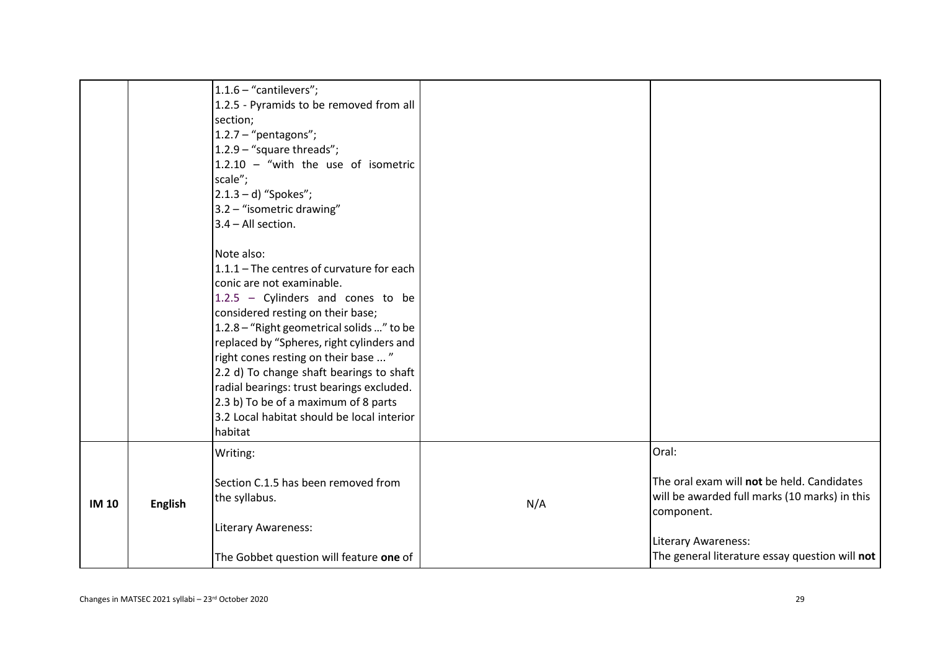|              |                | $1.1.6$ - "cantilevers";<br>1.2.5 - Pyramids to be removed from all<br>section;<br>$1.2.7 - "pentagons";$<br>1.2.9 - "square threads";<br>$1.2.10 -$ "with the use of isometric<br>scale";<br>$2.1.3 - d$ ) "Spokes";<br>3.2 - "isometric drawing"<br>$3.4 - All section.$<br>Note also:<br>1.1.1 - The centres of curvature for each<br>conic are not examinable.                                   |     |                                                                                                                                                                                                    |
|--------------|----------------|------------------------------------------------------------------------------------------------------------------------------------------------------------------------------------------------------------------------------------------------------------------------------------------------------------------------------------------------------------------------------------------------------|-----|----------------------------------------------------------------------------------------------------------------------------------------------------------------------------------------------------|
|              |                | $1.2.5$ - Cylinders and cones to be<br>considered resting on their base;<br>1.2.8 - "Right geometrical solids " to be<br>replaced by "Spheres, right cylinders and<br>right cones resting on their base  "<br>2.2 d) To change shaft bearings to shaft<br>radial bearings: trust bearings excluded.<br>2.3 b) To be of a maximum of 8 parts<br>3.2 Local habitat should be local interior<br>habitat |     |                                                                                                                                                                                                    |
| <b>IM 10</b> | <b>English</b> | Writing:<br>Section C.1.5 has been removed from<br>the syllabus.<br>Literary Awareness:<br>The Gobbet question will feature one of                                                                                                                                                                                                                                                                   | N/A | Oral:<br>The oral exam will not be held. Candidates<br>will be awarded full marks (10 marks) in this<br>component.<br><b>Literary Awareness:</b><br>The general literature essay question will not |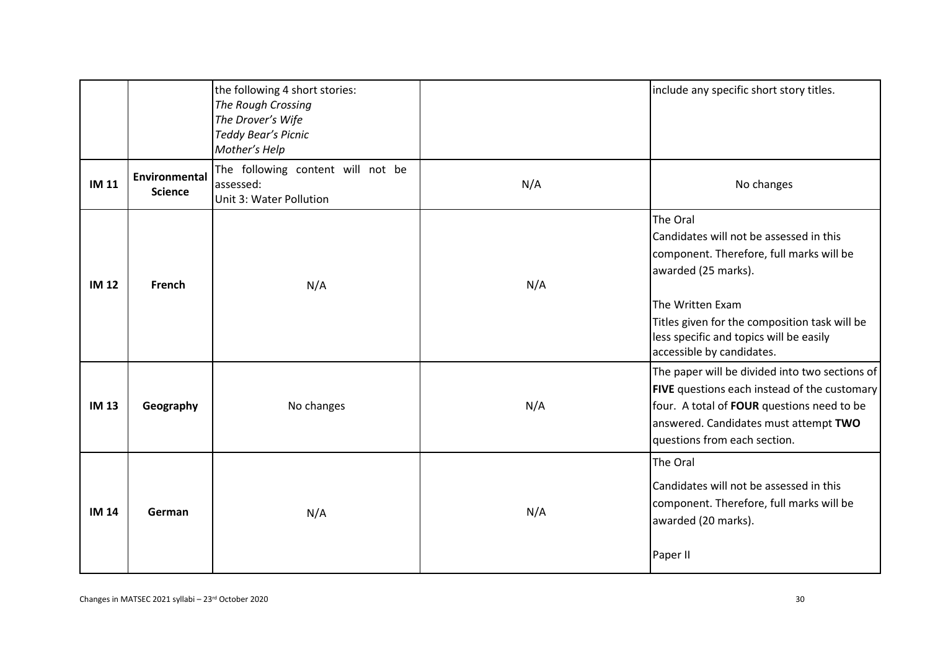|              |                                 | the following 4 short stories:<br>The Rough Crossing<br>The Drover's Wife<br>Teddy Bear's Picnic<br>Mother's Help |     | include any specific short story titles.                                                                                                                                                                                                                            |
|--------------|---------------------------------|-------------------------------------------------------------------------------------------------------------------|-----|---------------------------------------------------------------------------------------------------------------------------------------------------------------------------------------------------------------------------------------------------------------------|
| <b>IM 11</b> | Environmental<br><b>Science</b> | The following content will not be<br>assessed:<br>Unit 3: Water Pollution                                         | N/A | No changes                                                                                                                                                                                                                                                          |
| <b>IM 12</b> | <b>French</b>                   | N/A                                                                                                               | N/A | The Oral<br>Candidates will not be assessed in this<br>component. Therefore, full marks will be<br>awarded (25 marks).<br>The Written Exam<br>Titles given for the composition task will be<br>less specific and topics will be easily<br>accessible by candidates. |
| <b>IM 13</b> | Geography                       | No changes                                                                                                        | N/A | The paper will be divided into two sections of<br>FIVE questions each instead of the customary<br>four. A total of FOUR questions need to be<br>answered. Candidates must attempt TWO<br>questions from each section.                                               |
| <b>IM 14</b> | German                          | N/A                                                                                                               | N/A | The Oral<br>Candidates will not be assessed in this<br>component. Therefore, full marks will be<br>awarded (20 marks).<br>Paper II                                                                                                                                  |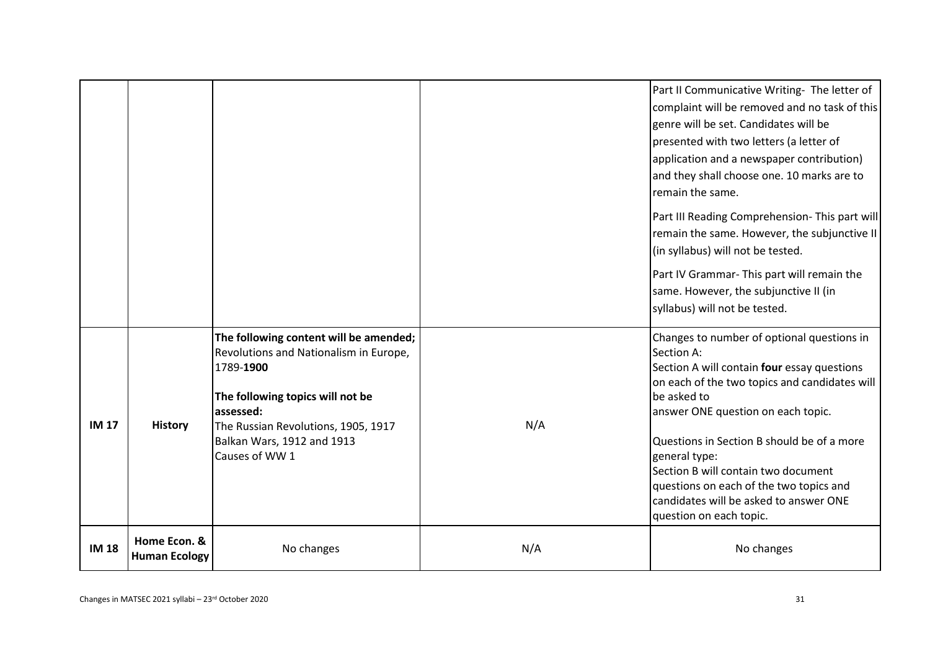|              |                                      |                                                                                                                                                                                                                                       |     | Part II Communicative Writing- The letter of<br>complaint will be removed and no task of this<br>genre will be set. Candidates will be<br>presented with two letters (a letter of<br>application and a newspaper contribution)<br>and they shall choose one. 10 marks are to<br>remain the same.<br>Part III Reading Comprehension- This part will<br>remain the same. However, the subjunctive II<br>(in syllabus) will not be tested.<br>Part IV Grammar- This part will remain the<br>same. However, the subjunctive II (in<br>syllabus) will not be tested. |
|--------------|--------------------------------------|---------------------------------------------------------------------------------------------------------------------------------------------------------------------------------------------------------------------------------------|-----|-----------------------------------------------------------------------------------------------------------------------------------------------------------------------------------------------------------------------------------------------------------------------------------------------------------------------------------------------------------------------------------------------------------------------------------------------------------------------------------------------------------------------------------------------------------------|
| <b>IM 17</b> | <b>History</b>                       | The following content will be amended;<br>Revolutions and Nationalism in Europe,<br>1789-1900<br>The following topics will not be<br>assessed:<br>The Russian Revolutions, 1905, 1917<br>Balkan Wars, 1912 and 1913<br>Causes of WW 1 | N/A | Changes to number of optional questions in<br>Section A:<br>Section A will contain four essay questions<br>on each of the two topics and candidates will<br>be asked to<br>answer ONE question on each topic.<br>Questions in Section B should be of a more<br>general type:<br>Section B will contain two document<br>questions on each of the two topics and<br>candidates will be asked to answer ONE<br>question on each topic.                                                                                                                             |
| <b>IM 18</b> | Home Econ. &<br><b>Human Ecology</b> | No changes                                                                                                                                                                                                                            | N/A | No changes                                                                                                                                                                                                                                                                                                                                                                                                                                                                                                                                                      |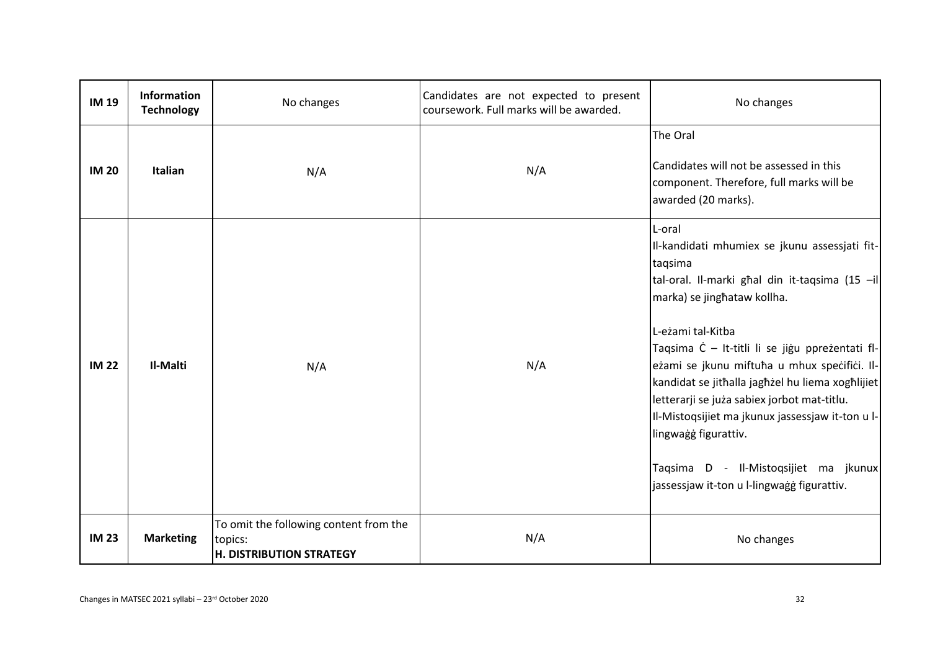| <b>IM 19</b> | Information<br><b>Technology</b> | No changes                                                                           | Candidates are not expected to present<br>coursework. Full marks will be awarded. | No changes                                                                                                                                                                                                                                                                                                                                                                                                                                                                                                                                        |
|--------------|----------------------------------|--------------------------------------------------------------------------------------|-----------------------------------------------------------------------------------|---------------------------------------------------------------------------------------------------------------------------------------------------------------------------------------------------------------------------------------------------------------------------------------------------------------------------------------------------------------------------------------------------------------------------------------------------------------------------------------------------------------------------------------------------|
| <b>IM 20</b> | Italian                          | N/A                                                                                  | N/A                                                                               | The Oral<br>Candidates will not be assessed in this<br>component. Therefore, full marks will be<br>awarded (20 marks).                                                                                                                                                                                                                                                                                                                                                                                                                            |
| <b>IM 22</b> | Il-Malti                         | N/A                                                                                  | N/A                                                                               | L-oral<br>Il-kandidati mhumiex se jkunu assessjati fit-<br>taqsima<br>tal-oral. Il-marki ghal din it-taqsima (15 -il<br>marka) se jinghataw kollha.<br>L-eżami tal-Kitba<br>Taqsima Ċ - It-titli li se jiġu ppreżentati fl-<br>eżami se jkunu miftuħa u mhux speċifiċi. Il-<br>kandidat se jithalla jaghżel hu liema xoghlijiet<br>letterarji se juża sabiex jorbot mat-titlu.<br>Il-Mistoqsijiet ma jkunux jassessjaw it-ton u l-<br>lingwagg figurattiv.<br>Taqsima D - Il-Mistoqsijiet ma jkunux<br>jassessjaw it-ton u l-lingwagg figurattiv. |
| <b>IM 23</b> | <b>Marketing</b>                 | To omit the following content from the<br>topics:<br><b>H. DISTRIBUTION STRATEGY</b> | N/A                                                                               | No changes                                                                                                                                                                                                                                                                                                                                                                                                                                                                                                                                        |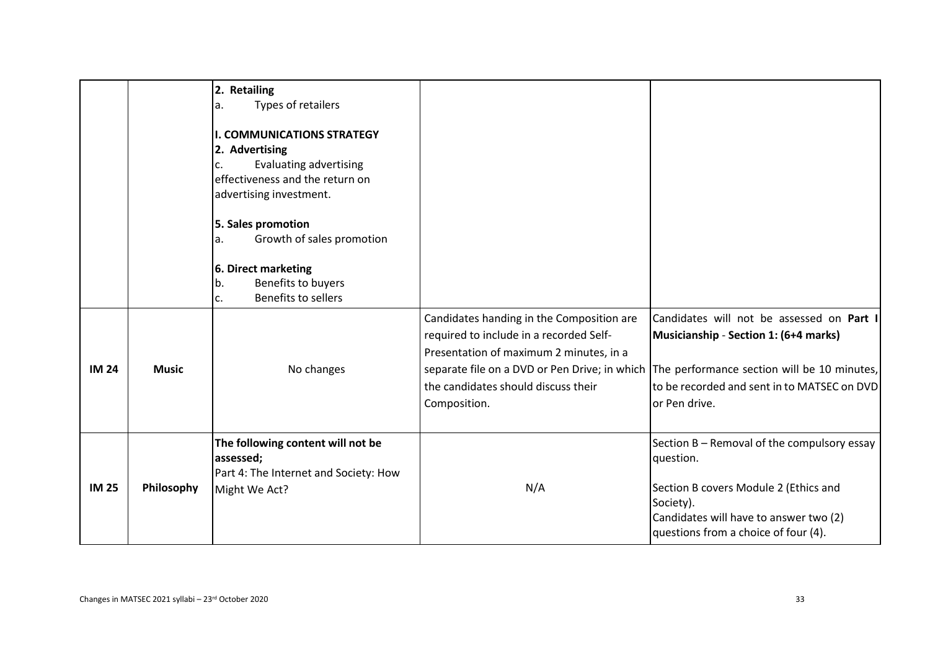|              |              | 2. Retailing<br>Types of retailers<br>a.<br><b>I. COMMUNICATIONS STRATEGY</b><br>2. Advertising<br><b>Evaluating advertising</b><br>c.<br>effectiveness and the return on<br>advertising investment.<br>5. Sales promotion<br>Growth of sales promotion<br>a.<br>6. Direct marketing |                                                                                                                                                                                        |                                                                                                                                                                                                                                                 |
|--------------|--------------|--------------------------------------------------------------------------------------------------------------------------------------------------------------------------------------------------------------------------------------------------------------------------------------|----------------------------------------------------------------------------------------------------------------------------------------------------------------------------------------|-------------------------------------------------------------------------------------------------------------------------------------------------------------------------------------------------------------------------------------------------|
|              |              | Benefits to buyers<br>b.<br>Benefits to sellers<br>c.                                                                                                                                                                                                                                |                                                                                                                                                                                        |                                                                                                                                                                                                                                                 |
| <b>IM 24</b> | <b>Music</b> | No changes                                                                                                                                                                                                                                                                           | Candidates handing in the Composition are<br>required to include in a recorded Self-<br>Presentation of maximum 2 minutes, in a<br>the candidates should discuss their<br>Composition. | Candidates will not be assessed on Part I<br>Musicianship - Section 1: (6+4 marks)<br>separate file on a DVD or Pen Drive; in which The performance section will be 10 minutes,<br>to be recorded and sent in to MATSEC on DVD<br>or Pen drive. |
| <b>IM 25</b> | Philosophy   | The following content will not be<br>assessed;<br>Part 4: The Internet and Society: How<br>Might We Act?                                                                                                                                                                             | N/A                                                                                                                                                                                    | Section B - Removal of the compulsory essay<br>question.<br>Section B covers Module 2 (Ethics and<br>Society).<br>Candidates will have to answer two (2)<br>questions from a choice of four (4).                                                |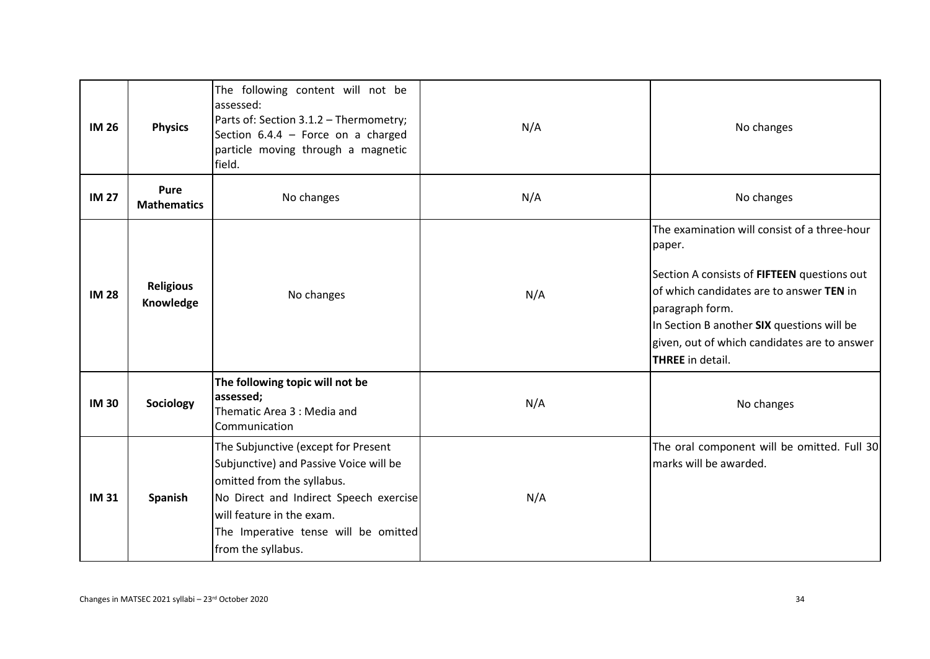| <b>IM 26</b> | <b>Physics</b>                | The following content will not be<br>assessed:<br>Parts of: Section 3.1.2 - Thermometry;<br>Section $6.4.4$ - Force on a charged<br>particle moving through a magnetic<br>field.                                                                 | N/A | No changes                                                                                                                                                                                                                                                                                    |
|--------------|-------------------------------|--------------------------------------------------------------------------------------------------------------------------------------------------------------------------------------------------------------------------------------------------|-----|-----------------------------------------------------------------------------------------------------------------------------------------------------------------------------------------------------------------------------------------------------------------------------------------------|
| <b>IM 27</b> | Pure<br><b>Mathematics</b>    | No changes                                                                                                                                                                                                                                       | N/A | No changes                                                                                                                                                                                                                                                                                    |
| <b>IM 28</b> | <b>Religious</b><br>Knowledge | No changes                                                                                                                                                                                                                                       | N/A | The examination will consist of a three-hour<br>paper.<br>Section A consists of FIFTEEN questions out<br>of which candidates are to answer TEN in<br>paragraph form.<br>In Section B another SIX questions will be<br>given, out of which candidates are to answer<br><b>THREE</b> in detail. |
| <b>IM30</b>  | Sociology                     | The following topic will not be<br>assessed;<br>Thematic Area 3 : Media and<br>Communication                                                                                                                                                     | N/A | No changes                                                                                                                                                                                                                                                                                    |
| <b>IM31</b>  | Spanish                       | The Subjunctive (except for Present<br>Subjunctive) and Passive Voice will be<br>omitted from the syllabus.<br>No Direct and Indirect Speech exercise<br>will feature in the exam.<br>The Imperative tense will be omitted<br>from the syllabus. | N/A | The oral component will be omitted. Full 30<br>marks will be awarded.                                                                                                                                                                                                                         |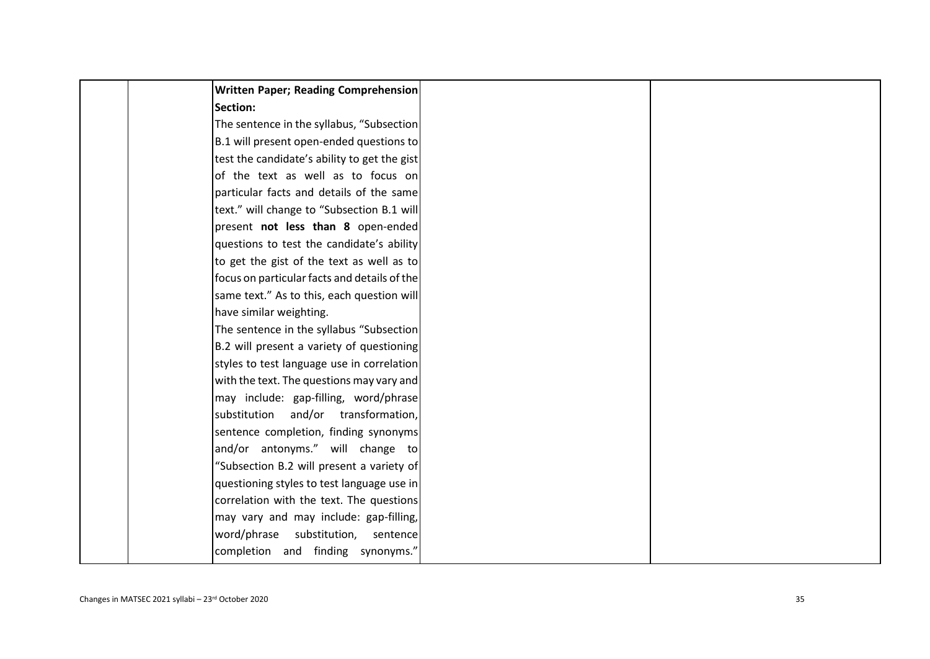| Written Paper; Reading Comprehension         |
|----------------------------------------------|
| Section:                                     |
| The sentence in the syllabus, "Subsection    |
| B.1 will present open-ended questions to     |
| test the candidate's ability to get the gist |
| of the text as well as to focus on           |
| particular facts and details of the same     |
| text." will change to "Subsection B.1 will   |
| present not less than 8 open-ended           |
| questions to test the candidate's ability    |
| to get the gist of the text as well as to    |
| focus on particular facts and details of the |
| same text." As to this, each question will   |
| have similar weighting.                      |
| The sentence in the syllabus "Subsection     |
| B.2 will present a variety of questioning    |
| styles to test language use in correlation   |
| with the text. The questions may vary and    |
| may include: gap-filling, word/phrase        |
| substitution and/or transformation,          |
| sentence completion, finding synonyms        |
| and/or antonyms." will change to             |
| "Subsection B.2 will present a variety of    |
| questioning styles to test language use in   |
| correlation with the text. The questions     |
| may vary and may include: gap-filling,       |
| word/phrase<br>substitution,<br>sentence     |
| completion and finding synonyms."            |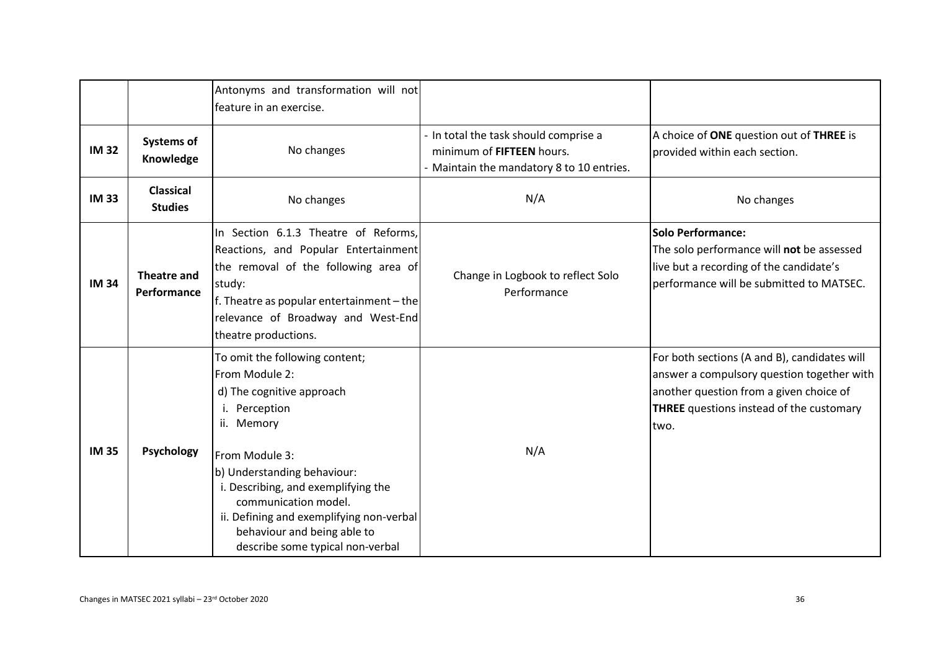|              |                                    | Antonyms and transformation will not<br>feature in an exercise.                                                                                                                                                                                                                                                                             |                                                                                                                 |                                                                                                                                                                                                  |
|--------------|------------------------------------|---------------------------------------------------------------------------------------------------------------------------------------------------------------------------------------------------------------------------------------------------------------------------------------------------------------------------------------------|-----------------------------------------------------------------------------------------------------------------|--------------------------------------------------------------------------------------------------------------------------------------------------------------------------------------------------|
| <b>IM32</b>  | <b>Systems of</b><br>Knowledge     | No changes                                                                                                                                                                                                                                                                                                                                  | - In total the task should comprise a<br>minimum of FIFTEEN hours.<br>- Maintain the mandatory 8 to 10 entries. | A choice of ONE question out of THREE is<br>provided within each section.                                                                                                                        |
| <b>IM33</b>  | <b>Classical</b><br><b>Studies</b> | No changes                                                                                                                                                                                                                                                                                                                                  | N/A                                                                                                             | No changes                                                                                                                                                                                       |
| <b>IM 34</b> | <b>Theatre and</b><br>Performance  | In Section 6.1.3 Theatre of Reforms,<br>Reactions, and Popular Entertainment<br>the removal of the following area of<br>study:<br>f. Theatre as popular entertainment - the<br>relevance of Broadway and West-End<br>theatre productions.                                                                                                   | Change in Logbook to reflect Solo<br>Performance                                                                | <b>Solo Performance:</b><br>The solo performance will not be assessed<br>live but a recording of the candidate's<br>performance will be submitted to MATSEC.                                     |
| <b>IM35</b>  | Psychology                         | To omit the following content;<br>From Module 2:<br>d) The cognitive approach<br>i. Perception<br>ii. Memory<br>From Module 3:<br>b) Understanding behaviour:<br>i. Describing, and exemplifying the<br>communication model.<br>ii. Defining and exemplifying non-verbal<br>behaviour and being able to<br>describe some typical non-verbal | N/A                                                                                                             | For both sections (A and B), candidates will<br>answer a compulsory question together with<br>another question from a given choice of<br><b>THREE</b> questions instead of the customary<br>two. |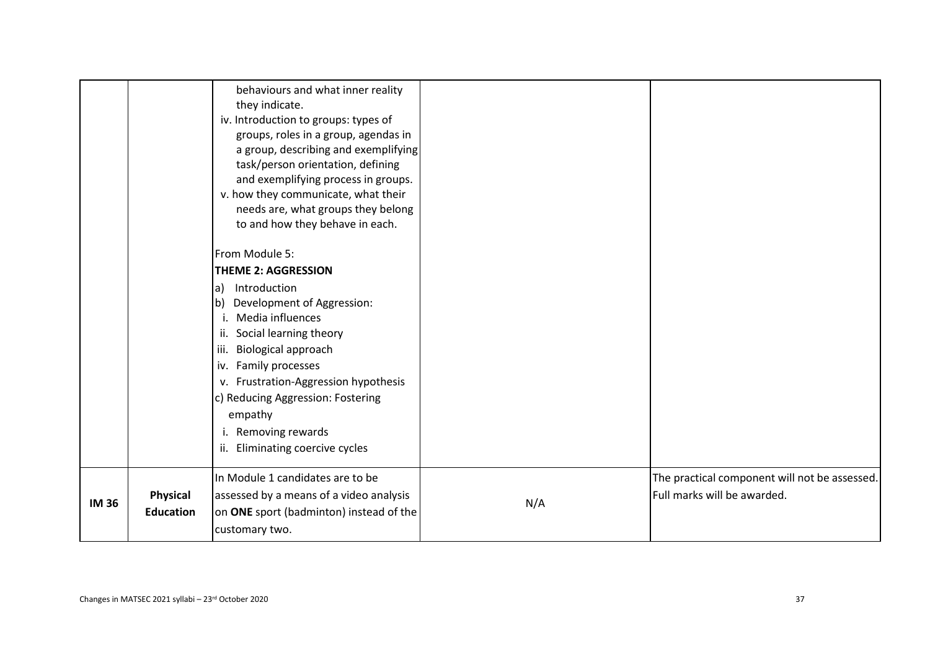|             |                                     | behaviours and what inner reality<br>they indicate.<br>iv. Introduction to groups: types of<br>groups, roles in a group, agendas in<br>a group, describing and exemplifying<br>task/person orientation, defining<br>and exemplifying process in groups.<br>v. how they communicate, what their<br>needs are, what groups they belong<br>to and how they behave in each.<br>From Module 5:<br><b>THEME 2: AGGRESSION</b><br>Introduction<br>la)<br>Development of Aggression:<br>b<br>Media influences<br>i.<br>Social learning theory<br>ii.<br>Biological approach<br>iii.<br>iv. Family processes<br>v. Frustration-Aggression hypothesis<br>c) Reducing Aggression: Fostering<br>empathy<br>i. Removing rewards<br>Eliminating coercive cycles<br>ii. |     |                                                                              |
|-------------|-------------------------------------|----------------------------------------------------------------------------------------------------------------------------------------------------------------------------------------------------------------------------------------------------------------------------------------------------------------------------------------------------------------------------------------------------------------------------------------------------------------------------------------------------------------------------------------------------------------------------------------------------------------------------------------------------------------------------------------------------------------------------------------------------------|-----|------------------------------------------------------------------------------|
| <b>IM36</b> | <b>Physical</b><br><b>Education</b> | In Module 1 candidates are to be<br>assessed by a means of a video analysis<br>on ONE sport (badminton) instead of the<br>customary two.                                                                                                                                                                                                                                                                                                                                                                                                                                                                                                                                                                                                                 | N/A | The practical component will not be assessed.<br>Full marks will be awarded. |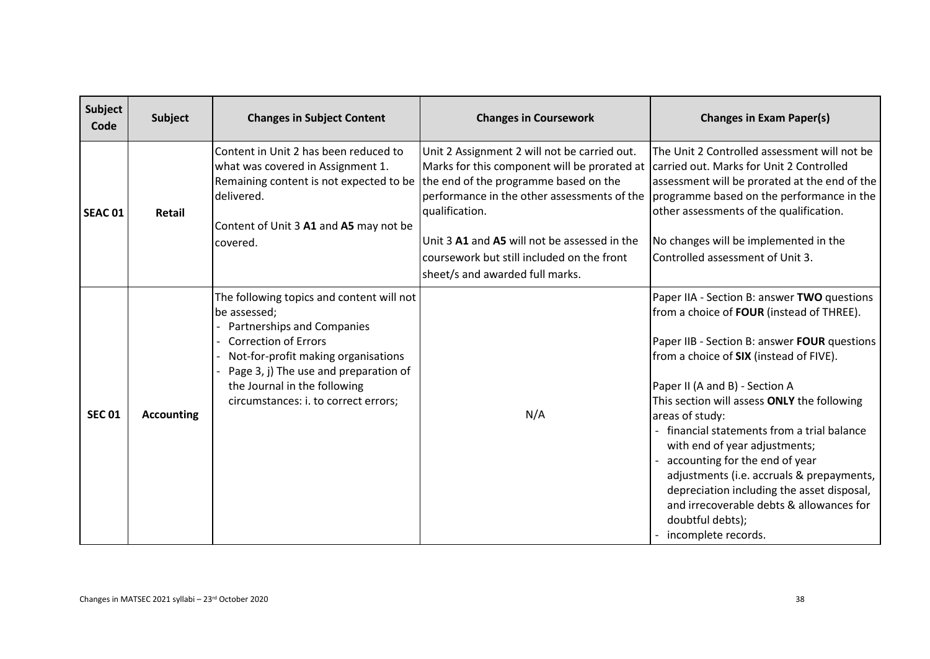| <b>Subject</b><br>Code | <b>Subject</b>    | <b>Changes in Subject Content</b>                                                                                                                                                                                                                                         | <b>Changes in Coursework</b>                                                                                                                                  | <b>Changes in Exam Paper(s)</b>                                                                                                                                                                                                                                                                                                                                                                                                                                                                                                                                                           |
|------------------------|-------------------|---------------------------------------------------------------------------------------------------------------------------------------------------------------------------------------------------------------------------------------------------------------------------|---------------------------------------------------------------------------------------------------------------------------------------------------------------|-------------------------------------------------------------------------------------------------------------------------------------------------------------------------------------------------------------------------------------------------------------------------------------------------------------------------------------------------------------------------------------------------------------------------------------------------------------------------------------------------------------------------------------------------------------------------------------------|
| SEAC <sub>01</sub>     | Retail            | Content in Unit 2 has been reduced to<br>what was covered in Assignment 1.<br>Remaining content is not expected to be the end of the programme based on the<br>delivered.<br>Content of Unit 3 A1 and A5 may not be                                                       | Unit 2 Assignment 2 will not be carried out.<br>Marks for this component will be prorated at<br>performance in the other assessments of the<br>qualification. | The Unit 2 Controlled assessment will not be<br>carried out. Marks for Unit 2 Controlled<br>assessment will be prorated at the end of the<br>programme based on the performance in the<br>other assessments of the qualification.                                                                                                                                                                                                                                                                                                                                                         |
|                        |                   | covered.                                                                                                                                                                                                                                                                  | Unit 3 A1 and A5 will not be assessed in the                                                                                                                  | No changes will be implemented in the                                                                                                                                                                                                                                                                                                                                                                                                                                                                                                                                                     |
|                        |                   |                                                                                                                                                                                                                                                                           | coursework but still included on the front                                                                                                                    | Controlled assessment of Unit 3.                                                                                                                                                                                                                                                                                                                                                                                                                                                                                                                                                          |
|                        |                   |                                                                                                                                                                                                                                                                           | sheet/s and awarded full marks.                                                                                                                               |                                                                                                                                                                                                                                                                                                                                                                                                                                                                                                                                                                                           |
| <b>SEC 01</b>          | <b>Accounting</b> | The following topics and content will not<br>be assessed;<br>Partnerships and Companies<br>- Correction of Errors<br>Not-for-profit making organisations<br>Page 3, j) The use and preparation of<br>the Journal in the following<br>circumstances: i. to correct errors; | N/A                                                                                                                                                           | Paper IIA - Section B: answer TWO questions<br>from a choice of FOUR (instead of THREE).<br>Paper IIB - Section B: answer FOUR questions<br>from a choice of SIX (instead of FIVE).<br>Paper II (A and B) - Section A<br>This section will assess ONLY the following<br>areas of study:<br>financial statements from a trial balance<br>with end of year adjustments;<br>accounting for the end of year<br>adjustments (i.e. accruals & prepayments,<br>depreciation including the asset disposal,<br>and irrecoverable debts & allowances for<br>doubtful debts);<br>incomplete records. |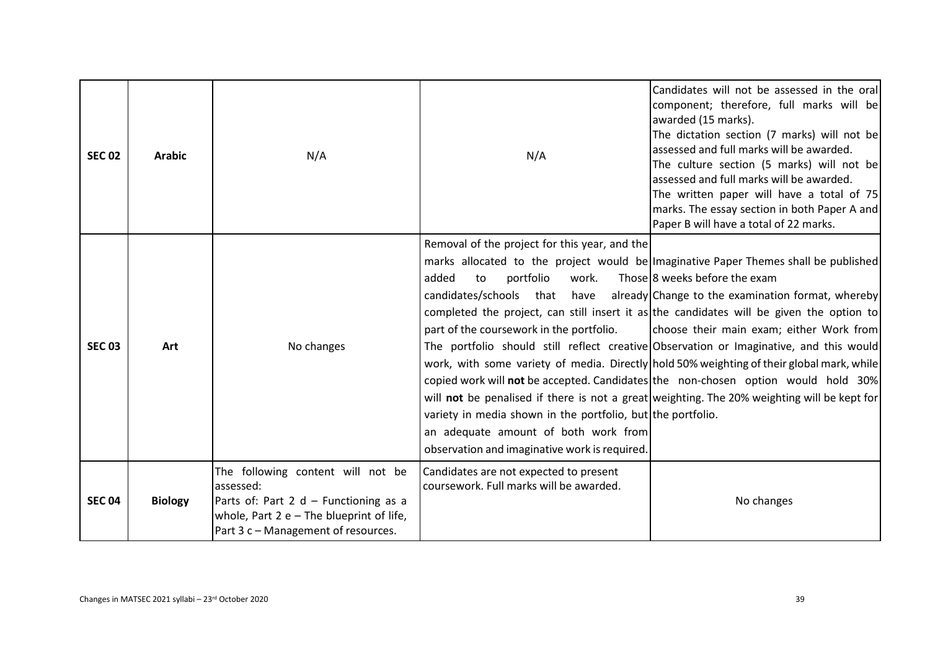| <b>SEC 02</b> | <b>Arabic</b>  | N/A                                                                                                                                                                          | N/A                                                                                                                                                                                                                                                                                                                       | Candidates will not be assessed in the orall<br>component; therefore, full marks will be<br>awarded (15 marks).<br>The dictation section (7 marks) will not be<br>assessed and full marks will be awarded.<br>The culture section (5 marks) will not be<br>assessed and full marks will be awarded.<br>The written paper will have a total of 75<br>marks. The essay section in both Paper A and<br>Paper B will have a total of 22 marks.                                                                                                                                                                                                                                                   |
|---------------|----------------|------------------------------------------------------------------------------------------------------------------------------------------------------------------------------|---------------------------------------------------------------------------------------------------------------------------------------------------------------------------------------------------------------------------------------------------------------------------------------------------------------------------|----------------------------------------------------------------------------------------------------------------------------------------------------------------------------------------------------------------------------------------------------------------------------------------------------------------------------------------------------------------------------------------------------------------------------------------------------------------------------------------------------------------------------------------------------------------------------------------------------------------------------------------------------------------------------------------------|
| <b>SEC 03</b> | Art            | No changes                                                                                                                                                                   | Removal of the project for this year, and the<br>portfolio<br>added<br>work.<br>to<br>candidates/schools that<br>have<br>part of the coursework in the portfolio.<br>variety in media shown in the portfolio, but the portfolio.<br>an adequate amount of both work from<br>observation and imaginative work is required. | marks allocated to the project would be Imaginative Paper Themes shall be published<br>Those 8 weeks before the exam<br>already Change to the examination format, whereby<br>completed the project, can still insert it as the candidates will be given the option to<br>choose their main exam; either Work from<br>The portfolio should still reflect creative Observation or Imaginative, and this would<br>work, with some variety of media. Directly hold 50% weighting of their global mark, while<br>copied work will not be accepted. Candidates the non-chosen option would hold 30%<br>will not be penalised if there is not a great weighting. The 20% weighting will be kept for |
| <b>SEC 04</b> | <b>Biology</b> | The following content will not be<br>assessed:<br>Parts of: Part 2 d - Functioning as a<br>whole, Part $2 e$ – The blueprint of life,<br>Part 3 c – Management of resources. | Candidates are not expected to present<br>coursework. Full marks will be awarded.                                                                                                                                                                                                                                         | No changes                                                                                                                                                                                                                                                                                                                                                                                                                                                                                                                                                                                                                                                                                   |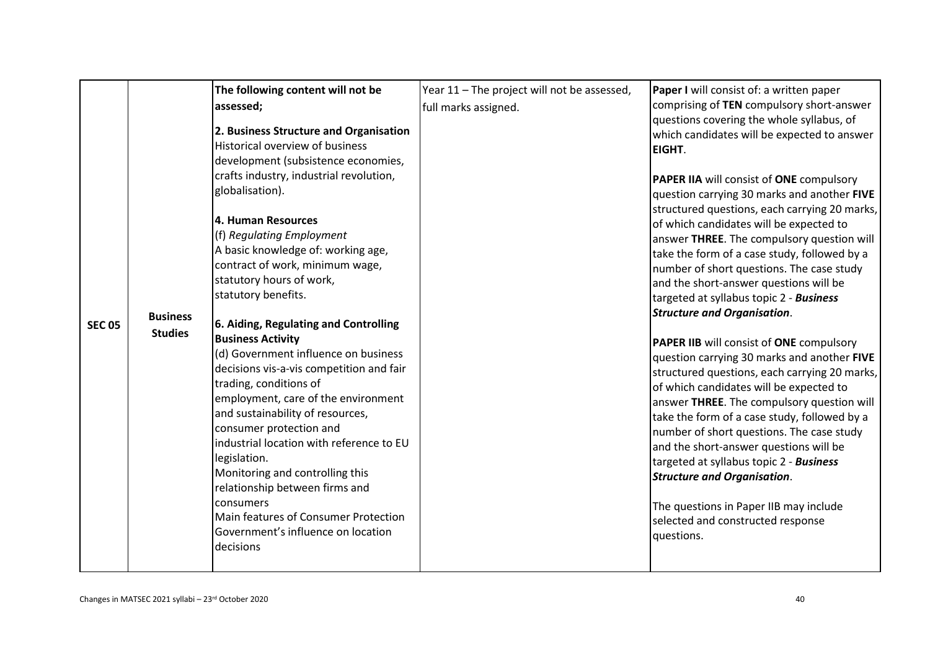| The following content will not be<br>assessed;<br>2. Business Structure and Organisation<br>Historical overview of business<br>development (subsistence economies,<br>crafts industry, industrial revolution,<br>globalisation).<br>4. Human Resources<br>(f) Regulating Employment<br>A basic knowledge of: working age,<br>contract of work, minimum wage,<br>statutory hours of work,<br>statutory benefits.<br><b>Business</b><br>6. Aiding, Regulating and Controlling<br><b>SEC 05</b><br><b>Studies</b><br><b>Business Activity</b><br>(d) Government influence on business<br>decisions vis-a-vis competition and fair<br>trading, conditions of<br>employment, care of the environment<br>and sustainability of resources,<br>consumer protection and<br>industrial location with reference to EU<br>legislation.<br>Monitoring and controlling this<br>relationship between firms and<br>consumers<br>Main features of Consumer Protection<br>Government's influence on location<br>decisions | Year 11 - The project will not be assessed,<br>full marks assigned. | Paper I will consist of: a written paper<br>comprising of TEN compulsory short-answer<br>questions covering the whole syllabus, of<br>which candidates will be expected to answer<br>EIGHT.<br><b>PAPER IIA will consist of ONE compulsory</b><br>question carrying 30 marks and another FIVE<br>structured questions, each carrying 20 marks,<br>of which candidates will be expected to<br>answer THREE. The compulsory question will<br>take the form of a case study, followed by a<br>number of short questions. The case study<br>and the short-answer questions will be<br>targeted at syllabus topic 2 - Business<br><b>Structure and Organisation.</b><br>PAPER IIB will consist of ONE compulsory<br>question carrying 30 marks and another FIVE<br>structured questions, each carrying 20 marks,<br>of which candidates will be expected to<br>answer THREE. The compulsory question will<br>take the form of a case study, followed by a<br>number of short questions. The case study<br>and the short-answer questions will be<br>targeted at syllabus topic 2 - Business<br><b>Structure and Organisation.</b><br>The questions in Paper IIB may include<br>selected and constructed response<br>questions. |
|---------------------------------------------------------------------------------------------------------------------------------------------------------------------------------------------------------------------------------------------------------------------------------------------------------------------------------------------------------------------------------------------------------------------------------------------------------------------------------------------------------------------------------------------------------------------------------------------------------------------------------------------------------------------------------------------------------------------------------------------------------------------------------------------------------------------------------------------------------------------------------------------------------------------------------------------------------------------------------------------------------|---------------------------------------------------------------------|---------------------------------------------------------------------------------------------------------------------------------------------------------------------------------------------------------------------------------------------------------------------------------------------------------------------------------------------------------------------------------------------------------------------------------------------------------------------------------------------------------------------------------------------------------------------------------------------------------------------------------------------------------------------------------------------------------------------------------------------------------------------------------------------------------------------------------------------------------------------------------------------------------------------------------------------------------------------------------------------------------------------------------------------------------------------------------------------------------------------------------------------------------------------------------------------------------------------------|
|---------------------------------------------------------------------------------------------------------------------------------------------------------------------------------------------------------------------------------------------------------------------------------------------------------------------------------------------------------------------------------------------------------------------------------------------------------------------------------------------------------------------------------------------------------------------------------------------------------------------------------------------------------------------------------------------------------------------------------------------------------------------------------------------------------------------------------------------------------------------------------------------------------------------------------------------------------------------------------------------------------|---------------------------------------------------------------------|---------------------------------------------------------------------------------------------------------------------------------------------------------------------------------------------------------------------------------------------------------------------------------------------------------------------------------------------------------------------------------------------------------------------------------------------------------------------------------------------------------------------------------------------------------------------------------------------------------------------------------------------------------------------------------------------------------------------------------------------------------------------------------------------------------------------------------------------------------------------------------------------------------------------------------------------------------------------------------------------------------------------------------------------------------------------------------------------------------------------------------------------------------------------------------------------------------------------------|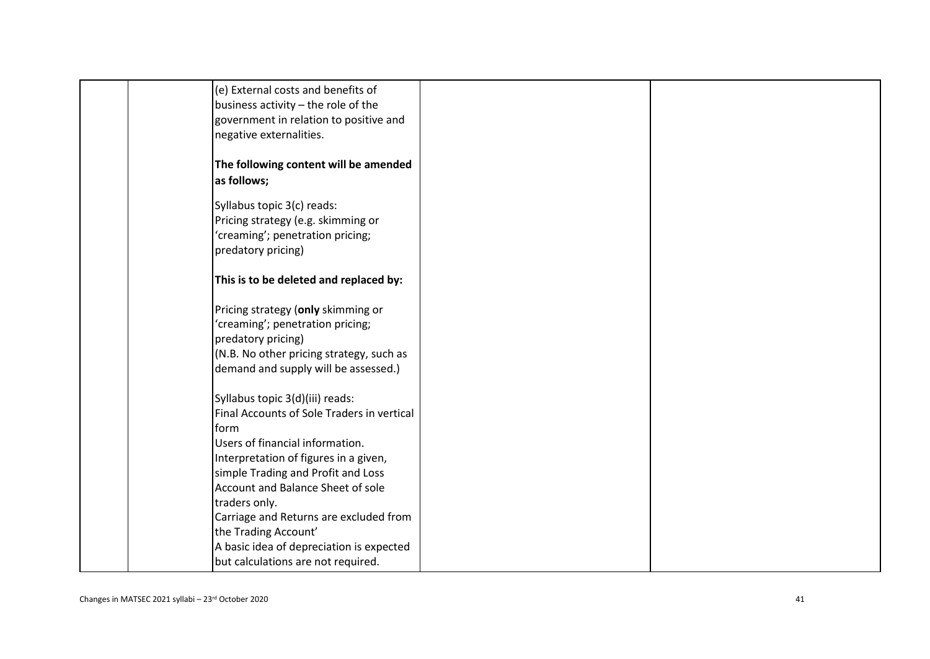| (e) External costs and benefits of<br>business activity - the role of the<br>government in relation to positive and<br>negative externalities.                                                                                                                                                                                  |  |
|---------------------------------------------------------------------------------------------------------------------------------------------------------------------------------------------------------------------------------------------------------------------------------------------------------------------------------|--|
| The following content will be amended<br>as follows;                                                                                                                                                                                                                                                                            |  |
| Syllabus topic 3(c) reads:<br>Pricing strategy (e.g. skimming or<br>'creaming'; penetration pricing;<br>predatory pricing)                                                                                                                                                                                                      |  |
| This is to be deleted and replaced by:                                                                                                                                                                                                                                                                                          |  |
| Pricing strategy (only skimming or<br>'creaming'; penetration pricing;<br>predatory pricing)<br>(N.B. No other pricing strategy, such as<br>demand and supply will be assessed.)                                                                                                                                                |  |
| Syllabus topic 3(d)(iii) reads:<br>Final Accounts of Sole Traders in vertical<br>form<br>Users of financial information.<br>Interpretation of figures in a given,<br>simple Trading and Profit and Loss<br>Account and Balance Sheet of sole<br>traders only.<br>Carriage and Returns are excluded from<br>the Trading Account' |  |
| A basic idea of depreciation is expected<br>but calculations are not required.                                                                                                                                                                                                                                                  |  |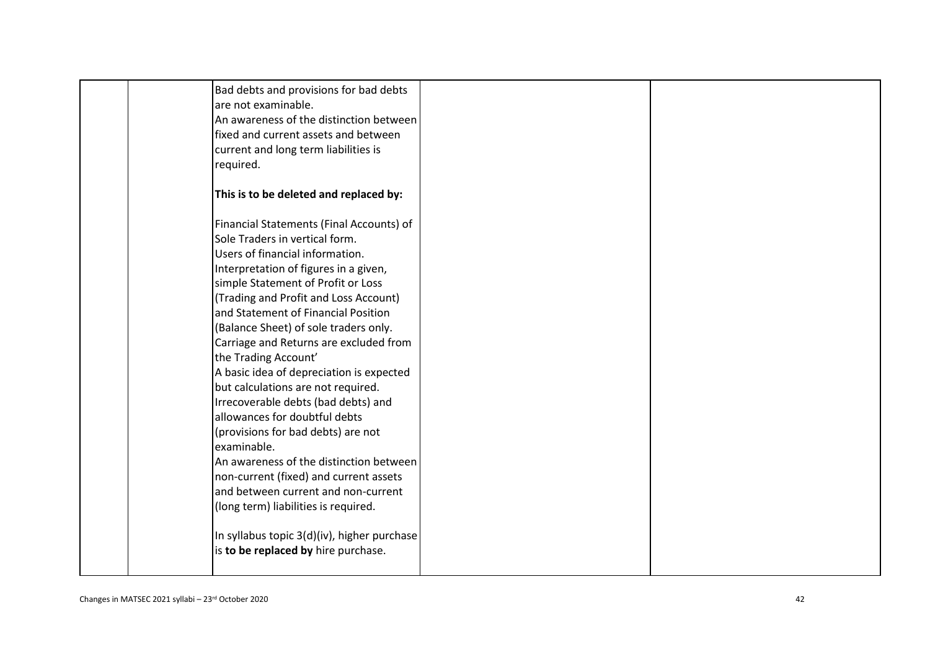| required.                                                                                                                                                                                                                                                                                                                                                                                                                                                                                                                                                                                                                                                                                                                                                                                                                                                        |  |
|------------------------------------------------------------------------------------------------------------------------------------------------------------------------------------------------------------------------------------------------------------------------------------------------------------------------------------------------------------------------------------------------------------------------------------------------------------------------------------------------------------------------------------------------------------------------------------------------------------------------------------------------------------------------------------------------------------------------------------------------------------------------------------------------------------------------------------------------------------------|--|
| This is to be deleted and replaced by:                                                                                                                                                                                                                                                                                                                                                                                                                                                                                                                                                                                                                                                                                                                                                                                                                           |  |
| Financial Statements (Final Accounts) of<br>Sole Traders in vertical form.<br>Users of financial information.<br>Interpretation of figures in a given,<br>simple Statement of Profit or Loss<br>(Trading and Profit and Loss Account)<br>and Statement of Financial Position<br>(Balance Sheet) of sole traders only.<br>Carriage and Returns are excluded from<br>the Trading Account'<br>A basic idea of depreciation is expected<br>but calculations are not required.<br>Irrecoverable debts (bad debts) and<br>allowances for doubtful debts<br>(provisions for bad debts) are not<br>examinable.<br>An awareness of the distinction between<br>non-current (fixed) and current assets<br>and between current and non-current<br>(long term) liabilities is required.<br>In syllabus topic 3(d)(iv), higher purchase<br>is to be replaced by hire purchase. |  |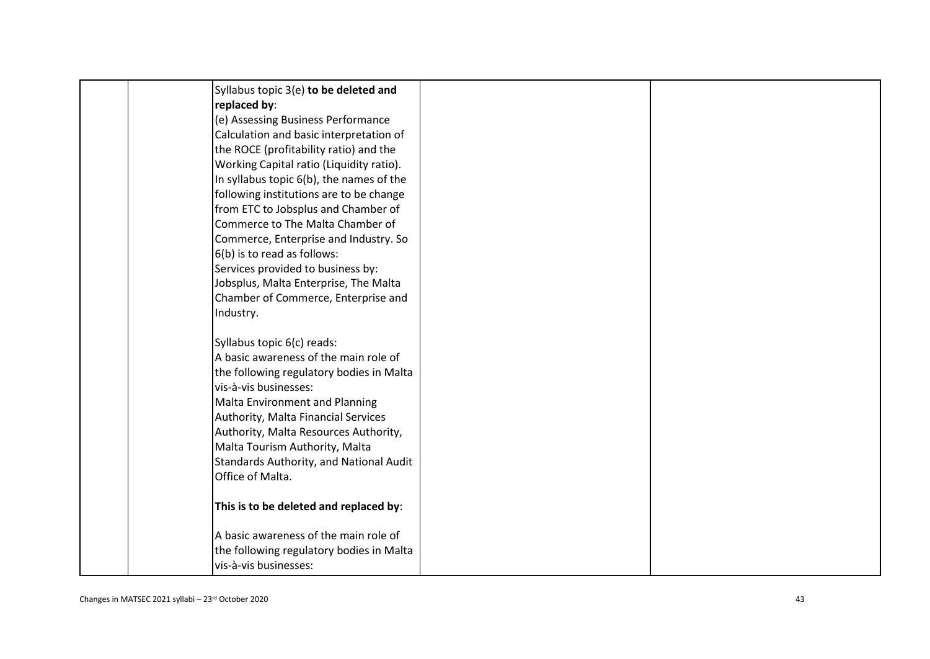| Syllabus topic 3(e) to be deleted and                                 |  |
|-----------------------------------------------------------------------|--|
| replaced by:                                                          |  |
| (e) Assessing Business Performance                                    |  |
| Calculation and basic interpretation of                               |  |
| the ROCE (profitability ratio) and the                                |  |
| Working Capital ratio (Liquidity ratio).                              |  |
| In syllabus topic 6(b), the names of the                              |  |
| following institutions are to be change                               |  |
| from ETC to Jobsplus and Chamber of                                   |  |
| Commerce to The Malta Chamber of                                      |  |
| Commerce, Enterprise and Industry. So                                 |  |
| 6(b) is to read as follows:                                           |  |
| Services provided to business by:                                     |  |
| Jobsplus, Malta Enterprise, The Malta                                 |  |
| Chamber of Commerce, Enterprise and                                   |  |
| Industry.                                                             |  |
|                                                                       |  |
| Syllabus topic 6(c) reads:                                            |  |
| A basic awareness of the main role of                                 |  |
| the following regulatory bodies in Malta<br>vis-à-vis businesses:     |  |
|                                                                       |  |
| Malta Environment and Planning<br>Authority, Malta Financial Services |  |
| Authority, Malta Resources Authority,                                 |  |
| Malta Tourism Authority, Malta                                        |  |
| Standards Authority, and National Audit                               |  |
| Office of Malta.                                                      |  |
|                                                                       |  |
| This is to be deleted and replaced by:                                |  |
|                                                                       |  |
| A basic awareness of the main role of                                 |  |
| the following regulatory bodies in Malta                              |  |
| vis-à-vis businesses:                                                 |  |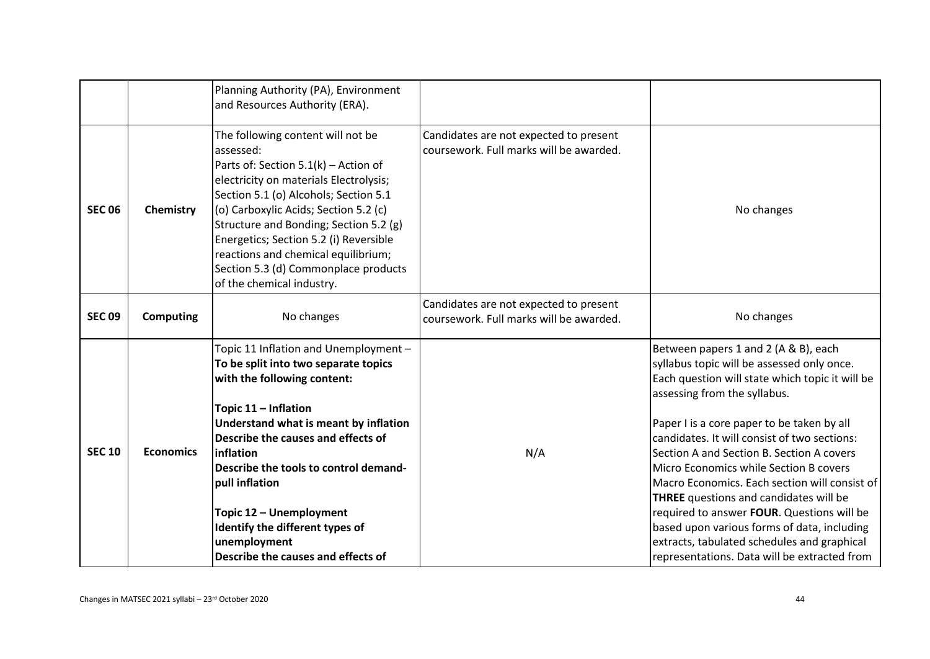|               |                  | Planning Authority (PA), Environment<br>and Resources Authority (ERA).                                                                                                                                                                                                                                                                                                                                             |                                                                                   |                                                                                                                                                                                                                                                                                                                                                                                                                                                                                                                                                                                                                                                          |
|---------------|------------------|--------------------------------------------------------------------------------------------------------------------------------------------------------------------------------------------------------------------------------------------------------------------------------------------------------------------------------------------------------------------------------------------------------------------|-----------------------------------------------------------------------------------|----------------------------------------------------------------------------------------------------------------------------------------------------------------------------------------------------------------------------------------------------------------------------------------------------------------------------------------------------------------------------------------------------------------------------------------------------------------------------------------------------------------------------------------------------------------------------------------------------------------------------------------------------------|
| <b>SEC 06</b> | Chemistry        | The following content will not be<br>assessed:<br>Parts of: Section 5.1(k) - Action of<br>electricity on materials Electrolysis;<br>Section 5.1 (o) Alcohols; Section 5.1<br>(o) Carboxylic Acids; Section 5.2 (c)<br>Structure and Bonding; Section 5.2 (g)<br>Energetics; Section 5.2 (i) Reversible<br>reactions and chemical equilibrium;<br>Section 5.3 (d) Commonplace products<br>of the chemical industry. | Candidates are not expected to present<br>coursework. Full marks will be awarded. | No changes                                                                                                                                                                                                                                                                                                                                                                                                                                                                                                                                                                                                                                               |
| <b>SEC 09</b> | <b>Computing</b> | No changes                                                                                                                                                                                                                                                                                                                                                                                                         | Candidates are not expected to present<br>coursework. Full marks will be awarded. | No changes                                                                                                                                                                                                                                                                                                                                                                                                                                                                                                                                                                                                                                               |
| <b>SEC 10</b> | <b>Economics</b> | Topic 11 Inflation and Unemployment -<br>To be split into two separate topics<br>with the following content:<br>Topic 11 - Inflation<br>Understand what is meant by inflation<br>Describe the causes and effects of<br>inflation<br>Describe the tools to control demand-<br>pull inflation<br>Topic 12 - Unemployment<br>Identify the different types of<br>unemployment<br>Describe the causes and effects of    | N/A                                                                               | Between papers 1 and 2 (A & B), each<br>syllabus topic will be assessed only once.<br>Each question will state which topic it will be<br>assessing from the syllabus.<br>Paper I is a core paper to be taken by all<br>candidates. It will consist of two sections:<br>Section A and Section B. Section A covers<br>Micro Economics while Section B covers<br>Macro Economics. Each section will consist of<br><b>THREE</b> questions and candidates will be<br>required to answer FOUR. Questions will be<br>based upon various forms of data, including<br>extracts, tabulated schedules and graphical<br>representations. Data will be extracted from |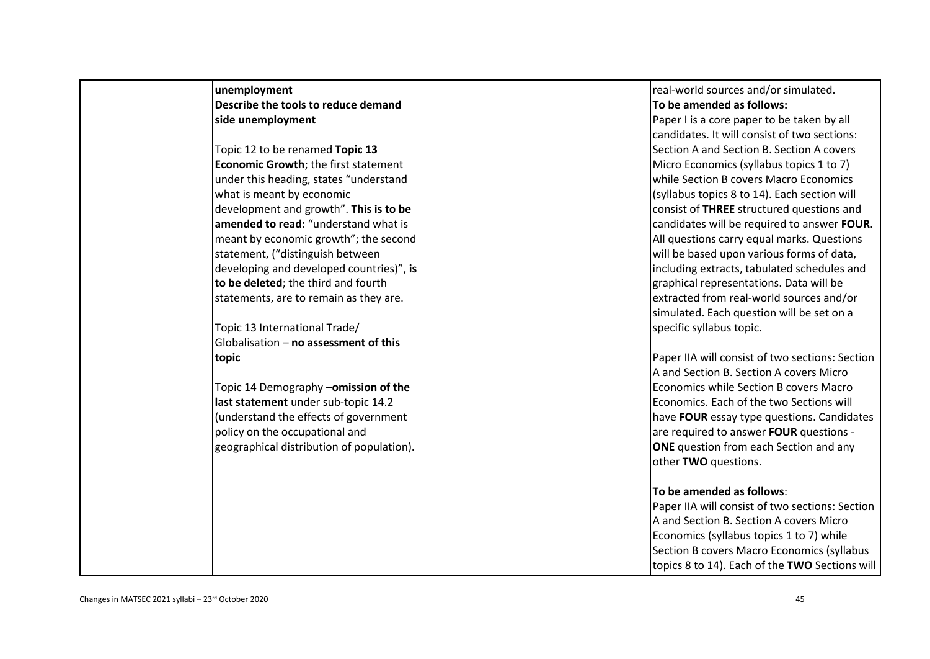| unemployment                              | real-world sources and/or simulated.            |
|-------------------------------------------|-------------------------------------------------|
| Describe the tools to reduce demand       | To be amended as follows:                       |
| side unemployment                         | Paper I is a core paper to be taken by all      |
|                                           | candidates. It will consist of two sections:    |
| Topic 12 to be renamed Topic 13           | Section A and Section B. Section A covers       |
| Economic Growth; the first statement      | Micro Economics (syllabus topics 1 to 7)        |
| under this heading, states "understand    | while Section B covers Macro Economics          |
| what is meant by economic                 | (syllabus topics 8 to 14). Each section will    |
| development and growth". This is to be    | consist of THREE structured questions and       |
| amended to read: "understand what is      | candidates will be required to answer FOUR.     |
| meant by economic growth"; the second     | All questions carry equal marks. Questions      |
| statement, ("distinguish between          | will be based upon various forms of data,       |
| developing and developed countries)", is  | including extracts, tabulated schedules and     |
| to be deleted; the third and fourth       | graphical representations. Data will be         |
| statements, are to remain as they are.    | extracted from real-world sources and/or        |
|                                           | simulated. Each question will be set on a       |
| Topic 13 International Trade/             | specific syllabus topic.                        |
| Globalisation - no assessment of this     |                                                 |
| topic                                     | Paper IIA will consist of two sections: Section |
|                                           | A and Section B. Section A covers Micro         |
| Topic 14 Demography -omission of the      | Economics while Section B covers Macro          |
| last statement under sub-topic 14.2       | Economics. Each of the two Sections will        |
| (understand the effects of government     | have FOUR essay type questions. Candidates      |
| policy on the occupational and            | are required to answer FOUR questions -         |
| geographical distribution of population). | <b>ONE</b> question from each Section and any   |
|                                           | other TWO questions.                            |
|                                           |                                                 |
|                                           | To be amended as follows:                       |
|                                           | Paper IIA will consist of two sections: Section |
|                                           | A and Section B. Section A covers Micro         |
|                                           | Economics (syllabus topics 1 to 7) while        |
|                                           | Section B covers Macro Economics (syllabus      |
|                                           | topics 8 to 14). Each of the TWO Sections will  |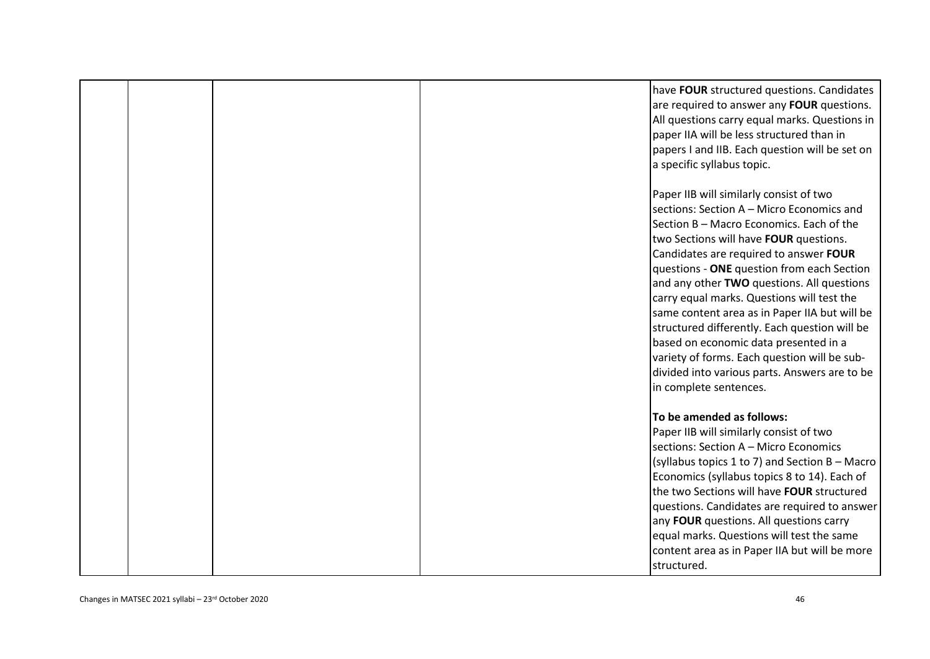|  | have FOUR structured questions. Candidates<br>are required to answer any FOUR questions.<br>All questions carry equal marks. Questions in<br>paper IIA will be less structured than in<br>papers I and IIB. Each question will be set on<br>a specific syllabus topic.                                                                                                                                                                                                                                                                                                                                                               |
|--|--------------------------------------------------------------------------------------------------------------------------------------------------------------------------------------------------------------------------------------------------------------------------------------------------------------------------------------------------------------------------------------------------------------------------------------------------------------------------------------------------------------------------------------------------------------------------------------------------------------------------------------|
|  | Paper IIB will similarly consist of two<br>sections: Section A - Micro Economics and<br>Section B - Macro Economics. Each of the<br>two Sections will have FOUR questions.<br>Candidates are required to answer FOUR<br>questions - ONE question from each Section<br>and any other TWO questions. All questions<br>carry equal marks. Questions will test the<br>same content area as in Paper IIA but will be<br>structured differently. Each question will be<br>based on economic data presented in a<br>variety of forms. Each question will be sub-<br>divided into various parts. Answers are to be<br>in complete sentences. |
|  | To be amended as follows:<br>Paper IIB will similarly consist of two<br>sections: Section A - Micro Economics<br>(syllabus topics 1 to 7) and Section B - Macro<br>Economics (syllabus topics 8 to 14). Each of<br>the two Sections will have FOUR structured<br>questions. Candidates are required to answer<br>any FOUR questions. All questions carry<br>equal marks. Questions will test the same<br>content area as in Paper IIA but will be more<br>structured.                                                                                                                                                                |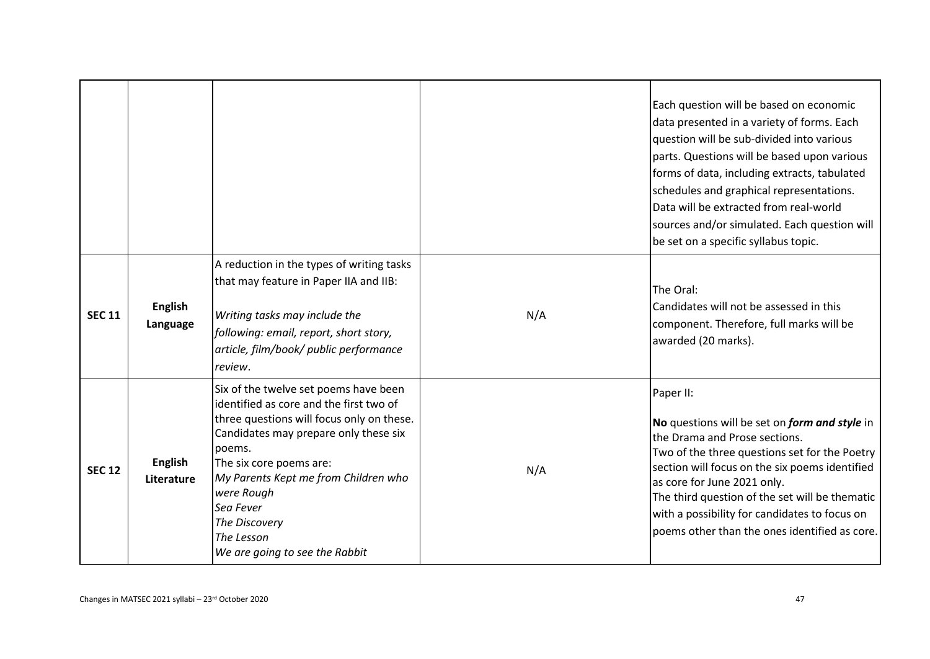|               |                              |                                                                                                                                                                                                                                                                                                                                                 |     | Each question will be based on economic<br>data presented in a variety of forms. Each<br>question will be sub-divided into various<br>parts. Questions will be based upon various<br>forms of data, including extracts, tabulated<br>schedules and graphical representations.<br>Data will be extracted from real-world<br>sources and/or simulated. Each question will<br>be set on a specific syllabus topic. |
|---------------|------------------------------|-------------------------------------------------------------------------------------------------------------------------------------------------------------------------------------------------------------------------------------------------------------------------------------------------------------------------------------------------|-----|-----------------------------------------------------------------------------------------------------------------------------------------------------------------------------------------------------------------------------------------------------------------------------------------------------------------------------------------------------------------------------------------------------------------|
| <b>SEC 11</b> | <b>English</b><br>Language   | A reduction in the types of writing tasks<br>that may feature in Paper IIA and IIB:<br>Writing tasks may include the<br>following: email, report, short story,<br>article, film/book/ public performance<br>review.                                                                                                                             | N/A | The Oral:<br>Candidates will not be assessed in this<br>component. Therefore, full marks will be<br>awarded (20 marks).                                                                                                                                                                                                                                                                                         |
| <b>SEC 12</b> | <b>English</b><br>Literature | Six of the twelve set poems have been<br>identified as core and the first two of<br>three questions will focus only on these.<br>Candidates may prepare only these six<br>poems.<br>The six core poems are:<br>My Parents Kept me from Children who<br>were Rough<br>Sea Fever<br>The Discovery<br>The Lesson<br>We are going to see the Rabbit | N/A | Paper II:<br>No questions will be set on form and style in<br>the Drama and Prose sections.<br>Two of the three questions set for the Poetry<br>section will focus on the six poems identified<br>as core for June 2021 only.<br>The third question of the set will be thematic<br>with a possibility for candidates to focus on<br>poems other than the ones identified as core.                               |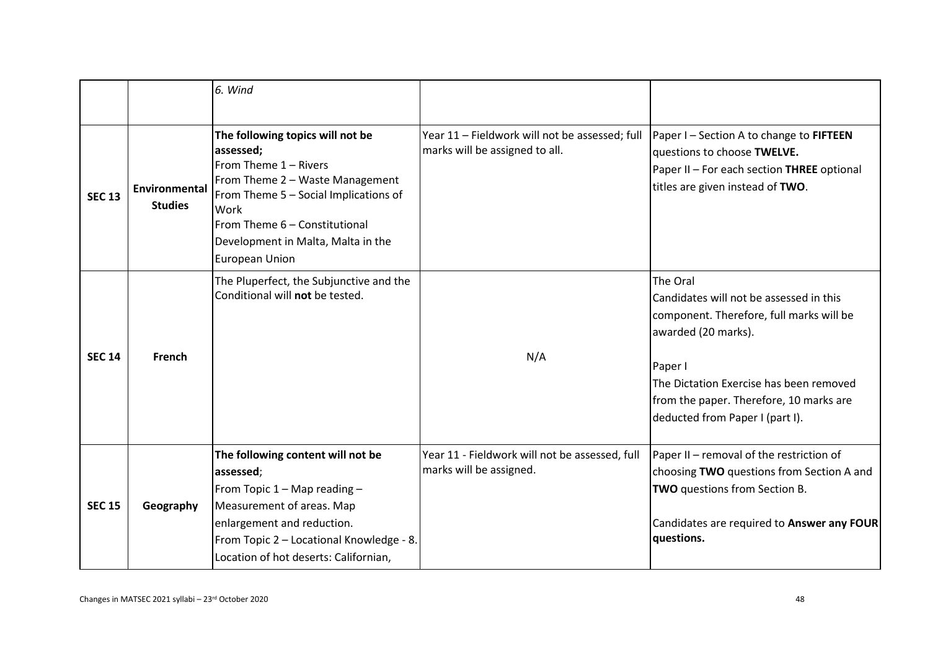|               |                                 | 6. Wind                                                                                                                                                                                                                                             |                                                                                  |                                                                                                                                                                                                                                                            |
|---------------|---------------------------------|-----------------------------------------------------------------------------------------------------------------------------------------------------------------------------------------------------------------------------------------------------|----------------------------------------------------------------------------------|------------------------------------------------------------------------------------------------------------------------------------------------------------------------------------------------------------------------------------------------------------|
| <b>SEC 13</b> | Environmental<br><b>Studies</b> | The following topics will not be<br>assessed;<br>From Theme 1 - Rivers<br>From Theme 2 - Waste Management<br>From Theme 5 - Social Implications of<br>Work<br>From Theme 6 - Constitutional<br>Development in Malta, Malta in the<br>European Union | Year 11 - Fieldwork will not be assessed; full<br>marks will be assigned to all. | Paper I - Section A to change to FIFTEEN<br>questions to choose TWELVE.<br>Paper II - For each section THREE optional<br>titles are given instead of TWO.                                                                                                  |
| <b>SEC 14</b> | French                          | The Pluperfect, the Subjunctive and the<br>Conditional will not be tested.                                                                                                                                                                          | N/A                                                                              | The Oral<br>Candidates will not be assessed in this<br>component. Therefore, full marks will be<br>awarded (20 marks).<br>Paper I<br>The Dictation Exercise has been removed<br>from the paper. Therefore, 10 marks are<br>deducted from Paper I (part I). |
| <b>SEC 15</b> | Geography                       | The following content will not be<br>assessed;<br>From Topic 1 - Map reading -<br>Measurement of areas. Map<br>enlargement and reduction.<br>From Topic 2 - Locational Knowledge - 8.<br>Location of hot deserts: Californian,                      | Year 11 - Fieldwork will not be assessed, full<br>marks will be assigned.        | Paper II - removal of the restriction of<br>choosing TWO questions from Section A and<br>TWO questions from Section B.<br>Candidates are required to Answer any FOUR<br>questions.                                                                         |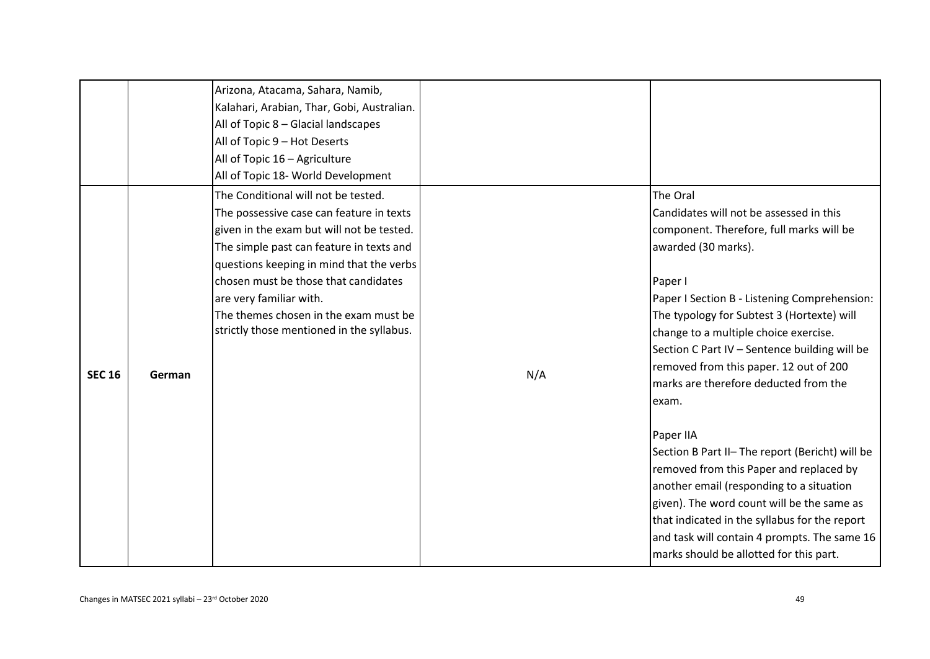|               |        | Arizona, Atacama, Sahara, Namib,<br>Kalahari, Arabian, Thar, Gobi, Australian.<br>All of Topic 8 - Glacial landscapes<br>All of Topic 9 - Hot Deserts<br>All of Topic 16 - Agriculture<br>All of Topic 18- World Development                                                                                                                                                  |     |                                                                                                                                                                                                                                                                                                                                                                                                                       |
|---------------|--------|-------------------------------------------------------------------------------------------------------------------------------------------------------------------------------------------------------------------------------------------------------------------------------------------------------------------------------------------------------------------------------|-----|-----------------------------------------------------------------------------------------------------------------------------------------------------------------------------------------------------------------------------------------------------------------------------------------------------------------------------------------------------------------------------------------------------------------------|
| <b>SEC 16</b> | German | The Conditional will not be tested.<br>The possessive case can feature in texts<br>given in the exam but will not be tested.<br>The simple past can feature in texts and<br>questions keeping in mind that the verbs<br>chosen must be those that candidates<br>are very familiar with.<br>The themes chosen in the exam must be<br>strictly those mentioned in the syllabus. | N/A | The Oral<br>Candidates will not be assessed in this<br>component. Therefore, full marks will be<br>awarded (30 marks).<br>Paper I<br>Paper I Section B - Listening Comprehension:<br>The typology for Subtest 3 (Hortexte) will<br>change to a multiple choice exercise.<br>Section C Part IV - Sentence building will be<br>removed from this paper. 12 out of 200<br>marks are therefore deducted from the<br>exam. |
|               |        |                                                                                                                                                                                                                                                                                                                                                                               |     | Paper IIA<br>Section B Part II- The report (Bericht) will be<br>removed from this Paper and replaced by<br>another email (responding to a situation<br>given). The word count will be the same as<br>that indicated in the syllabus for the report<br>and task will contain 4 prompts. The same 16<br>marks should be allotted for this part.                                                                         |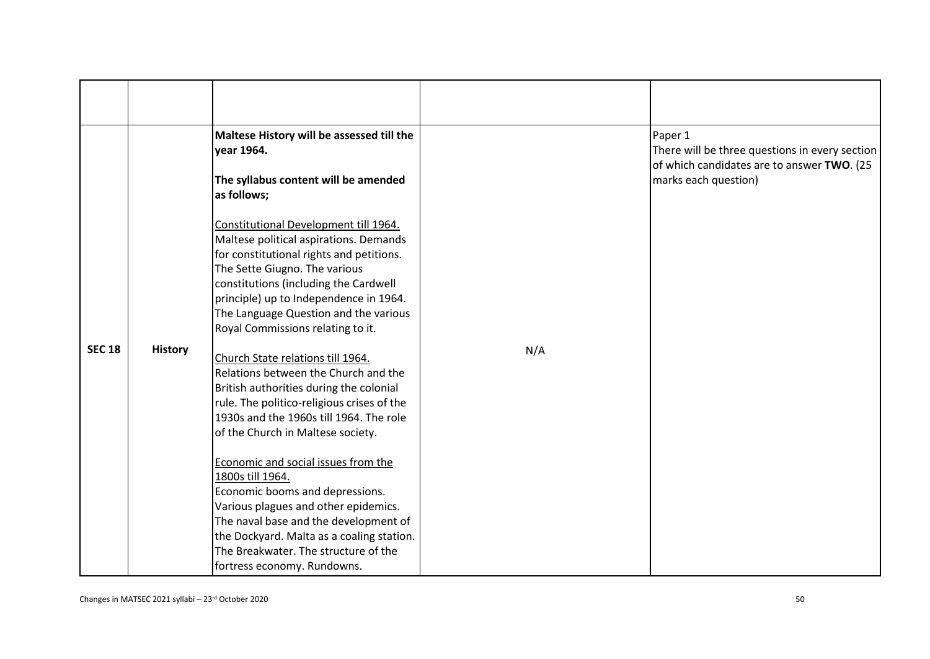|               |                | Maltese History will be assessed till the<br>year 1964.                                                                          |     | Paper 1<br>There will be three questions in every section<br>of which candidates are to answer TWO. (25 |
|---------------|----------------|----------------------------------------------------------------------------------------------------------------------------------|-----|---------------------------------------------------------------------------------------------------------|
|               |                | The syllabus content will be amended<br>as follows;                                                                              |     | marks each question)                                                                                    |
|               |                | Constitutional Development till 1964.<br>Maltese political aspirations. Demands<br>for constitutional rights and petitions.      |     |                                                                                                         |
|               |                | The Sette Giugno. The various<br>constitutions (including the Cardwell                                                           |     |                                                                                                         |
|               |                | principle) up to Independence in 1964.<br>The Language Question and the various<br>Royal Commissions relating to it.             |     |                                                                                                         |
| <b>SEC 18</b> | <b>History</b> | Church State relations till 1964.<br>Relations between the Church and the                                                        | N/A |                                                                                                         |
|               |                | British authorities during the colonial<br>rule. The politico-religious crises of the<br>1930s and the 1960s till 1964. The role |     |                                                                                                         |
|               |                | of the Church in Maltese society.                                                                                                |     |                                                                                                         |
|               |                | Economic and social issues from the<br>1800s till 1964.<br>Economic booms and depressions.                                       |     |                                                                                                         |
|               |                | Various plagues and other epidemics.<br>The naval base and the development of<br>the Dockyard. Malta as a coaling station.       |     |                                                                                                         |
|               |                | The Breakwater. The structure of the<br>fortress economy. Rundowns.                                                              |     |                                                                                                         |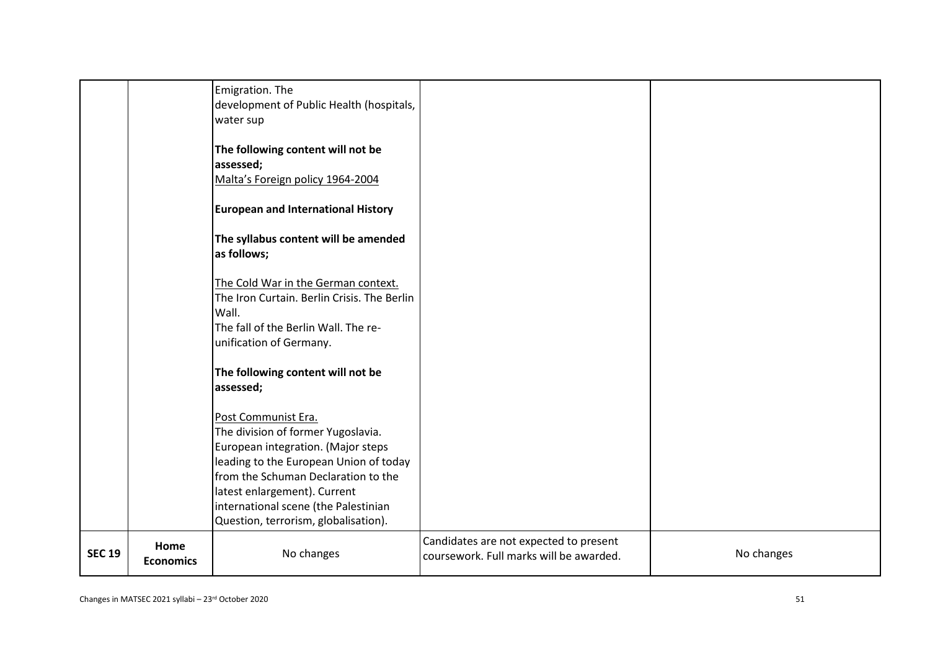|               |                          | Emigration. The<br>development of Public Health (hospitals,<br>water sup                                                                                                                                                                                                                         |                                                                                   |            |
|---------------|--------------------------|--------------------------------------------------------------------------------------------------------------------------------------------------------------------------------------------------------------------------------------------------------------------------------------------------|-----------------------------------------------------------------------------------|------------|
|               |                          | The following content will not be<br>assessed;<br>Malta's Foreign policy 1964-2004                                                                                                                                                                                                               |                                                                                   |            |
|               |                          | <b>European and International History</b>                                                                                                                                                                                                                                                        |                                                                                   |            |
|               |                          | The syllabus content will be amended<br>as follows;                                                                                                                                                                                                                                              |                                                                                   |            |
|               |                          | The Cold War in the German context.<br>The Iron Curtain. Berlin Crisis. The Berlin<br>Wall.<br>The fall of the Berlin Wall. The re-<br>unification of Germany.                                                                                                                                   |                                                                                   |            |
|               |                          | The following content will not be<br>assessed;                                                                                                                                                                                                                                                   |                                                                                   |            |
|               |                          | Post Communist Era.<br>The division of former Yugoslavia.<br>European integration. (Major steps<br>leading to the European Union of today<br>from the Schuman Declaration to the<br>latest enlargement). Current<br>international scene (the Palestinian<br>Question, terrorism, globalisation). |                                                                                   |            |
| <b>SEC 19</b> | Home<br><b>Economics</b> | No changes                                                                                                                                                                                                                                                                                       | Candidates are not expected to present<br>coursework. Full marks will be awarded. | No changes |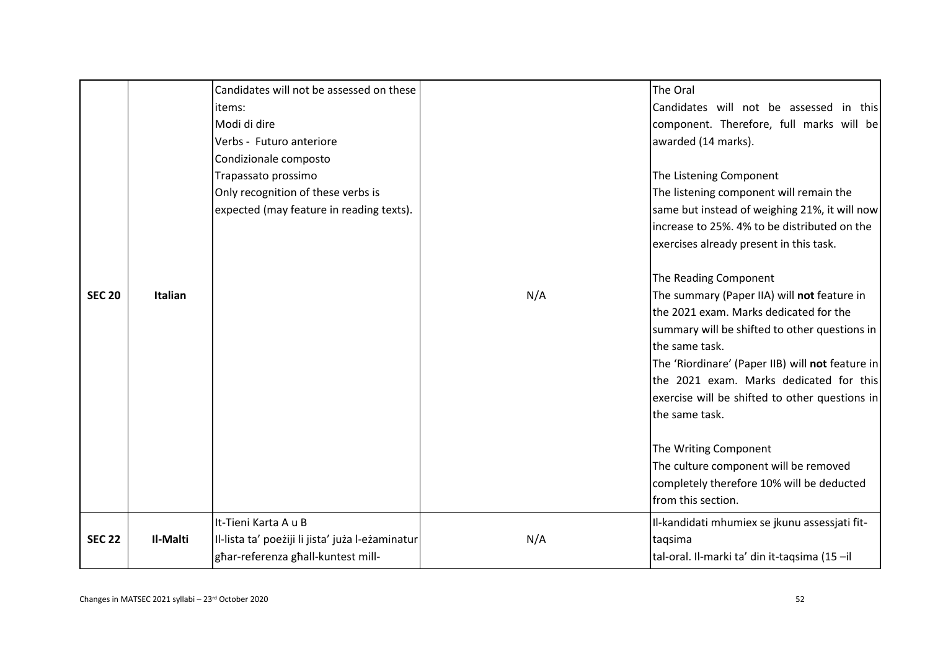|               |          | Candidates will not be assessed on these<br>items:<br>Modi di dire<br>Verbs - Futuro anteriore<br>Condizionale composto<br>Trapassato prossimo<br>Only recognition of these verbs is<br>expected (may feature in reading texts). |     | The Oral<br>Candidates will not be assessed in this<br>component. Therefore, full marks will be<br>awarded (14 marks).<br>The Listening Component<br>The listening component will remain the<br>same but instead of weighing 21%, it will now<br>increase to 25%. 4% to be distributed on the<br>exercises already present in this task.                                                                                                                                                  |
|---------------|----------|----------------------------------------------------------------------------------------------------------------------------------------------------------------------------------------------------------------------------------|-----|-------------------------------------------------------------------------------------------------------------------------------------------------------------------------------------------------------------------------------------------------------------------------------------------------------------------------------------------------------------------------------------------------------------------------------------------------------------------------------------------|
| <b>SEC 20</b> | Italian  |                                                                                                                                                                                                                                  | N/A | The Reading Component<br>The summary (Paper IIA) will not feature in<br>the 2021 exam. Marks dedicated for the<br>summary will be shifted to other questions in<br>the same task.<br>The 'Riordinare' (Paper IIB) will not feature in<br>the 2021 exam. Marks dedicated for this<br>exercise will be shifted to other questions in<br>the same task.<br>The Writing Component<br>The culture component will be removed<br>completely therefore 10% will be deducted<br>from this section. |
| <b>SEC 22</b> | Il-Malti | It-Tieni Karta A u B<br>II-lista ta' poeżiji li jista' juża l-eżaminatur<br>ghar-referenza ghall-kuntest mill-                                                                                                                   | N/A | Il-kandidati mhumiex se jkunu assessjati fit-<br>taqsima<br>tal-oral. Il-marki ta' din it-taqsima (15 -il                                                                                                                                                                                                                                                                                                                                                                                 |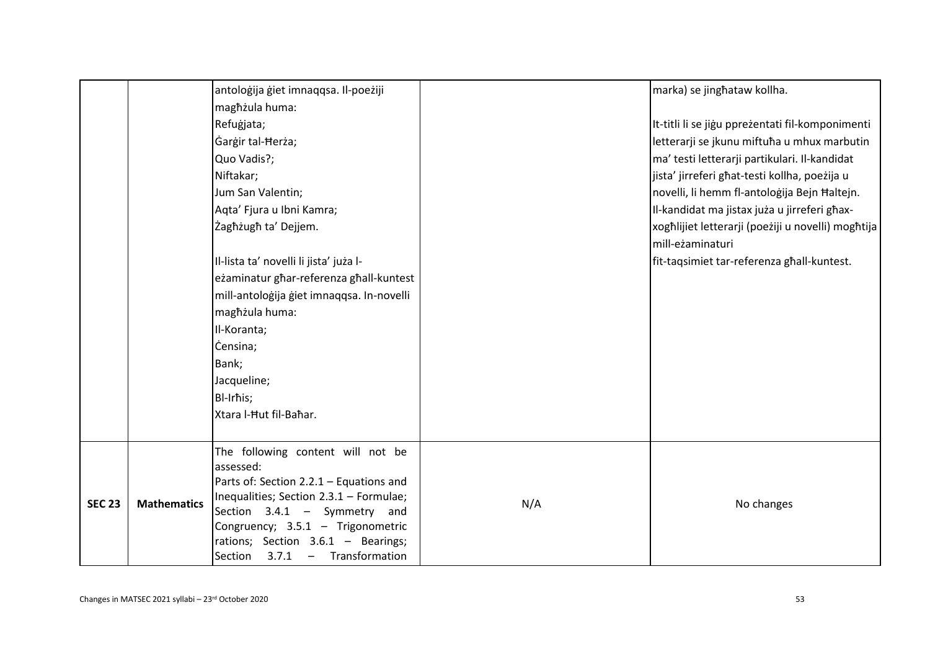|               |                    | antoloģija ģiet imnaqqsa. Il-poeżiji                                      |     | marka) se jinghataw kollha.                        |
|---------------|--------------------|---------------------------------------------------------------------------|-----|----------------------------------------------------|
|               |                    | maghżula huma:                                                            |     |                                                    |
|               |                    | Refuģjata;                                                                |     | It-titli li se jigu ppreżentati fil-komponimenti   |
|               |                    | Gargir tal-Herża;                                                         |     | letterarji se jkunu miftuħa u mhux marbutin        |
|               |                    | Quo Vadis?;                                                               |     | ma' testi letterarji partikulari. Il-kandidat      |
|               |                    | Niftakar;                                                                 |     | jista' jirreferi ghat-testi kollha, poeżija u      |
|               |                    | Jum San Valentin;                                                         |     | novelli, li hemm fl-antologija Bejn Haltejn.       |
|               |                    | Aqta' Fjura u Ibni Kamra;                                                 |     | Il-kandidat ma jistax juża u jirreferi għax-       |
|               |                    | Żagħżugħ ta' Dejjem.                                                      |     | xoghlijiet letterarji (poeżiji u novelli) moghtija |
|               |                    |                                                                           |     | mill-eżaminaturi                                   |
|               |                    | Il-lista ta' novelli li jista' juża l-                                    |     | fit-taqsimiet tar-referenza għall-kuntest.         |
|               |                    | eżaminatur ghar-referenza ghall-kuntest                                   |     |                                                    |
|               |                    | mill-antoloģija ģiet imnaqqsa. In-novelli                                 |     |                                                    |
|               |                    | maghżula huma:                                                            |     |                                                    |
|               |                    | Il-Koranta;                                                               |     |                                                    |
|               |                    | Censina;                                                                  |     |                                                    |
|               |                    | Bank;                                                                     |     |                                                    |
|               |                    | Jacqueline;                                                               |     |                                                    |
|               |                    | Bl-Irhis;                                                                 |     |                                                    |
|               |                    | Xtara l-Hut fil-Bahar.                                                    |     |                                                    |
|               |                    |                                                                           |     |                                                    |
|               |                    | The following content will not be                                         |     |                                                    |
|               |                    | assessed:                                                                 |     |                                                    |
|               |                    | Parts of: Section 2.2.1 - Equations and                                   |     |                                                    |
| <b>SEC 23</b> | <b>Mathematics</b> | Inequalities; Section 2.3.1 - Formulae;<br>Section $3.4.1 - Symmetry$ and | N/A | No changes                                         |
|               |                    | Congruency; 3.5.1 - Trigonometric                                         |     |                                                    |
|               |                    | rations; Section 3.6.1 - Bearings;                                        |     |                                                    |
|               |                    | 3.7.1 - Transformation<br>Section                                         |     |                                                    |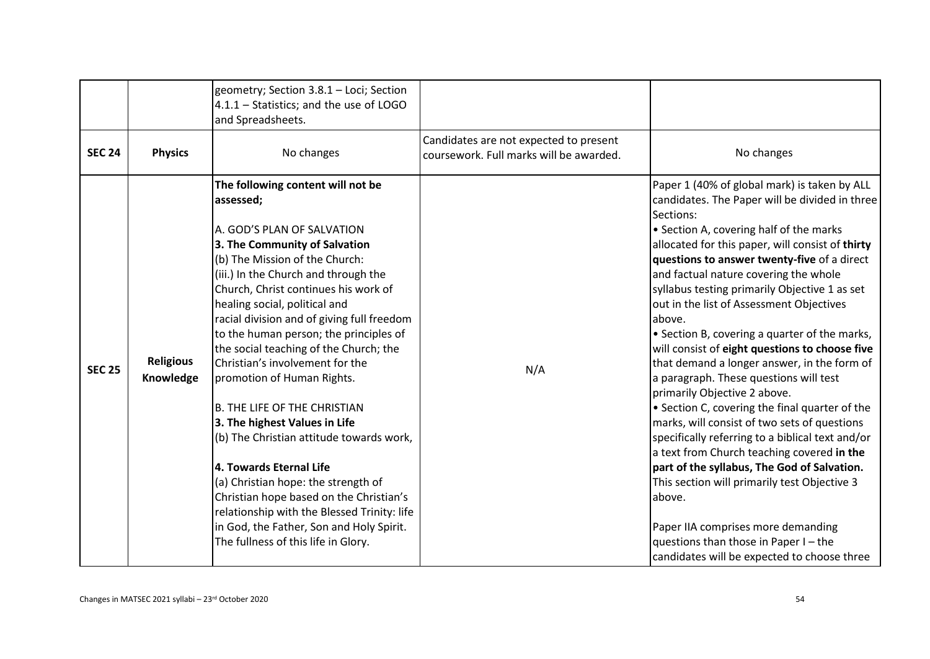|               |                               | geometry; Section 3.8.1 - Loci; Section<br>$4.1.1 - Statistics$ ; and the use of LOGO<br>and Spreadsheets.                                                                                                                                                                                                                                                                                                                                                                                                                                                                                                                                                                                                                                                                                                                      |                                                                                   |                                                                                                                                                                                                                                                                                                                                                                                                                                                                                                                                                                                                                                                                                                                                                                                                                                                                                                                                                                                                                                    |
|---------------|-------------------------------|---------------------------------------------------------------------------------------------------------------------------------------------------------------------------------------------------------------------------------------------------------------------------------------------------------------------------------------------------------------------------------------------------------------------------------------------------------------------------------------------------------------------------------------------------------------------------------------------------------------------------------------------------------------------------------------------------------------------------------------------------------------------------------------------------------------------------------|-----------------------------------------------------------------------------------|------------------------------------------------------------------------------------------------------------------------------------------------------------------------------------------------------------------------------------------------------------------------------------------------------------------------------------------------------------------------------------------------------------------------------------------------------------------------------------------------------------------------------------------------------------------------------------------------------------------------------------------------------------------------------------------------------------------------------------------------------------------------------------------------------------------------------------------------------------------------------------------------------------------------------------------------------------------------------------------------------------------------------------|
| <b>SEC 24</b> | <b>Physics</b>                | No changes                                                                                                                                                                                                                                                                                                                                                                                                                                                                                                                                                                                                                                                                                                                                                                                                                      | Candidates are not expected to present<br>coursework. Full marks will be awarded. | No changes                                                                                                                                                                                                                                                                                                                                                                                                                                                                                                                                                                                                                                                                                                                                                                                                                                                                                                                                                                                                                         |
| <b>SEC 25</b> | <b>Religious</b><br>Knowledge | The following content will not be<br>assessed;<br>A. GOD'S PLAN OF SALVATION<br>3. The Community of Salvation<br>(b) The Mission of the Church:<br>(iii.) In the Church and through the<br>Church, Christ continues his work of<br>healing social, political and<br>racial division and of giving full freedom<br>to the human person; the principles of<br>the social teaching of the Church; the<br>Christian's involvement for the<br>promotion of Human Rights.<br>B. THE LIFE OF THE CHRISTIAN<br>3. The highest Values in Life<br>(b) The Christian attitude towards work,<br>4. Towards Eternal Life<br>(a) Christian hope: the strength of<br>Christian hope based on the Christian's<br>relationship with the Blessed Trinity: life<br>in God, the Father, Son and Holy Spirit.<br>The fullness of this life in Glory. | N/A                                                                               | Paper 1 (40% of global mark) is taken by ALL<br>candidates. The Paper will be divided in three<br>Sections:<br>• Section A, covering half of the marks<br>allocated for this paper, will consist of thirty<br>questions to answer twenty-five of a direct<br>and factual nature covering the whole<br>syllabus testing primarily Objective 1 as set<br>out in the list of Assessment Objectives<br>above.<br>• Section B, covering a quarter of the marks,<br>will consist of eight questions to choose five<br>that demand a longer answer, in the form of<br>a paragraph. These questions will test<br>primarily Objective 2 above.<br>• Section C, covering the final quarter of the<br>marks, will consist of two sets of questions<br>specifically referring to a biblical text and/or<br>a text from Church teaching covered in the<br>part of the syllabus, The God of Salvation.<br>This section will primarily test Objective 3<br>labove.<br>Paper IIA comprises more demanding<br>questions than those in Paper I - the |
|               |                               |                                                                                                                                                                                                                                                                                                                                                                                                                                                                                                                                                                                                                                                                                                                                                                                                                                 |                                                                                   | candidates will be expected to choose three                                                                                                                                                                                                                                                                                                                                                                                                                                                                                                                                                                                                                                                                                                                                                                                                                                                                                                                                                                                        |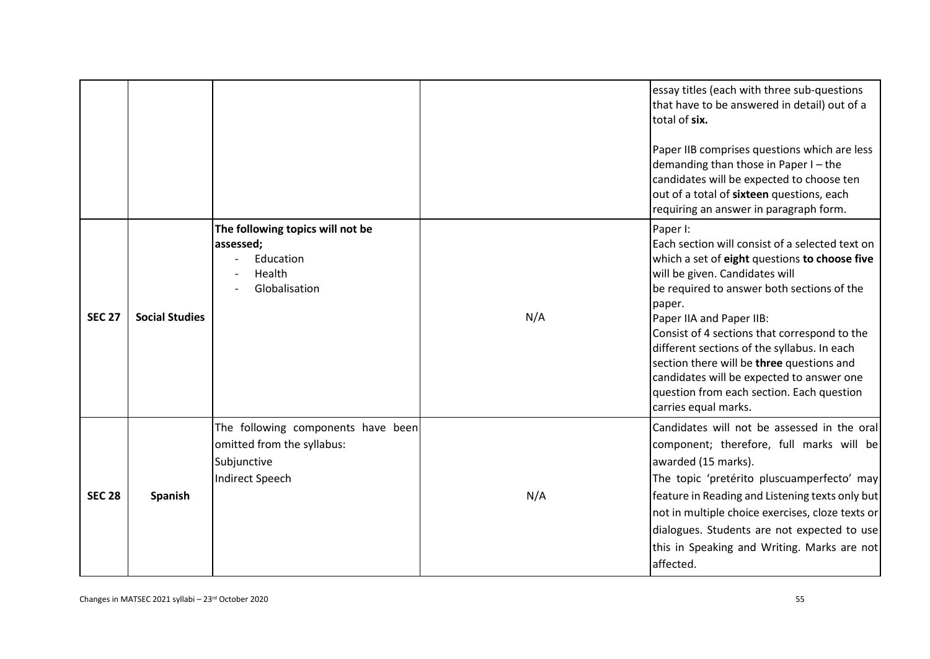|               |                       |                                                                                                           |     | essay titles (each with three sub-questions<br>that have to be answered in detail) out of a<br>total of six.<br>Paper IIB comprises questions which are less<br>demanding than those in Paper I - the<br>candidates will be expected to choose ten<br>out of a total of sixteen questions, each<br>requiring an answer in paragraph form.                                                                                                                                                        |
|---------------|-----------------------|-----------------------------------------------------------------------------------------------------------|-----|--------------------------------------------------------------------------------------------------------------------------------------------------------------------------------------------------------------------------------------------------------------------------------------------------------------------------------------------------------------------------------------------------------------------------------------------------------------------------------------------------|
| <b>SEC 27</b> | <b>Social Studies</b> | The following topics will not be<br>assessed;<br>Education<br>Health<br>Globalisation                     | N/A | Paper I:<br>Each section will consist of a selected text on<br>which a set of eight questions to choose five<br>will be given. Candidates will<br>be required to answer both sections of the<br>paper.<br>Paper IIA and Paper IIB:<br>Consist of 4 sections that correspond to the<br>different sections of the syllabus. In each<br>section there will be three questions and<br>candidates will be expected to answer one<br>question from each section. Each question<br>carries equal marks. |
| <b>SEC 28</b> | <b>Spanish</b>        | The following components have been<br>omitted from the syllabus:<br>Subjunctive<br><b>Indirect Speech</b> | N/A | Candidates will not be assessed in the oral<br>component; therefore, full marks will be<br>awarded (15 marks).<br>The topic 'pretérito pluscuamperfecto' may<br>feature in Reading and Listening texts only but<br>not in multiple choice exercises, cloze texts or<br>dialogues. Students are not expected to use<br>this in Speaking and Writing. Marks are not<br>affected.                                                                                                                   |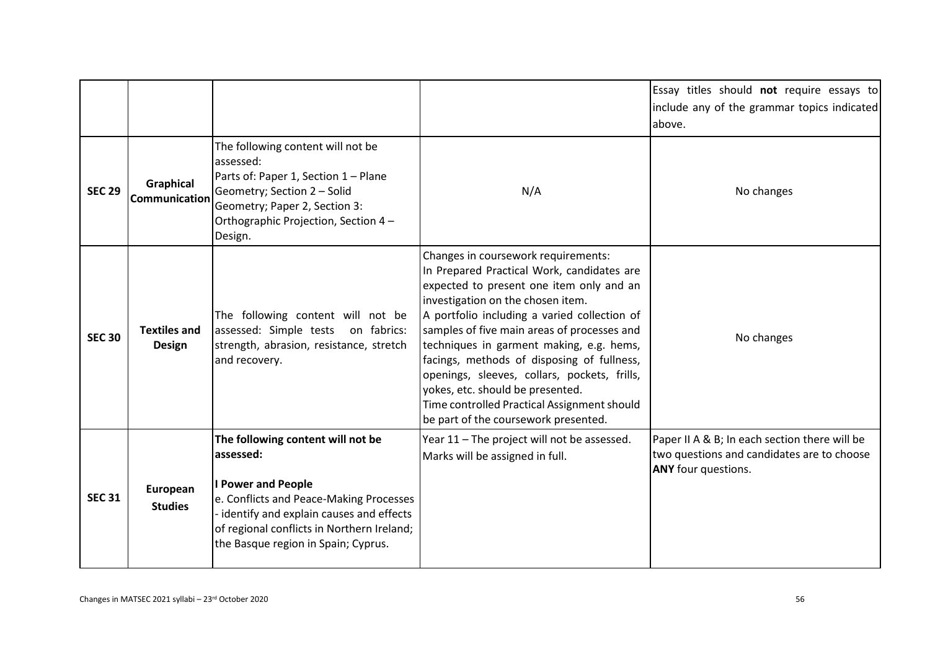|               |                                      |                                                                                                                                                                                                                                                          |                                                                                                                                                                                                                                                                                                                                                                                                                                                                                                                                        | Essay titles should not require essays to<br>include any of the grammar topics indicated<br>above.                 |
|---------------|--------------------------------------|----------------------------------------------------------------------------------------------------------------------------------------------------------------------------------------------------------------------------------------------------------|----------------------------------------------------------------------------------------------------------------------------------------------------------------------------------------------------------------------------------------------------------------------------------------------------------------------------------------------------------------------------------------------------------------------------------------------------------------------------------------------------------------------------------------|--------------------------------------------------------------------------------------------------------------------|
| <b>SEC 29</b> | Graphical<br>Communication           | The following content will not be<br>assessed:<br>Parts of: Paper 1, Section 1 - Plane<br>Geometry; Section 2 - Solid<br>Geometry; Paper 2, Section 3:<br>Orthographic Projection, Section 4-<br>Design.                                                 | N/A                                                                                                                                                                                                                                                                                                                                                                                                                                                                                                                                    | No changes                                                                                                         |
| <b>SEC 30</b> | <b>Textiles and</b><br><b>Design</b> | The following content will not be<br>assessed: Simple tests on fabrics:<br>strength, abrasion, resistance, stretch<br>and recovery.                                                                                                                      | Changes in coursework requirements:<br>In Prepared Practical Work, candidates are<br>expected to present one item only and an<br>investigation on the chosen item.<br>A portfolio including a varied collection of<br>samples of five main areas of processes and<br>techniques in garment making, e.g. hems,<br>facings, methods of disposing of fullness,<br>openings, sleeves, collars, pockets, frills,<br>yokes, etc. should be presented.<br>Time controlled Practical Assignment should<br>be part of the coursework presented. | No changes                                                                                                         |
| <b>SEC 31</b> | European<br><b>Studies</b>           | The following content will not be<br>assessed:<br><b>I Power and People</b><br>e. Conflicts and Peace-Making Processes<br>- identify and explain causes and effects<br>of regional conflicts in Northern Ireland;<br>the Basque region in Spain; Cyprus. | Year 11 - The project will not be assessed.<br>Marks will be assigned in full.                                                                                                                                                                                                                                                                                                                                                                                                                                                         | Paper II A & B; In each section there will be<br>two questions and candidates are to choose<br>ANY four questions. |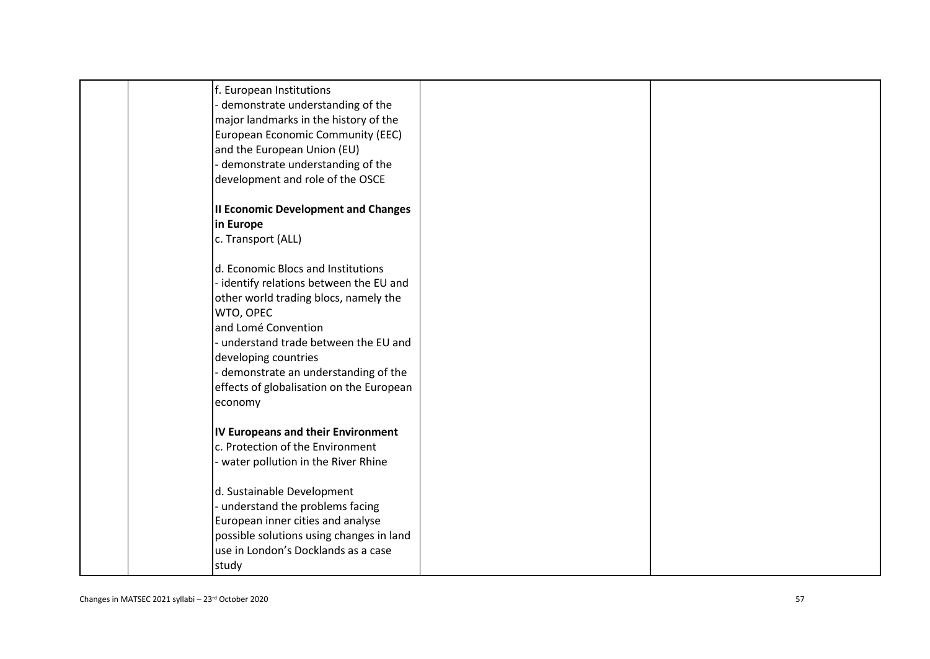| f. European Institutions<br>demonstrate understanding of the<br>major landmarks in the history of the<br>European Economic Community (EEC)<br>and the European Union (EU)<br>demonstrate understanding of the<br>development and role of the OSCE                                                                       |  |
|-------------------------------------------------------------------------------------------------------------------------------------------------------------------------------------------------------------------------------------------------------------------------------------------------------------------------|--|
| <b>Il Economic Development and Changes</b><br>in Europe<br>c. Transport (ALL)                                                                                                                                                                                                                                           |  |
| d. Economic Blocs and Institutions<br>identify relations between the EU and<br>other world trading blocs, namely the<br>WTO, OPEC<br>and Lomé Convention<br>understand trade between the EU and<br>developing countries<br>- demonstrate an understanding of the<br>effects of globalisation on the European<br>economy |  |
| <b>IV Europeans and their Environment</b><br>c. Protection of the Environment<br>- water pollution in the River Rhine                                                                                                                                                                                                   |  |
| d. Sustainable Development<br>- understand the problems facing<br>European inner cities and analyse<br>possible solutions using changes in land<br>use in London's Docklands as a case<br>study                                                                                                                         |  |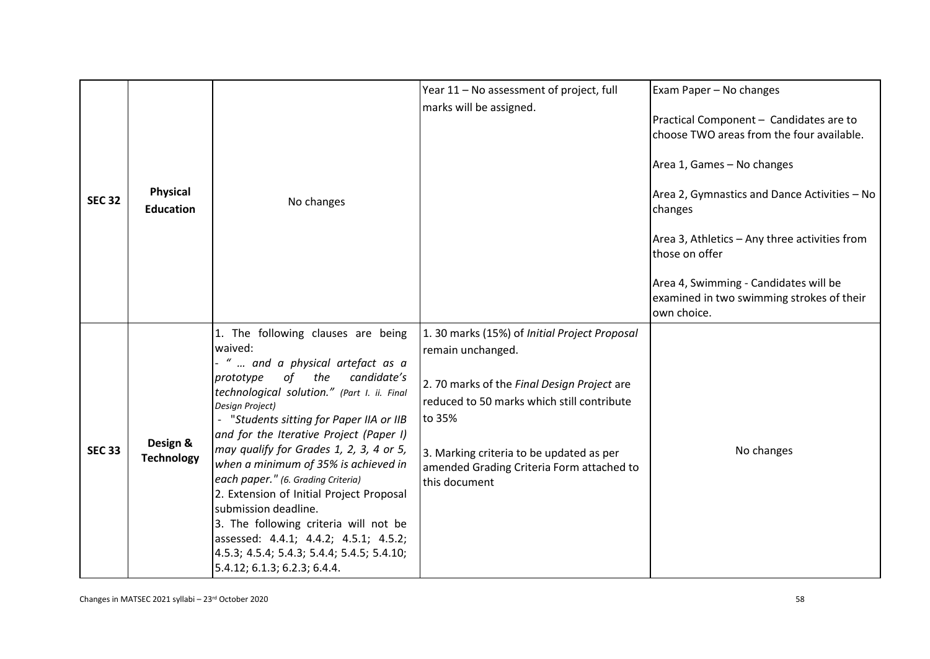|               |                                     |                                                                                                                                                                                                                                                                                                                                                                                                                                                                                                                                                                                                                                                   | Year 11 - No assessment of project, full                                                                                                                                                                                                                                           | Exam Paper - No changes                                                                           |
|---------------|-------------------------------------|---------------------------------------------------------------------------------------------------------------------------------------------------------------------------------------------------------------------------------------------------------------------------------------------------------------------------------------------------------------------------------------------------------------------------------------------------------------------------------------------------------------------------------------------------------------------------------------------------------------------------------------------------|------------------------------------------------------------------------------------------------------------------------------------------------------------------------------------------------------------------------------------------------------------------------------------|---------------------------------------------------------------------------------------------------|
|               |                                     |                                                                                                                                                                                                                                                                                                                                                                                                                                                                                                                                                                                                                                                   |                                                                                                                                                                                                                                                                                    |                                                                                                   |
|               |                                     |                                                                                                                                                                                                                                                                                                                                                                                                                                                                                                                                                                                                                                                   | marks will be assigned.                                                                                                                                                                                                                                                            | Practical Component - Candidates are to<br>choose TWO areas from the four available.              |
|               |                                     |                                                                                                                                                                                                                                                                                                                                                                                                                                                                                                                                                                                                                                                   |                                                                                                                                                                                                                                                                                    | Area 1, Games - No changes                                                                        |
| <b>SEC 32</b> | <b>Physical</b><br><b>Education</b> | No changes                                                                                                                                                                                                                                                                                                                                                                                                                                                                                                                                                                                                                                        |                                                                                                                                                                                                                                                                                    | Area 2, Gymnastics and Dance Activities - No<br>changes                                           |
|               |                                     |                                                                                                                                                                                                                                                                                                                                                                                                                                                                                                                                                                                                                                                   |                                                                                                                                                                                                                                                                                    | Area 3, Athletics - Any three activities from<br>those on offer                                   |
|               |                                     |                                                                                                                                                                                                                                                                                                                                                                                                                                                                                                                                                                                                                                                   |                                                                                                                                                                                                                                                                                    | Area 4, Swimming - Candidates will be<br>examined in two swimming strokes of their<br>own choice. |
| <b>SEC 33</b> | Design &<br><b>Technology</b>       | 1. The following clauses are being<br>waived:<br>"  and a physical artefact as a<br>of the<br>candidate's<br>prototype<br>technological solution." (Part I. ii. Final<br><b>Design Project)</b><br>"Students sitting for Paper IIA or IIB<br>and for the Iterative Project (Paper I)<br>may qualify for Grades 1, 2, 3, 4 or 5,<br>when a minimum of 35% is achieved in<br>each paper." (6. Grading Criteria)<br>2. Extension of Initial Project Proposal<br>submission deadline.<br>3. The following criteria will not be<br>assessed: 4.4.1; 4.4.2; 4.5.1; 4.5.2;<br>4.5.3; 4.5.4; 5.4.3; 5.4.4; 5.4.5; 5.4.10;<br>5.4.12; 6.1.3; 6.2.3; 6.4.4. | 1. 30 marks (15%) of Initial Project Proposal<br>remain unchanged.<br>2.70 marks of the Final Design Project are<br>reduced to 50 marks which still contribute<br>to 35%<br>3. Marking criteria to be updated as per<br>amended Grading Criteria Form attached to<br>this document | No changes                                                                                        |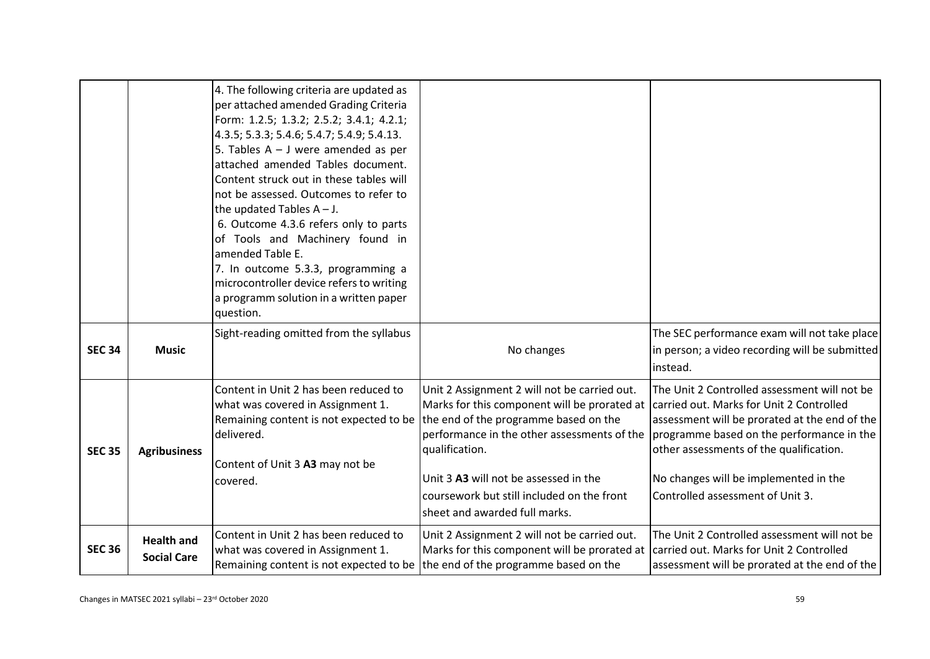|               |                                         | 4. The following criteria are updated as<br>per attached amended Grading Criteria<br>Form: 1.2.5; 1.3.2; 2.5.2; 3.4.1; 4.2.1;<br>4.3.5; 5.3.3; 5.4.6; 5.4.7; 5.4.9; 5.4.13.<br>5. Tables $A - J$ were amended as per<br>attached amended Tables document.<br>Content struck out in these tables will<br>not be assessed. Outcomes to refer to<br>the updated Tables $A - J$ .<br>6. Outcome 4.3.6 refers only to parts<br>of Tools and Machinery found in<br>amended Table E.<br>7. In outcome 5.3.3, programming a<br>microcontroller device refers to writing<br>a programm solution in a written paper<br>question. |                                                                                                                                                                                                                                                                                                                                |                                                                                                                                                                                                                                                                                                                |
|---------------|-----------------------------------------|------------------------------------------------------------------------------------------------------------------------------------------------------------------------------------------------------------------------------------------------------------------------------------------------------------------------------------------------------------------------------------------------------------------------------------------------------------------------------------------------------------------------------------------------------------------------------------------------------------------------|--------------------------------------------------------------------------------------------------------------------------------------------------------------------------------------------------------------------------------------------------------------------------------------------------------------------------------|----------------------------------------------------------------------------------------------------------------------------------------------------------------------------------------------------------------------------------------------------------------------------------------------------------------|
| <b>SEC 34</b> | <b>Music</b>                            | Sight-reading omitted from the syllabus                                                                                                                                                                                                                                                                                                                                                                                                                                                                                                                                                                                | No changes                                                                                                                                                                                                                                                                                                                     | The SEC performance exam will not take place<br>in person; a video recording will be submitted<br>instead.                                                                                                                                                                                                     |
| <b>SEC 35</b> | <b>Agribusiness</b>                     | Content in Unit 2 has been reduced to<br>what was covered in Assignment 1.<br>Remaining content is not expected to be<br>delivered.<br>Content of Unit 3 A3 may not be<br>covered.                                                                                                                                                                                                                                                                                                                                                                                                                                     | Unit 2 Assignment 2 will not be carried out.<br>Marks for this component will be prorated at<br>the end of the programme based on the<br>performance in the other assessments of the<br>qualification.<br>Unit 3 A3 will not be assessed in the<br>coursework but still included on the front<br>sheet and awarded full marks. | The Unit 2 Controlled assessment will not be<br>carried out. Marks for Unit 2 Controlled<br>assessment will be prorated at the end of the<br>programme based on the performance in the<br>other assessments of the qualification.<br>No changes will be implemented in the<br>Controlled assessment of Unit 3. |
| <b>SEC 36</b> | <b>Health and</b><br><b>Social Care</b> | Content in Unit 2 has been reduced to<br>what was covered in Assignment 1.<br>Remaining content is not expected to be                                                                                                                                                                                                                                                                                                                                                                                                                                                                                                  | Unit 2 Assignment 2 will not be carried out.<br>Marks for this component will be prorated at<br>the end of the programme based on the                                                                                                                                                                                          | The Unit 2 Controlled assessment will not be<br>carried out. Marks for Unit 2 Controlled<br>assessment will be prorated at the end of the                                                                                                                                                                      |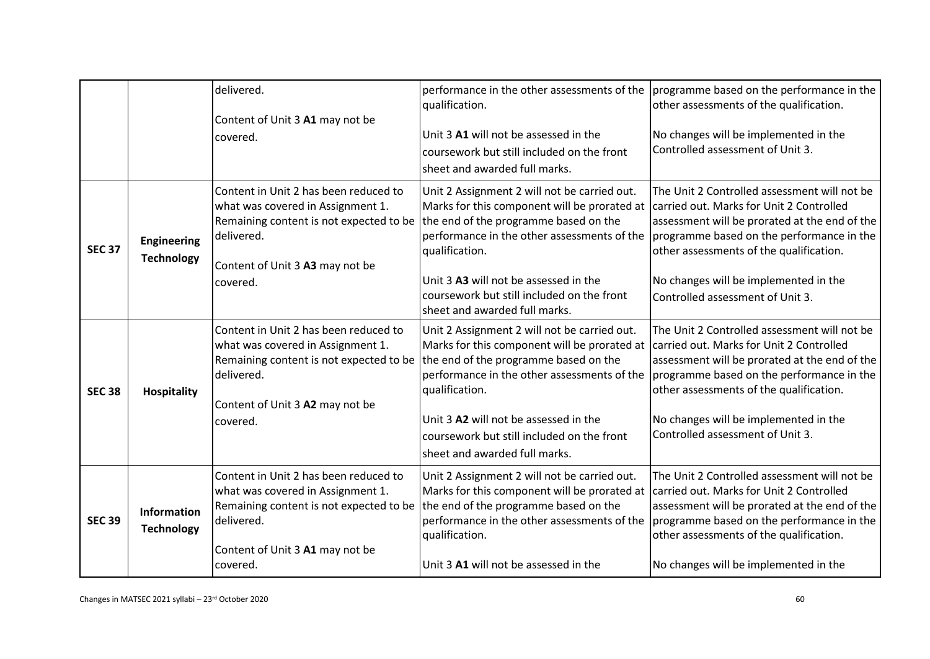|               |                                         | delivered.<br>Content of Unit 3 A1 may not be<br>covered.                                                                                                                          | qualification.<br>Unit 3 A1 will not be assessed in the<br>coursework but still included on the front<br>sheet and awarded full marks.                                                                                                                                                                                         | performance in the other assessments of the $ $ programme based on the performance in the<br>other assessments of the qualification.<br>No changes will be implemented in the<br>Controlled assessment of Unit 3.                                                                                              |
|---------------|-----------------------------------------|------------------------------------------------------------------------------------------------------------------------------------------------------------------------------------|--------------------------------------------------------------------------------------------------------------------------------------------------------------------------------------------------------------------------------------------------------------------------------------------------------------------------------|----------------------------------------------------------------------------------------------------------------------------------------------------------------------------------------------------------------------------------------------------------------------------------------------------------------|
| <b>SEC 37</b> | <b>Engineering</b><br><b>Technology</b> | Content in Unit 2 has been reduced to<br>what was covered in Assignment 1.<br>Remaining content is not expected to be<br>delivered.<br>Content of Unit 3 A3 may not be<br>covered. | Unit 2 Assignment 2 will not be carried out.<br>Marks for this component will be prorated at<br>the end of the programme based on the<br>performance in the other assessments of the<br>qualification.<br>Unit 3 A3 will not be assessed in the<br>coursework but still included on the front<br>sheet and awarded full marks. | The Unit 2 Controlled assessment will not be<br>carried out. Marks for Unit 2 Controlled<br>assessment will be prorated at the end of the<br>programme based on the performance in the<br>other assessments of the qualification.<br>No changes will be implemented in the<br>Controlled assessment of Unit 3. |
| <b>SEC 38</b> | <b>Hospitality</b>                      | Content in Unit 2 has been reduced to<br>what was covered in Assignment 1.<br>Remaining content is not expected to be<br>delivered.<br>Content of Unit 3 A2 may not be<br>covered. | Unit 2 Assignment 2 will not be carried out.<br>Marks for this component will be prorated at<br>the end of the programme based on the<br>performance in the other assessments of the<br>qualification.<br>Unit 3 A2 will not be assessed in the<br>coursework but still included on the front<br>sheet and awarded full marks. | The Unit 2 Controlled assessment will not be<br>carried out. Marks for Unit 2 Controlled<br>assessment will be prorated at the end of the<br>programme based on the performance in the<br>other assessments of the qualification.<br>No changes will be implemented in the<br>Controlled assessment of Unit 3. |
| <b>SEC 39</b> | Information<br><b>Technology</b>        | Content in Unit 2 has been reduced to<br>what was covered in Assignment 1.<br>Remaining content is not expected to be<br>delivered.<br>Content of Unit 3 A1 may not be<br>covered. | Unit 2 Assignment 2 will not be carried out.<br>Marks for this component will be prorated at carried out. Marks for Unit 2 Controlled<br>the end of the programme based on the<br>performance in the other assessments of the<br>qualification.<br>Unit 3 A1 will not be assessed in the                                       | The Unit 2 Controlled assessment will not be<br>assessment will be prorated at the end of the<br>programme based on the performance in the<br>other assessments of the qualification.<br>No changes will be implemented in the                                                                                 |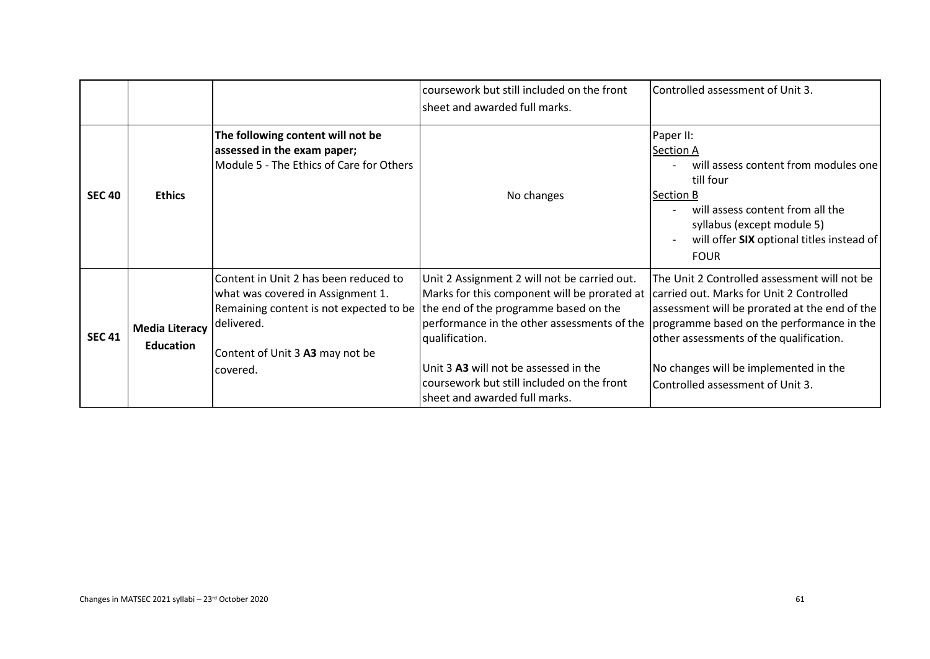|               |                                           |                                                                                                                                                                                                                           | coursework but still included on the front<br>sheet and awarded full marks.                                                                                                                                                                                                           | Controlled assessment of Unit 3.                                                                                                                                                                                                                                                                               |
|---------------|-------------------------------------------|---------------------------------------------------------------------------------------------------------------------------------------------------------------------------------------------------------------------------|---------------------------------------------------------------------------------------------------------------------------------------------------------------------------------------------------------------------------------------------------------------------------------------|----------------------------------------------------------------------------------------------------------------------------------------------------------------------------------------------------------------------------------------------------------------------------------------------------------------|
| <b>SEC 40</b> | <b>Ethics</b>                             | The following content will not be<br>assessed in the exam paper;<br>Module 5 - The Ethics of Care for Others                                                                                                              | No changes                                                                                                                                                                                                                                                                            | Paper II:<br><b>Section A</b><br>will assess content from modules one<br>till four<br><b>Section B</b><br>will assess content from all the<br>syllabus (except module 5)<br>will offer SIX optional titles instead of<br><b>FOUR</b>                                                                           |
| <b>SEC 41</b> | <b>Media Literacy</b><br><b>Education</b> | Content in Unit 2 has been reduced to<br>what was covered in Assignment 1.<br>Remaining content is not expected to be the end of the programme based on the<br>Idelivered.<br>Content of Unit 3 A3 may not be<br>covered. | Unit 2 Assignment 2 will not be carried out.<br>Marks for this component will be prorated at<br>performance in the other assessments of the<br>qualification.<br>Unit 3 A3 will not be assessed in the<br>coursework but still included on the front<br>sheet and awarded full marks. | The Unit 2 Controlled assessment will not be<br>carried out. Marks for Unit 2 Controlled<br>assessment will be prorated at the end of the<br>programme based on the performance in the<br>other assessments of the qualification.<br>No changes will be implemented in the<br>Controlled assessment of Unit 3. |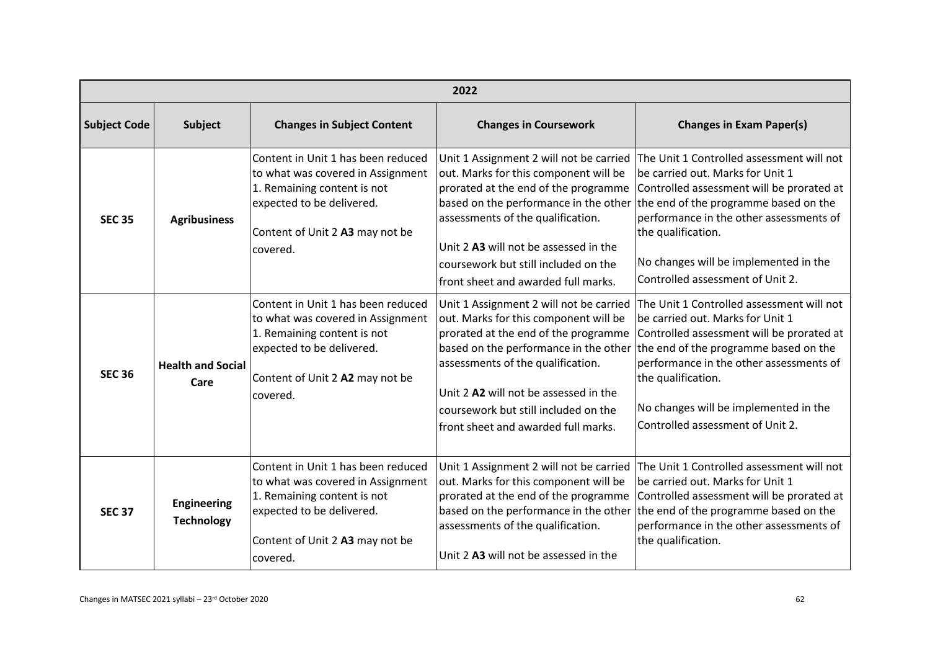|                     | 2022                                    |                                                                                                                                                                                    |                                                                                                                                                                                                                                                                                                                                |                                                                                                                                                                                                                                                                                                                   |  |
|---------------------|-----------------------------------------|------------------------------------------------------------------------------------------------------------------------------------------------------------------------------------|--------------------------------------------------------------------------------------------------------------------------------------------------------------------------------------------------------------------------------------------------------------------------------------------------------------------------------|-------------------------------------------------------------------------------------------------------------------------------------------------------------------------------------------------------------------------------------------------------------------------------------------------------------------|--|
| <b>Subject Code</b> | <b>Subject</b>                          | <b>Changes in Subject Content</b>                                                                                                                                                  | <b>Changes in Coursework</b>                                                                                                                                                                                                                                                                                                   | <b>Changes in Exam Paper(s)</b>                                                                                                                                                                                                                                                                                   |  |
| <b>SEC 35</b>       | <b>Agribusiness</b>                     | Content in Unit 1 has been reduced<br>to what was covered in Assignment<br>1. Remaining content is not<br>expected to be delivered.<br>Content of Unit 2 A3 may not be<br>covered. | Unit 1 Assignment 2 will not be carried<br>out. Marks for this component will be<br>prorated at the end of the programme<br>based on the performance in the other<br>assessments of the qualification.<br>Unit 2 A3 will not be assessed in the                                                                                | The Unit 1 Controlled assessment will not<br>be carried out. Marks for Unit 1<br>Controlled assessment will be prorated at<br>the end of the programme based on the<br>performance in the other assessments of<br>the qualification.                                                                              |  |
|                     |                                         |                                                                                                                                                                                    | coursework but still included on the<br>front sheet and awarded full marks.                                                                                                                                                                                                                                                    | No changes will be implemented in the<br>Controlled assessment of Unit 2.                                                                                                                                                                                                                                         |  |
| <b>SEC 36</b>       | <b>Health and Social</b><br>Care        | Content in Unit 1 has been reduced<br>to what was covered in Assignment<br>1. Remaining content is not<br>expected to be delivered.<br>Content of Unit 2 A2 may not be<br>covered. | Unit 1 Assignment 2 will not be carried<br>out. Marks for this component will be<br>prorated at the end of the programme<br>based on the performance in the other<br>assessments of the qualification.<br>Unit 2 A2 will not be assessed in the<br>coursework but still included on the<br>front sheet and awarded full marks. | The Unit 1 Controlled assessment will not<br>be carried out. Marks for Unit 1<br>Controlled assessment will be prorated at<br>the end of the programme based on the<br>performance in the other assessments of<br>the qualification.<br>No changes will be implemented in the<br>Controlled assessment of Unit 2. |  |
| <b>SEC 37</b>       | <b>Engineering</b><br><b>Technology</b> | Content in Unit 1 has been reduced<br>to what was covered in Assignment<br>1. Remaining content is not<br>expected to be delivered.<br>Content of Unit 2 A3 may not be<br>covered. | Unit 1 Assignment 2 will not be carried<br>out. Marks for this component will be<br>prorated at the end of the programme<br>assessments of the qualification.<br>Unit 2 A3 will not be assessed in the                                                                                                                         | The Unit 1 Controlled assessment will not<br>be carried out. Marks for Unit 1<br>Controlled assessment will be prorated at<br>based on the performance in the other the end of the programme based on the<br>performance in the other assessments of<br>the qualification.                                        |  |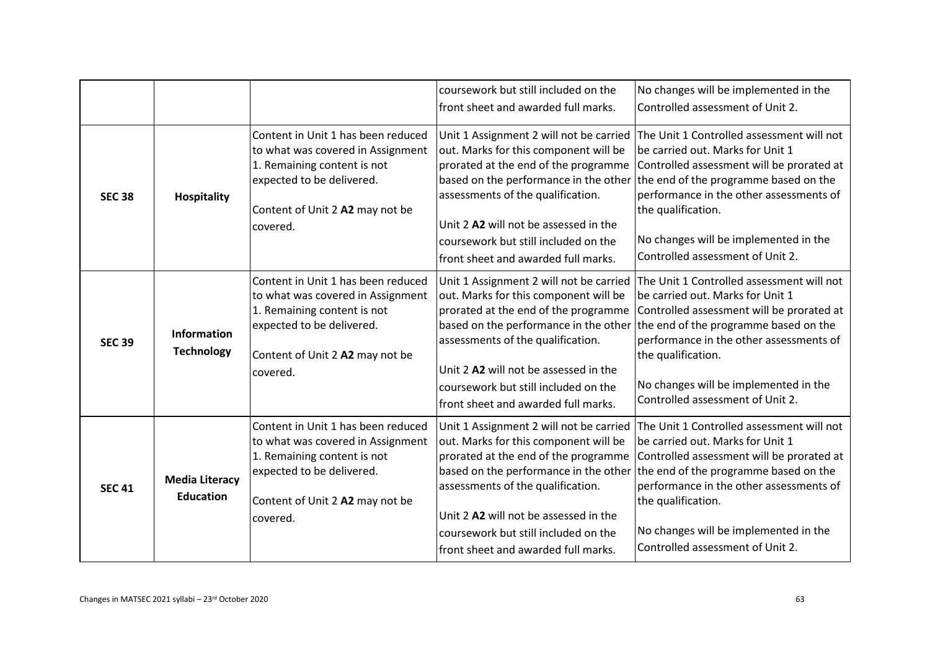|               |                                           |                                                                                                                                                                                    | coursework but still included on the<br>front sheet and awarded full marks.                                                                                                                                                                                                                                                    | No changes will be implemented in the<br>Controlled assessment of Unit 2.                                                                                                                                                                                                                                                                               |
|---------------|-------------------------------------------|------------------------------------------------------------------------------------------------------------------------------------------------------------------------------------|--------------------------------------------------------------------------------------------------------------------------------------------------------------------------------------------------------------------------------------------------------------------------------------------------------------------------------|---------------------------------------------------------------------------------------------------------------------------------------------------------------------------------------------------------------------------------------------------------------------------------------------------------------------------------------------------------|
| <b>SEC 38</b> | <b>Hospitality</b>                        | Content in Unit 1 has been reduced<br>to what was covered in Assignment<br>1. Remaining content is not<br>expected to be delivered.<br>Content of Unit 2 A2 may not be<br>covered. | Unit 1 Assignment 2 will not be carried<br>out. Marks for this component will be<br>prorated at the end of the programme<br>assessments of the qualification.<br>Unit 2 A2 will not be assessed in the<br>coursework but still included on the<br>front sheet and awarded full marks.                                          | The Unit 1 Controlled assessment will not<br>be carried out. Marks for Unit 1<br>Controlled assessment will be prorated at<br>based on the performance in the other the end of the programme based on the<br>performance in the other assessments of<br>the qualification.<br>No changes will be implemented in the<br>Controlled assessment of Unit 2. |
| <b>SEC 39</b> | <b>Information</b><br><b>Technology</b>   | Content in Unit 1 has been reduced<br>to what was covered in Assignment<br>1. Remaining content is not<br>expected to be delivered.<br>Content of Unit 2 A2 may not be<br>covered. | Unit 1 Assignment 2 will not be carried<br>out. Marks for this component will be<br>prorated at the end of the programme<br>based on the performance in the other<br>assessments of the qualification.<br>Unit 2 A2 will not be assessed in the<br>coursework but still included on the<br>front sheet and awarded full marks. | The Unit 1 Controlled assessment will not<br>be carried out. Marks for Unit 1<br>Controlled assessment will be prorated at<br>the end of the programme based on the<br>performance in the other assessments of<br>the qualification.<br>No changes will be implemented in the<br>Controlled assessment of Unit 2.                                       |
| <b>SEC 41</b> | <b>Media Literacy</b><br><b>Education</b> | Content in Unit 1 has been reduced<br>to what was covered in Assignment<br>1. Remaining content is not<br>expected to be delivered.<br>Content of Unit 2 A2 may not be<br>covered. | Unit 1 Assignment 2 will not be carried<br>out. Marks for this component will be<br>prorated at the end of the programme<br>based on the performance in the other<br>assessments of the qualification.<br>Unit 2 A2 will not be assessed in the<br>coursework but still included on the<br>front sheet and awarded full marks. | The Unit 1 Controlled assessment will not<br>be carried out. Marks for Unit 1<br>Controlled assessment will be prorated at<br>the end of the programme based on the<br>performance in the other assessments of<br>the qualification.<br>No changes will be implemented in the<br>Controlled assessment of Unit 2.                                       |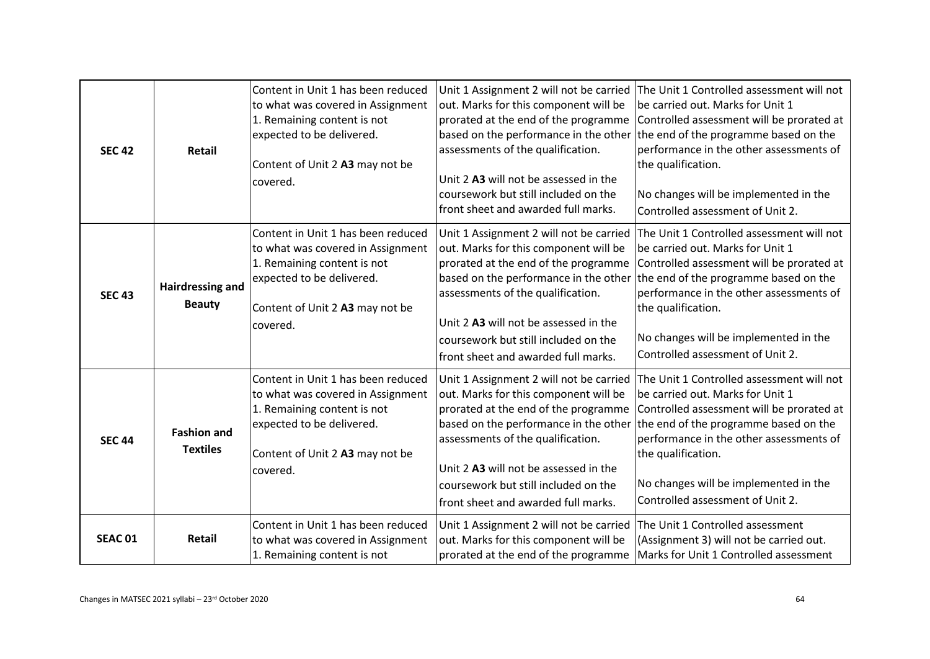| <b>SEC 42</b>  | Retail                                   | Content in Unit 1 has been reduced<br>to what was covered in Assignment<br>1. Remaining content is not<br>expected to be delivered.<br>Content of Unit 2 A3 may not be<br>covered. | out. Marks for this component will be<br>prorated at the end of the programme<br>assessments of the qualification.<br>Unit 2 A3 will not be assessed in the<br>coursework but still included on the<br>front sheet and awarded full marks.                                                                                     | Unit 1 Assignment 2 will not be carried The Unit 1 Controlled assessment will not<br>be carried out. Marks for Unit 1<br>Controlled assessment will be prorated at<br>based on the performance in the other the end of the programme based on the<br>performance in the other assessments of<br>the qualification.<br>No changes will be implemented in the<br>Controlled assessment of Unit 2. |
|----------------|------------------------------------------|------------------------------------------------------------------------------------------------------------------------------------------------------------------------------------|--------------------------------------------------------------------------------------------------------------------------------------------------------------------------------------------------------------------------------------------------------------------------------------------------------------------------------|-------------------------------------------------------------------------------------------------------------------------------------------------------------------------------------------------------------------------------------------------------------------------------------------------------------------------------------------------------------------------------------------------|
| <b>SEC 43</b>  | <b>Hairdressing and</b><br><b>Beauty</b> | Content in Unit 1 has been reduced<br>to what was covered in Assignment<br>1. Remaining content is not<br>expected to be delivered.<br>Content of Unit 2 A3 may not be<br>covered. | out. Marks for this component will be<br>prorated at the end of the programme<br>assessments of the qualification.<br>Unit 2 A3 will not be assessed in the<br>coursework but still included on the<br>front sheet and awarded full marks.                                                                                     | Unit 1 Assignment 2 will not be carried The Unit 1 Controlled assessment will not<br>be carried out. Marks for Unit 1<br>Controlled assessment will be prorated at<br>based on the performance in the other the end of the programme based on the<br>performance in the other assessments of<br>the qualification.<br>No changes will be implemented in the<br>Controlled assessment of Unit 2. |
| <b>SEC 44</b>  | <b>Fashion and</b><br><b>Textiles</b>    | Content in Unit 1 has been reduced<br>to what was covered in Assignment<br>1. Remaining content is not<br>expected to be delivered.<br>Content of Unit 2 A3 may not be<br>covered. | Unit 1 Assignment 2 will not be carried<br>out. Marks for this component will be<br>prorated at the end of the programme<br>based on the performance in the other<br>assessments of the qualification.<br>Unit 2 A3 will not be assessed in the<br>coursework but still included on the<br>front sheet and awarded full marks. | The Unit 1 Controlled assessment will not<br>be carried out. Marks for Unit 1<br>Controlled assessment will be prorated at<br>the end of the programme based on the<br>performance in the other assessments of<br>the qualification.<br>No changes will be implemented in the<br>Controlled assessment of Unit 2.                                                                               |
| <b>SEAC 01</b> | Retail                                   | Content in Unit 1 has been reduced<br>to what was covered in Assignment<br>1. Remaining content is not                                                                             | Unit 1 Assignment 2 will not be carried<br>out. Marks for this component will be<br>prorated at the end of the programme                                                                                                                                                                                                       | The Unit 1 Controlled assessment<br>(Assignment 3) will not be carried out.<br>Marks for Unit 1 Controlled assessment                                                                                                                                                                                                                                                                           |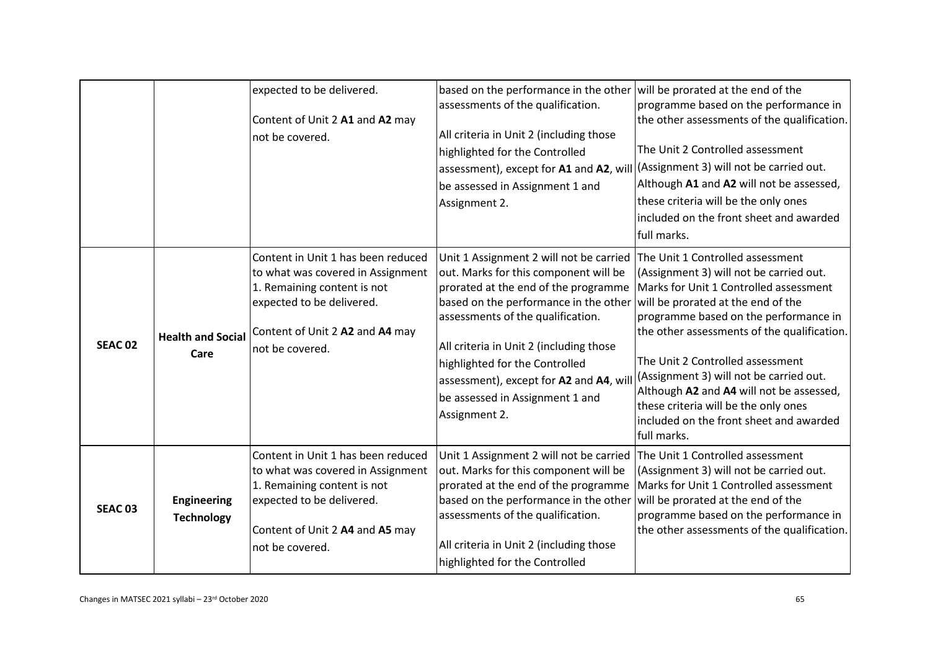|                |                                         | expected to be delivered.<br>Content of Unit 2 A1 and A2 may<br>not be covered.                                                                                                           | based on the performance in the other<br>assessments of the qualification.<br>All criteria in Unit 2 (including those<br>highlighted for the Controlled<br>assessment), except for A1 and A2, will<br>be assessed in Assignment 1 and<br>Assignment 2.                                                                                                                            | will be prorated at the end of the<br>programme based on the performance in<br>the other assessments of the qualification.<br>The Unit 2 Controlled assessment<br>(Assignment 3) will not be carried out.<br>Although A1 and A2 will not be assessed,<br>these criteria will be the only ones<br>included on the front sheet and awarded<br>full marks.                                                                                                                          |
|----------------|-----------------------------------------|-------------------------------------------------------------------------------------------------------------------------------------------------------------------------------------------|-----------------------------------------------------------------------------------------------------------------------------------------------------------------------------------------------------------------------------------------------------------------------------------------------------------------------------------------------------------------------------------|----------------------------------------------------------------------------------------------------------------------------------------------------------------------------------------------------------------------------------------------------------------------------------------------------------------------------------------------------------------------------------------------------------------------------------------------------------------------------------|
| <b>SEAC 02</b> | <b>Health and Social</b><br>Care        | Content in Unit 1 has been reduced<br>to what was covered in Assignment<br>1. Remaining content is not<br>expected to be delivered.<br>Content of Unit 2 A2 and A4 may<br>not be covered. | Unit 1 Assignment 2 will not be carried<br>out. Marks for this component will be<br>prorated at the end of the programme<br>based on the performance in the other<br>assessments of the qualification.<br>All criteria in Unit 2 (including those<br>highlighted for the Controlled<br>assessment), except for A2 and A4, wil<br>be assessed in Assignment 1 and<br>Assignment 2. | The Unit 1 Controlled assessment<br>(Assignment 3) will not be carried out.<br>Marks for Unit 1 Controlled assessment<br>will be prorated at the end of the<br>programme based on the performance in<br>the other assessments of the qualification.<br>The Unit 2 Controlled assessment<br>(Assignment 3) will not be carried out.<br>Although A2 and A4 will not be assessed,<br>these criteria will be the only ones<br>included on the front sheet and awarded<br>full marks. |
| <b>SEAC 03</b> | <b>Engineering</b><br><b>Technology</b> | Content in Unit 1 has been reduced<br>to what was covered in Assignment<br>1. Remaining content is not<br>expected to be delivered.<br>Content of Unit 2 A4 and A5 may<br>not be covered. | Unit 1 Assignment 2 will not be carried The Unit 1 Controlled assessment<br>out. Marks for this component will be<br>prorated at the end of the programme<br>based on the performance in the other<br>assessments of the qualification.<br>All criteria in Unit 2 (including those<br>highlighted for the Controlled                                                              | (Assignment 3) will not be carried out.<br>Marks for Unit 1 Controlled assessment<br>will be prorated at the end of the<br>programme based on the performance in<br>the other assessments of the qualification.                                                                                                                                                                                                                                                                  |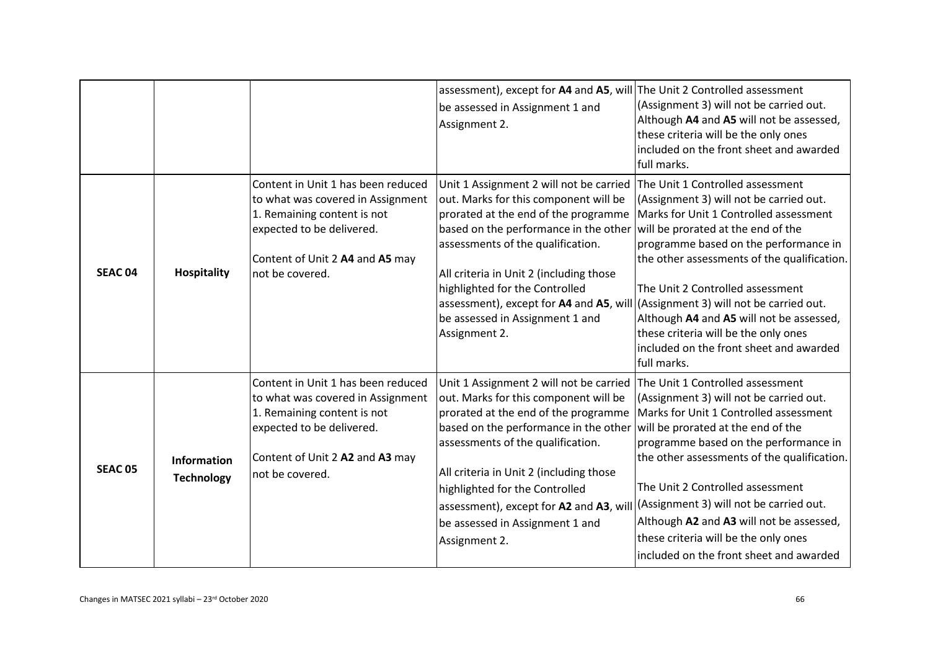|                |                                  |                                                                                                                                                                                           | assessment), except for A4 and A5, will The Unit 2 Controlled assessment<br>be assessed in Assignment 1 and<br>Assignment 2.                                                                                                                                                                                                                                                                                               | (Assignment 3) will not be carried out.<br>Although A4 and A5 will not be assessed,<br>these criteria will be the only ones<br>included on the front sheet and awarded<br>full marks.                                                                                                                                                                                                                                                 |
|----------------|----------------------------------|-------------------------------------------------------------------------------------------------------------------------------------------------------------------------------------------|----------------------------------------------------------------------------------------------------------------------------------------------------------------------------------------------------------------------------------------------------------------------------------------------------------------------------------------------------------------------------------------------------------------------------|---------------------------------------------------------------------------------------------------------------------------------------------------------------------------------------------------------------------------------------------------------------------------------------------------------------------------------------------------------------------------------------------------------------------------------------|
| <b>SEAC 04</b> | <b>Hospitality</b>               | Content in Unit 1 has been reduced<br>to what was covered in Assignment<br>1. Remaining content is not<br>expected to be delivered.<br>Content of Unit 2 A4 and A5 may<br>not be covered. | Unit 1 Assignment 2 will not be carried<br>out. Marks for this component will be<br>prorated at the end of the programme<br>based on the performance in the other<br>assessments of the qualification.<br>All criteria in Unit 2 (including those<br>highlighted for the Controlled<br>assessment), except for A4 and A5, will (Assignment 3) will not be carried out.<br>be assessed in Assignment 1 and<br>Assignment 2. | The Unit 1 Controlled assessment<br>(Assignment 3) will not be carried out.<br>Marks for Unit 1 Controlled assessment<br>will be prorated at the end of the<br>programme based on the performance in<br>the other assessments of the qualification.<br>The Unit 2 Controlled assessment<br>Although A4 and A5 will not be assessed,<br>these criteria will be the only ones<br>included on the front sheet and awarded<br>full marks. |
| <b>SEAC 05</b> | Information<br><b>Technology</b> | Content in Unit 1 has been reduced<br>to what was covered in Assignment<br>1. Remaining content is not<br>expected to be delivered.<br>Content of Unit 2 A2 and A3 may<br>not be covered. | Unit 1 Assignment 2 will not be carried The Unit 1 Controlled assessment<br>out. Marks for this component will be<br>prorated at the end of the programme<br>based on the performance in the other<br>assessments of the qualification.<br>All criteria in Unit 2 (including those<br>highlighted for the Controlled<br>assessment), except for A2 and A3, will<br>be assessed in Assignment 1 and<br>Assignment 2.        | (Assignment 3) will not be carried out.<br>Marks for Unit 1 Controlled assessment<br>will be prorated at the end of the<br>programme based on the performance in<br>the other assessments of the qualification.<br>The Unit 2 Controlled assessment<br>(Assignment 3) will not be carried out.<br>Although A2 and A3 will not be assessed,<br>these criteria will be the only ones<br>included on the front sheet and awarded         |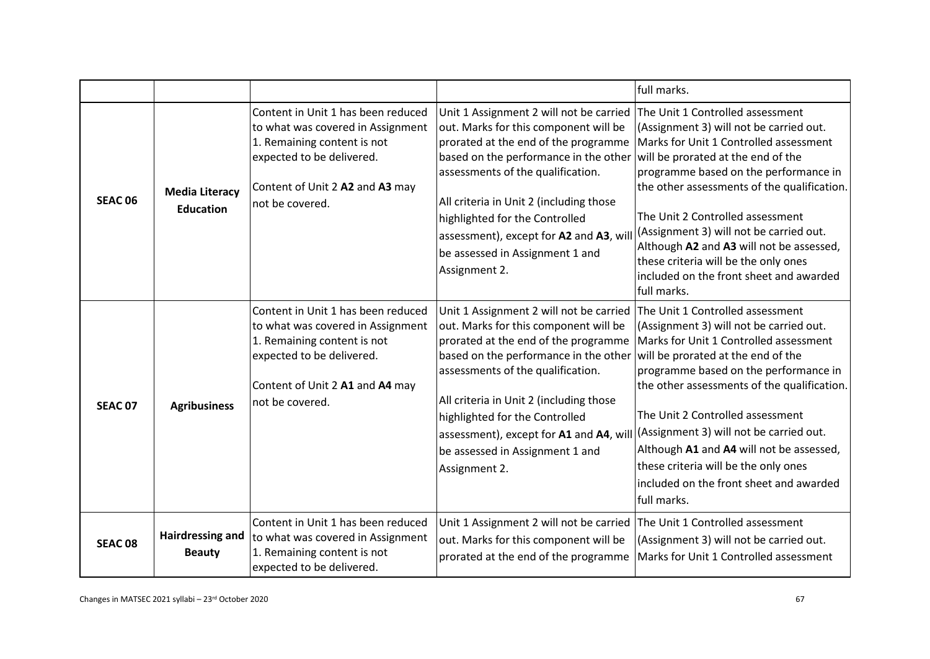|                    |                                           |                                                                                                                                                                                           |                                                                                                                                                                                                                                                                                                                                                                                                                       | full marks.                                                                                                                                                                                                                                                                                                                                                                                                                                                                      |
|--------------------|-------------------------------------------|-------------------------------------------------------------------------------------------------------------------------------------------------------------------------------------------|-----------------------------------------------------------------------------------------------------------------------------------------------------------------------------------------------------------------------------------------------------------------------------------------------------------------------------------------------------------------------------------------------------------------------|----------------------------------------------------------------------------------------------------------------------------------------------------------------------------------------------------------------------------------------------------------------------------------------------------------------------------------------------------------------------------------------------------------------------------------------------------------------------------------|
| SEAC <sub>06</sub> | <b>Media Literacy</b><br><b>Education</b> | Content in Unit 1 has been reduced<br>to what was covered in Assignment<br>1. Remaining content is not<br>expected to be delivered.<br>Content of Unit 2 A2 and A3 may<br>not be covered. | Unit 1 Assignment 2 will not be carried<br>out. Marks for this component will be<br>prorated at the end of the programme<br>based on the performance in the other<br>assessments of the qualification.<br>All criteria in Unit 2 (including those<br>highlighted for the Controlled<br>assessment), except for A2 and A3, wil<br>be assessed in Assignment 1 and<br>Assignment 2.                                     | The Unit 1 Controlled assessment<br>(Assignment 3) will not be carried out.<br>Marks for Unit 1 Controlled assessment<br>will be prorated at the end of the<br>programme based on the performance in<br>the other assessments of the qualification.<br>The Unit 2 Controlled assessment<br>(Assignment 3) will not be carried out.<br>Although A2 and A3 will not be assessed,<br>these criteria will be the only ones<br>included on the front sheet and awarded<br>full marks. |
| <b>SEAC 07</b>     | <b>Agribusiness</b>                       | Content in Unit 1 has been reduced<br>to what was covered in Assignment<br>1. Remaining content is not<br>expected to be delivered.<br>Content of Unit 2 A1 and A4 may<br>not be covered. | Unit 1 Assignment 2 will not be carried   The Unit 1 Controlled assessment<br>out. Marks for this component will be<br>prorated at the end of the programme<br>based on the performance in the other<br>assessments of the qualification.<br>All criteria in Unit 2 (including those<br>highlighted for the Controlled<br>assessment), except for A1 and A4, will<br>be assessed in Assignment 1 and<br>Assignment 2. | (Assignment 3) will not be carried out.<br>Marks for Unit 1 Controlled assessment<br>will be prorated at the end of the<br>programme based on the performance in<br>the other assessments of the qualification.<br>The Unit 2 Controlled assessment<br>(Assignment 3) will not be carried out.<br>Although A1 and A4 will not be assessed,<br>these criteria will be the only ones<br>included on the front sheet and awarded<br>full marks.                                     |
| <b>SEAC 08</b>     | Hairdressing and<br><b>Beauty</b>         | Content in Unit 1 has been reduced<br>to what was covered in Assignment<br>1. Remaining content is not<br>expected to be delivered.                                                       | Unit 1 Assignment 2 will not be carried<br>out. Marks for this component will be<br>prorated at the end of the programme                                                                                                                                                                                                                                                                                              | The Unit 1 Controlled assessment<br>(Assignment 3) will not be carried out.<br>Marks for Unit 1 Controlled assessment                                                                                                                                                                                                                                                                                                                                                            |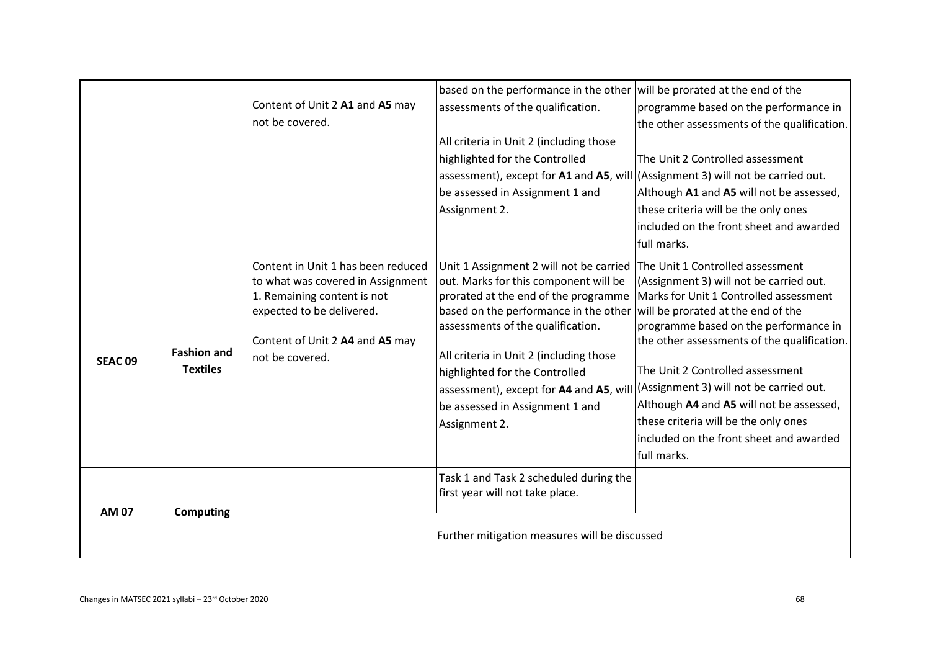|                |                                       | Content of Unit 2 A1 and A5 may<br>not be covered.                                                                                                                                        | based on the performance in the other will be prorated at the end of the<br>assessments of the qualification.<br>All criteria in Unit 2 (including those<br>highlighted for the Controlled<br>assessment), except for $A1$ and $A5$ , will (Assignment 3) will not be carried out.<br>be assessed in Assignment 1 and<br>Assignment 2.                                                                              | programme based on the performance in<br>the other assessments of the qualification.<br>The Unit 2 Controlled assessment<br>Although A1 and A5 will not be assessed,<br>these criteria will be the only ones<br>included on the front sheet and awarded<br>full marks.                                                                                                                                                                   |
|----------------|---------------------------------------|-------------------------------------------------------------------------------------------------------------------------------------------------------------------------------------------|---------------------------------------------------------------------------------------------------------------------------------------------------------------------------------------------------------------------------------------------------------------------------------------------------------------------------------------------------------------------------------------------------------------------|------------------------------------------------------------------------------------------------------------------------------------------------------------------------------------------------------------------------------------------------------------------------------------------------------------------------------------------------------------------------------------------------------------------------------------------|
| <b>SEAC 09</b> | <b>Fashion and</b><br><b>Textiles</b> | Content in Unit 1 has been reduced<br>to what was covered in Assignment<br>1. Remaining content is not<br>expected to be delivered.<br>Content of Unit 2 A4 and A5 may<br>not be covered. | Unit 1 Assignment 2 will not be carried The Unit 1 Controlled assessment<br>out. Marks for this component will be<br>based on the performance in the other<br>assessments of the qualification.<br>All criteria in Unit 2 (including those<br>highlighted for the Controlled<br>assessment), except for A4 and A5, will (Assignment 3) will not be carried out.<br>be assessed in Assignment 1 and<br>Assignment 2. | (Assignment 3) will not be carried out.<br>prorated at the end of the programme   Marks for Unit 1 Controlled assessment<br>will be prorated at the end of the<br>programme based on the performance in<br>the other assessments of the qualification.<br>The Unit 2 Controlled assessment<br>Although A4 and A5 will not be assessed,<br>these criteria will be the only ones<br>included on the front sheet and awarded<br>full marks. |
| AM 07          | <b>Computing</b>                      |                                                                                                                                                                                           | Task 1 and Task 2 scheduled during the<br>first year will not take place.<br>Further mitigation measures will be discussed                                                                                                                                                                                                                                                                                          |                                                                                                                                                                                                                                                                                                                                                                                                                                          |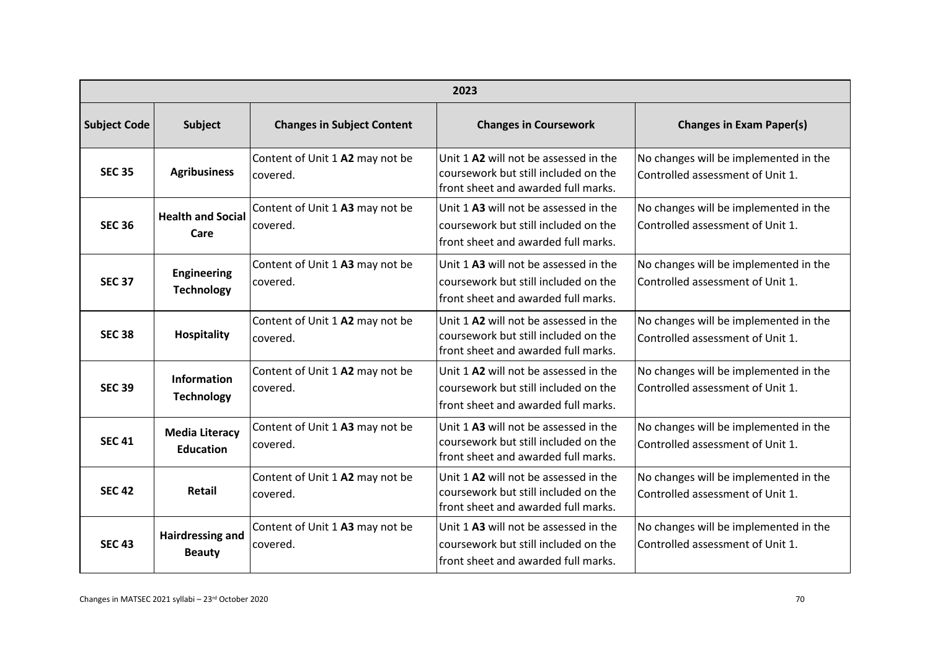|                     | 2023                                      |                                             |                                                                                                                      |                                                                           |  |
|---------------------|-------------------------------------------|---------------------------------------------|----------------------------------------------------------------------------------------------------------------------|---------------------------------------------------------------------------|--|
| <b>Subject Code</b> | <b>Subject</b>                            | <b>Changes in Subject Content</b>           | <b>Changes in Coursework</b>                                                                                         | <b>Changes in Exam Paper(s)</b>                                           |  |
| <b>SEC 35</b>       | <b>Agribusiness</b>                       | Content of Unit 1 A2 may not be<br>covered. | Unit 1 A2 will not be assessed in the<br>coursework but still included on the<br>front sheet and awarded full marks. | No changes will be implemented in the<br>Controlled assessment of Unit 1. |  |
| <b>SEC 36</b>       | <b>Health and Social</b><br>Care          | Content of Unit 1 A3 may not be<br>covered. | Unit 1 A3 will not be assessed in the<br>coursework but still included on the<br>front sheet and awarded full marks. | No changes will be implemented in the<br>Controlled assessment of Unit 1. |  |
| <b>SEC 37</b>       | <b>Engineering</b><br><b>Technology</b>   | Content of Unit 1 A3 may not be<br>covered. | Unit 1 A3 will not be assessed in the<br>coursework but still included on the<br>front sheet and awarded full marks. | No changes will be implemented in the<br>Controlled assessment of Unit 1. |  |
| <b>SEC 38</b>       | <b>Hospitality</b>                        | Content of Unit 1 A2 may not be<br>covered. | Unit 1 A2 will not be assessed in the<br>coursework but still included on the<br>front sheet and awarded full marks. | No changes will be implemented in the<br>Controlled assessment of Unit 1. |  |
| <b>SEC 39</b>       | <b>Information</b><br><b>Technology</b>   | Content of Unit 1 A2 may not be<br>covered. | Unit 1 A2 will not be assessed in the<br>coursework but still included on the<br>front sheet and awarded full marks. | No changes will be implemented in the<br>Controlled assessment of Unit 1. |  |
| <b>SEC 41</b>       | <b>Media Literacy</b><br><b>Education</b> | Content of Unit 1 A3 may not be<br>covered. | Unit 1 A3 will not be assessed in the<br>coursework but still included on the<br>front sheet and awarded full marks. | No changes will be implemented in the<br>Controlled assessment of Unit 1. |  |
| <b>SEC 42</b>       | <b>Retail</b>                             | Content of Unit 1 A2 may not be<br>covered. | Unit 1 A2 will not be assessed in the<br>coursework but still included on the<br>front sheet and awarded full marks. | No changes will be implemented in the<br>Controlled assessment of Unit 1. |  |
| <b>SEC 43</b>       | <b>Hairdressing and</b><br><b>Beauty</b>  | Content of Unit 1 A3 may not be<br>covered. | Unit 1 A3 will not be assessed in the<br>coursework but still included on the<br>front sheet and awarded full marks. | No changes will be implemented in the<br>Controlled assessment of Unit 1. |  |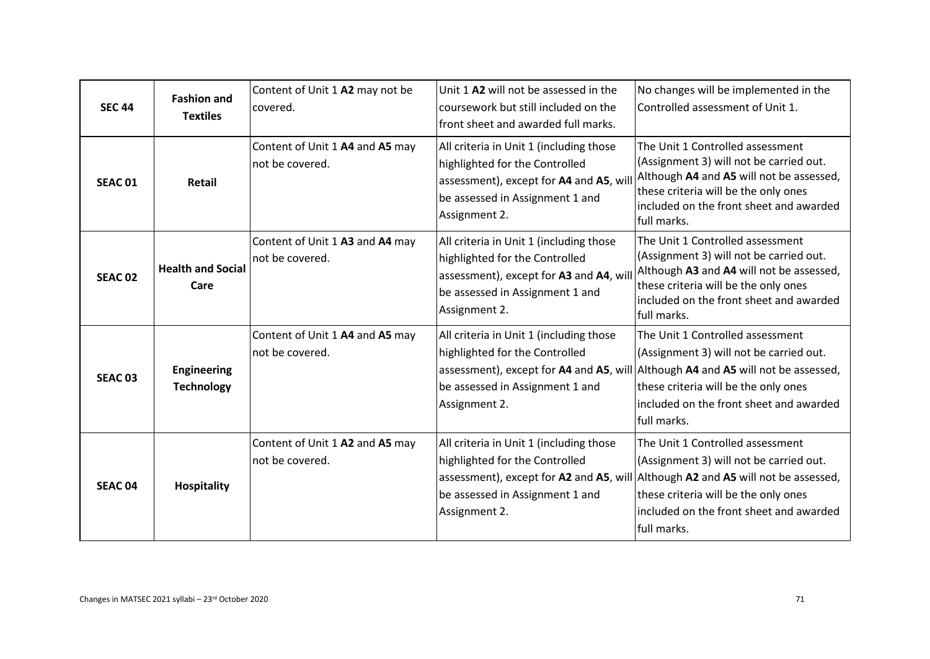| <b>SEC 44</b>  | <b>Fashion and</b><br><b>Textiles</b>   | Content of Unit 1 A2 may not be<br>covered.        | Unit 1 A2 will not be assessed in the<br>coursework but still included on the<br>front sheet and awarded full marks.                                                    | No changes will be implemented in the<br>Controlled assessment of Unit 1.                                                                                                                                                                                         |
|----------------|-----------------------------------------|----------------------------------------------------|-------------------------------------------------------------------------------------------------------------------------------------------------------------------------|-------------------------------------------------------------------------------------------------------------------------------------------------------------------------------------------------------------------------------------------------------------------|
| <b>SEAC 01</b> | Retail                                  | Content of Unit 1 A4 and A5 may<br>not be covered. | All criteria in Unit 1 (including those<br>highlighted for the Controlled<br>assessment), except for A4 and A5, wil<br>be assessed in Assignment 1 and<br>Assignment 2. | The Unit 1 Controlled assessment<br>(Assignment 3) will not be carried out.<br>Although A4 and A5 will not be assessed,<br>these criteria will be the only ones<br>included on the front sheet and awarded<br>full marks.                                         |
| <b>SEAC 02</b> | <b>Health and Social</b><br>Care        | Content of Unit 1 A3 and A4 may<br>not be covered. | All criteria in Unit 1 (including those<br>highlighted for the Controlled<br>assessment), except for A3 and A4, wil<br>be assessed in Assignment 1 and<br>Assignment 2. | The Unit 1 Controlled assessment<br>(Assignment 3) will not be carried out.<br>Although A3 and A4 will not be assessed,<br>these criteria will be the only ones<br>included on the front sheet and awarded<br>lfull marks.                                        |
| <b>SEAC 03</b> | <b>Engineering</b><br><b>Technology</b> | Content of Unit 1 A4 and A5 may<br>not be covered. | All criteria in Unit 1 (including those<br>highlighted for the Controlled<br>be assessed in Assignment 1 and<br>Assignment 2.                                           | The Unit 1 Controlled assessment<br>(Assignment 3) will not be carried out.<br>assessment), except for A4 and A5, will Although A4 and A5 will not be assessed,<br>these criteria will be the only ones<br>included on the front sheet and awarded<br>full marks. |
| <b>SEAC 04</b> | <b>Hospitality</b>                      | Content of Unit 1 A2 and A5 may<br>not be covered. | All criteria in Unit 1 (including those<br>highlighted for the Controlled<br>be assessed in Assignment 1 and<br>Assignment 2.                                           | The Unit 1 Controlled assessment<br>(Assignment 3) will not be carried out.<br>assessment), except for A2 and A5, will Although A2 and A5 will not be assessed,<br>these criteria will be the only ones<br>included on the front sheet and awarded<br>full marks. |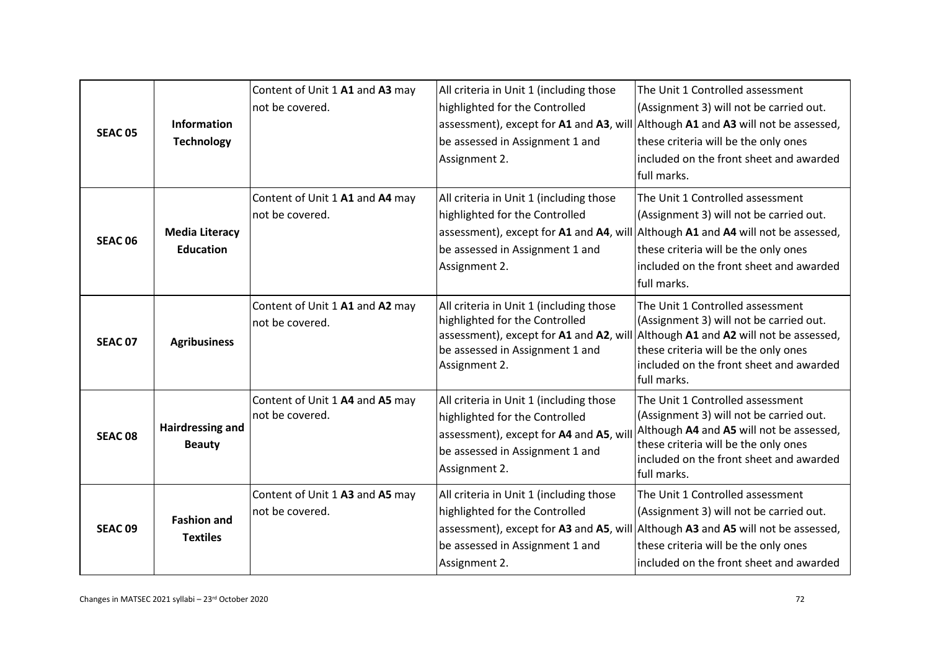| <b>SEAC 05</b> | <b>Information</b><br><b>Technology</b>   | Content of Unit 1 A1 and A3 may<br>not be covered. | All criteria in Unit 1 (including those<br>highlighted for the Controlled<br>be assessed in Assignment 1 and<br>Assignment 2.                                            | The Unit 1 Controlled assessment<br>(Assignment 3) will not be carried out.<br>assessment), except for A1 and A3, will Although A1 and A3 will not be assessed,<br>these criteria will be the only ones<br>included on the front sheet and awarded<br>full marks. |
|----------------|-------------------------------------------|----------------------------------------------------|--------------------------------------------------------------------------------------------------------------------------------------------------------------------------|-------------------------------------------------------------------------------------------------------------------------------------------------------------------------------------------------------------------------------------------------------------------|
| SEAC 06        | <b>Media Literacy</b><br><b>Education</b> | Content of Unit 1 A1 and A4 may<br>not be covered. | All criteria in Unit 1 (including those<br>highlighted for the Controlled<br>be assessed in Assignment 1 and<br>Assignment 2.                                            | The Unit 1 Controlled assessment<br>(Assignment 3) will not be carried out.<br>assessment), except for A1 and A4, will Although A1 and A4 will not be assessed,<br>these criteria will be the only ones<br>included on the front sheet and awarded<br>full marks. |
| <b>SEAC 07</b> | <b>Agribusiness</b>                       | Content of Unit 1 A1 and A2 may<br>not be covered. | All criteria in Unit 1 (including those<br>highlighted for the Controlled<br>assessment), except for A1 and A2, will<br>be assessed in Assignment 1 and<br>Assignment 2. | The Unit 1 Controlled assessment<br>(Assignment 3) will not be carried out.<br>Although A1 and A2 will not be assessed,<br>these criteria will be the only ones<br>included on the front sheet and awarded<br>full marks.                                         |
| <b>SEAC 08</b> | <b>Hairdressing and</b><br><b>Beauty</b>  | Content of Unit 1 A4 and A5 may<br>not be covered. | All criteria in Unit 1 (including those<br>highlighted for the Controlled<br>assessment), except for A4 and A5, wil<br>be assessed in Assignment 1 and<br>Assignment 2.  | The Unit 1 Controlled assessment<br>(Assignment 3) will not be carried out.<br>Although A4 and A5 will not be assessed,<br>these criteria will be the only ones<br>included on the front sheet and awarded<br>full marks.                                         |
| <b>SEAC 09</b> | <b>Fashion and</b><br><b>Textiles</b>     | Content of Unit 1 A3 and A5 may<br>not be covered. | All criteria in Unit 1 (including those<br>highlighted for the Controlled<br>assessment), except for A3 and A5, will<br>be assessed in Assignment 1 and<br>Assignment 2. | The Unit 1 Controlled assessment<br>(Assignment 3) will not be carried out.<br>Although A3 and A5 will not be assessed,<br>these criteria will be the only ones<br>included on the front sheet and awarded                                                        |